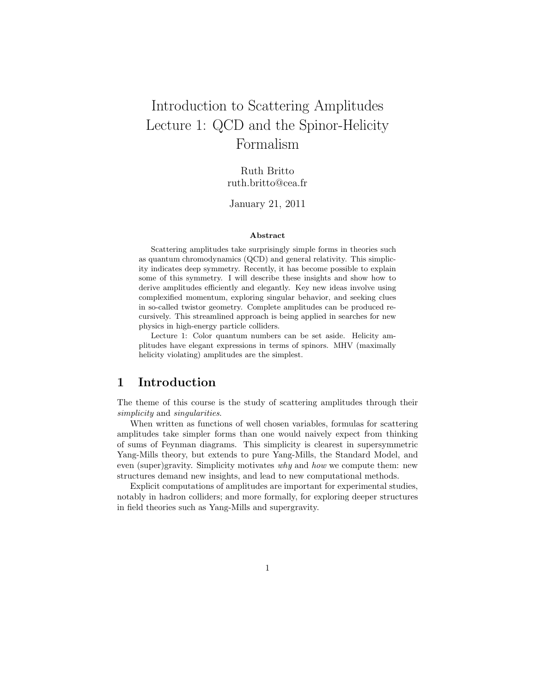# Introduction to Scattering Amplitudes Lecture 1: QCD and the Spinor-Helicity Formalism

Ruth Britto ruth.britto@cea.fr

January 21, 2011

#### Abstract

Scattering amplitudes take surprisingly simple forms in theories such as quantum chromodynamics (QCD) and general relativity. This simplicity indicates deep symmetry. Recently, it has become possible to explain some of this symmetry. I will describe these insights and show how to derive amplitudes efficiently and elegantly. Key new ideas involve using complexified momentum, exploring singular behavior, and seeking clues in so-called twistor geometry. Complete amplitudes can be produced recursively. This streamlined approach is being applied in searches for new physics in high-energy particle colliders.

Lecture 1: Color quantum numbers can be set aside. Helicity amplitudes have elegant expressions in terms of spinors. MHV (maximally helicity violating) amplitudes are the simplest.

## 1 Introduction

The theme of this course is the study of scattering amplitudes through their simplicity and singularities.

When written as functions of well chosen variables, formulas for scattering amplitudes take simpler forms than one would naively expect from thinking of sums of Feynman diagrams. This simplicity is clearest in supersymmetric Yang-Mills theory, but extends to pure Yang-Mills, the Standard Model, and even (super)gravity. Simplicity motivates why and how we compute them: new structures demand new insights, and lead to new computational methods.

Explicit computations of amplitudes are important for experimental studies, notably in hadron colliders; and more formally, for exploring deeper structures in field theories such as Yang-Mills and supergravity.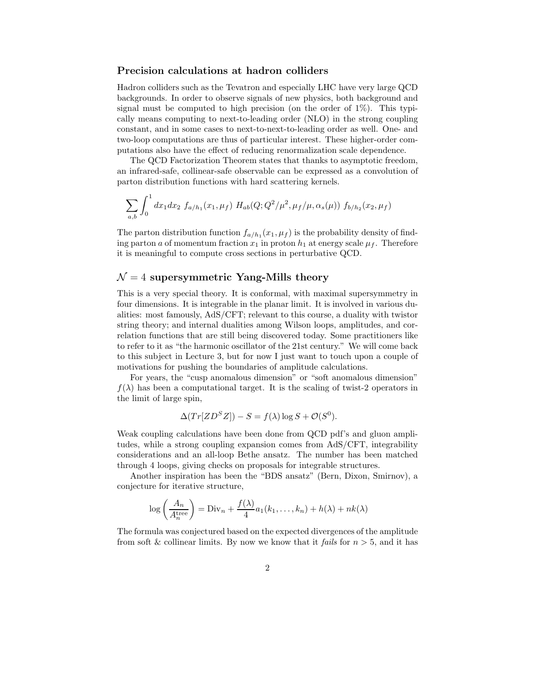#### Precision calculations at hadron colliders

Hadron colliders such as the Tevatron and especially LHC have very large QCD backgrounds. In order to observe signals of new physics, both background and signal must be computed to high precision (on the order of  $1\%$ ). This typically means computing to next-to-leading order (NLO) in the strong coupling constant, and in some cases to next-to-next-to-leading order as well. One- and two-loop computations are thus of particular interest. These higher-order computations also have the effect of reducing renormalization scale dependence.

The QCD Factorization Theorem states that thanks to asymptotic freedom, an infrared-safe, collinear-safe observable can be expressed as a convolution of parton distribution functions with hard scattering kernels.

$$
\sum_{a,b} \int_0^1 dx_1 dx_2 f_{a/h_1}(x_1,\mu_f) H_{ab}(Q;Q^2/\mu^2,\mu_f/\mu,\alpha_s(\mu)) f_{b/h_2}(x_2,\mu_f)
$$

The parton distribution function  $f_{a/h_1}(x_1, \mu_f)$  is the probability density of finding parton a of momentum fraction  $x_1$  in proton  $h_1$  at energy scale  $\mu_f$ . Therefore it is meaningful to compute cross sections in perturbative QCD.

#### $\mathcal{N}=4$  supersymmetric Yang-Mills theory

This is a very special theory. It is conformal, with maximal supersymmetry in four dimensions. It is integrable in the planar limit. It is involved in various dualities: most famously, AdS/CFT; relevant to this course, a duality with twistor string theory; and internal dualities among Wilson loops, amplitudes, and correlation functions that are still being discovered today. Some practitioners like to refer to it as "the harmonic oscillator of the 21st century." We will come back to this subject in Lecture 3, but for now I just want to touch upon a couple of motivations for pushing the boundaries of amplitude calculations.

For years, the "cusp anomalous dimension" or "soft anomalous dimension"  $f(\lambda)$  has been a computational target. It is the scaling of twist-2 operators in the limit of large spin,

$$
\Delta(Tr[ZD^{S}Z]) - S = f(\lambda)\log S + \mathcal{O}(S^{0}).
$$

Weak coupling calculations have been done from QCD pdf's and gluon amplitudes, while a strong coupling expansion comes from AdS/CFT, integrability considerations and an all-loop Bethe ansatz. The number has been matched through 4 loops, giving checks on proposals for integrable structures.

Another inspiration has been the "BDS ansatz" (Bern, Dixon, Smirnov), a conjecture for iterative structure,

$$
\log\left(\frac{A_n}{A_n^{\text{tree}}}\right) = \text{Div}_n + \frac{f(\lambda)}{4}a_1(k_1,\dots,k_n) + h(\lambda) + nk(\lambda)
$$

The formula was conjectured based on the expected divergences of the amplitude from soft & collinear limits. By now we know that it fails for  $n > 5$ , and it has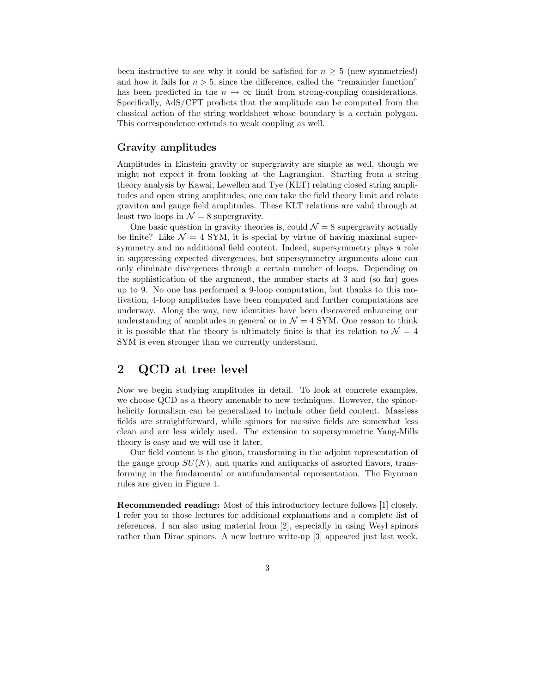been instructive to see why it could be satisfied for  $n \geq 5$  (new symmetries!) and how it fails for  $n > 5$ , since the difference, called the "remainder function" has been predicted in the  $n \to \infty$  limit from strong-coupling considerations. Specifically, AdS/CFT predicts that the amplitude can be computed from the classical action of the string worldsheet whose boundary is a certain polygon. This correspondence extends to weak coupling as well.

### Gravity amplitudes

Amplitudes in Einstein gravity or supergravity are simple as well, though we might not expect it from looking at the Lagrangian. Starting from a string theory analysis by Kawai, Lewellen and Tye (KLT) relating closed string amplitudes and open string amplitudes, one can take the field theory limit and relate graviton and gauge field amplitudes. These KLT relations are valid through at least two loops in  $\mathcal{N} = 8$  supergravity.

One basic question in gravity theories is, could  $\mathcal{N}=8$  supergravity actually be finite? Like  $\mathcal{N} = 4$  SYM, it is special by virtue of having maximal supersymmetry and no additional field content. Indeed, supersymmetry plays a role in suppressing expected divergences, but supersymmetry arguments alone can only eliminate divergences through a certain number of loops. Depending on the sophistication of the argument, the number starts at  $3$  and (so far) goes up to 9. No one has performed a 9-loop computation, but thanks to this motivation, 4-loop amplitudes have been computed and further computations are underway. Along the way, new identities have been discovered enhancing our understanding of amplitudes in general or in  $\mathcal{N}=4$  SYM. One reason to think it is possible that the theory is ultimately finite is that its relation to  $\mathcal{N}=4$ SYM is even stronger than we currently understand.

## 2 QCD at tree level

Now we begin studying amplitudes in detail. To look at concrete examples, we choose QCD as a theory amenable to new techniques. However, the spinorhelicity formalism can be generalized to include other field content. Massless fields are straightforward, while spinors for massive fields are somewhat less clean and are less widely used. The extension to supersymmetric Yang-Mills theory is easy and we will use it later.

Our field content is the gluon, transforming in the adjoint representation of the gauge group  $SU(N)$ , and quarks and antiquarks of assorted flavors, transforming in the fundamental or antifundamental representation. The Feynman rules are given in Figure 1.

Recommended reading: Most of this introductory lecture follows [1] closely. I refer you to those lectures for additional explanations and a complete list of references. I am also using material from [2], especially in using Weyl spinors rather than Dirac spinors. A new lecture write-up [3] appeared just last week.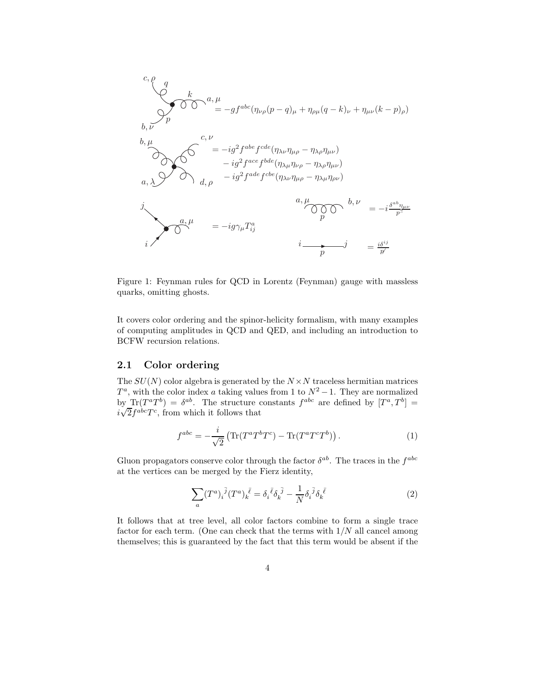$$
c, \rho
$$
\n
$$
d
$$
\n
$$
b, \nu
$$
\n
$$
b, \nu
$$
\n
$$
c, \nu
$$
\n
$$
b, \mu
$$
\n
$$
c, \nu
$$
\n
$$
c, \nu
$$
\n
$$
b, \mu
$$
\n
$$
d, \rho
$$
\n
$$
c, \nu
$$
\n
$$
c, \nu
$$
\n
$$
e, \mu
$$
\n
$$
f
$$
\n
$$
f
$$
\n
$$
f
$$
\n
$$
f
$$
\n
$$
f
$$
\n
$$
f
$$
\n
$$
f
$$
\n
$$
f
$$
\n
$$
f
$$
\n
$$
f
$$
\n
$$
f
$$
\n
$$
f
$$
\n
$$
f
$$
\n
$$
f
$$
\n
$$
f
$$
\n
$$
f
$$
\n
$$
f
$$
\n
$$
f
$$
\n
$$
f
$$
\n
$$
f
$$
\n
$$
f
$$
\n
$$
f
$$
\n
$$
f
$$
\n
$$
f
$$
\n
$$
f
$$
\n
$$
f
$$
\n
$$
f
$$
\n
$$
f
$$
\n
$$
f
$$
\n
$$
f
$$
\n
$$
f
$$
\n
$$
f
$$
\n
$$
f
$$
\n
$$
f
$$
\n
$$
f
$$
\n
$$
f
$$
\n
$$
f
$$
\n
$$
f
$$
\n
$$
f
$$
\n
$$
f
$$
\n
$$
f
$$
\n
$$
f
$$
\n
$$
f
$$
\n
$$
f
$$
\n
$$
f
$$
\n
$$
f
$$
\n
$$
f
$$
\n
$$
f
$$
\n
$$
f
$$
\n
$$
f
$$
\n
$$
f
$$
\n
$$
f
$$
\n
$$
f
$$
\n $$ 

Figure 1: Feynman rules for QCD in Lorentz (Feynman) gauge with massless quarks, omitting ghosts.

It covers color ordering and the spinor-helicity formalism, with many examples of computing amplitudes in QCD and QED, and including an introduction to BCFW recursion relations.

#### 2.1 Color ordering

The  $SU(N)$  color algebra is generated by the  $N \times N$  traceless hermitian matrices  $T^a$ , with the color index a taking values from 1 to  $N^2 - 1$ . They are normalized by  $\text{Tr}(T^a T^b) = \delta^{ab}$ . The structure constants  $f^{abc}$  are defined by  $[T^a, T^b] =$  $i\sqrt{2}f^{abc}T^c$ , from which it follows that

$$
f^{abc} = -\frac{i}{\sqrt{2}} \left( \text{Tr}(T^a T^b T^c) - \text{Tr}(T^a T^c T^b) \right). \tag{1}
$$

Gluon propagators conserve color through the factor  $\delta^{ab}$ . The traces in the  $f^{abc}$ at the vertices can be merged by the Fierz identity,

$$
\sum_{a} (T^{a})_{i}{}^{\bar{j}} (T^{a})_{k}{}^{\bar{\ell}} = \delta_{i}{}^{\bar{\ell}} \delta_{k}{}^{\bar{j}} - \frac{1}{N} \delta_{i}{}^{\bar{j}} \delta_{k}{}^{\bar{\ell}} \tag{2}
$$

It follows that at tree level, all color factors combine to form a single trace factor for each term. (One can check that the terms with  $1/N$  all cancel among themselves; this is guaranteed by the fact that this term would be absent if the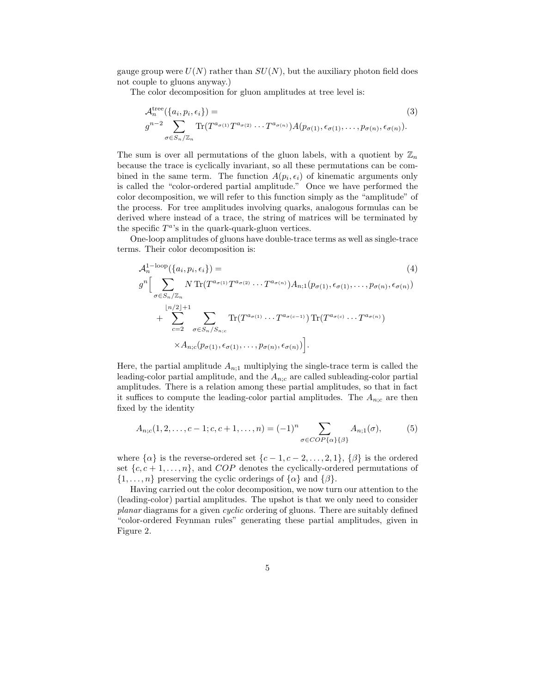gauge group were  $U(N)$  rather than  $SU(N)$ , but the auxiliary photon field does not couple to gluons anyway.)

The color decomposition for gluon amplitudes at tree level is:

$$
\mathcal{A}_n^{\text{tree}}(\{a_i, p_i, \epsilon_i\}) =
$$
\n
$$
g^{n-2} \sum_{\sigma \in S_n/\mathbb{Z}_n} \text{Tr}(T^{a_{\sigma(1)}} T^{a_{\sigma(2)}} \cdots T^{a_{\sigma(n)}}) A(p_{\sigma(1)}, \epsilon_{\sigma(1)}, \ldots, p_{\sigma(n)}, \epsilon_{\sigma(n)}).
$$
\n(3)

The sum is over all permutations of the gluon labels, with a quotient by  $\mathbb{Z}_n$ because the trace is cyclically invariant, so all these permutations can be combined in the same term. The function  $A(p_i, \epsilon_i)$  of kinematic arguments only is called the "color-ordered partial amplitude." Once we have performed the color decomposition, we will refer to this function simply as the "amplitude" of the process. For tree amplitudes involving quarks, analogous formulas can be derived where instead of a trace, the string of matrices will be terminated by the specific  $T^a$ 's in the quark-quark-gluon vertices.

One-loop amplitudes of gluons have double-trace terms as well as single-trace terms. Their color decomposition is:

$$
\mathcal{A}_n^{1-\text{loop}}(\{a_i, p_i, \epsilon_i\}) =
$$
\n
$$
g^n \Big[ \sum_{\sigma \in S_n/\mathbb{Z}_n} N \text{Tr}(T^{a_{\sigma(1)}} T^{a_{\sigma(2)}} \cdots T^{a_{\sigma(n)}}) A_{n;1}(p_{\sigma(1)}, \epsilon_{\sigma(1)}, \ldots, p_{\sigma(n)}, \epsilon_{\sigma(n)})
$$
\n
$$
+ \sum_{c=2}^{\lfloor n/2 \rfloor + 1} \sum_{\sigma \in S_n/S_{n;c}} \text{Tr}(T^{a_{\sigma(1)}} \cdots T^{a_{\sigma(c-1)}}) \text{Tr}(T^{a_{\sigma(c)}} \cdots T^{a_{\sigma(n)}})
$$
\n
$$
\times A_{n;c}(p_{\sigma(1)}, \epsilon_{\sigma(1)}, \ldots, p_{\sigma(n)}, \epsilon_{\sigma(n)}) \Big].
$$
\n(4)

Here, the partial amplitude  $A_{n;1}$  multiplying the single-trace term is called the leading-color partial amplitude, and the  $A_{n;c}$  are called subleading-color partial amplitudes. There is a relation among these partial amplitudes, so that in fact it suffices to compute the leading-color partial amplitudes. The  $A_{n;c}$  are then fixed by the identity

$$
A_{n;c}(1,2,\ldots,c-1;c,c+1,\ldots,n) = (-1)^n \sum_{\sigma \in COP\{\alpha\}\{\beta\}} A_{n;1}(\sigma),
$$
 (5)

where  $\{\alpha\}$  is the reverse-ordered set  $\{c-1, c-2, \ldots, 2, 1\}, \{\beta\}$  is the ordered set  $\{c, c+1, \ldots, n\}$ , and *COP* denotes the cyclically-ordered permutations of  $\{1, \ldots, n\}$  preserving the cyclic orderings of  $\{\alpha\}$  and  $\{\beta\}.$ 

Having carried out the color decomposition, we now turn our attention to the (leading-color) partial amplitudes. The upshot is that we only need to consider planar diagrams for a given cyclic ordering of gluons. There are suitably defined "color-ordered Feynman rules" generating these partial amplitudes, given in Figure 2.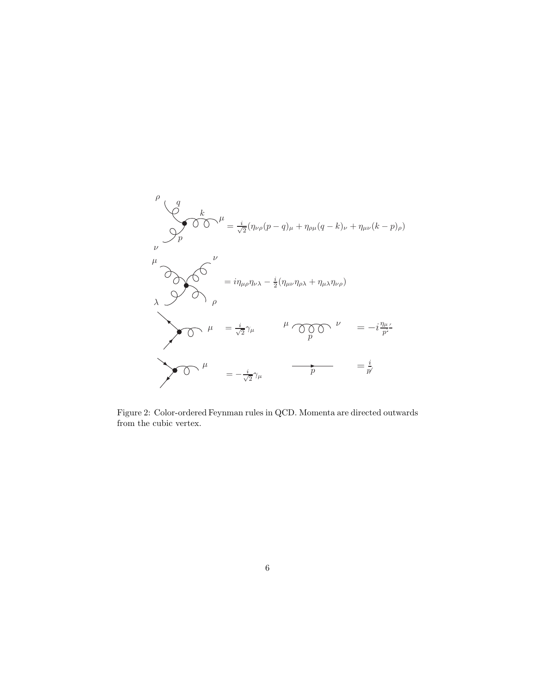

Figure 2: Color-ordered Feynman rules in QCD. Momenta are directed outwards from the cubic vertex.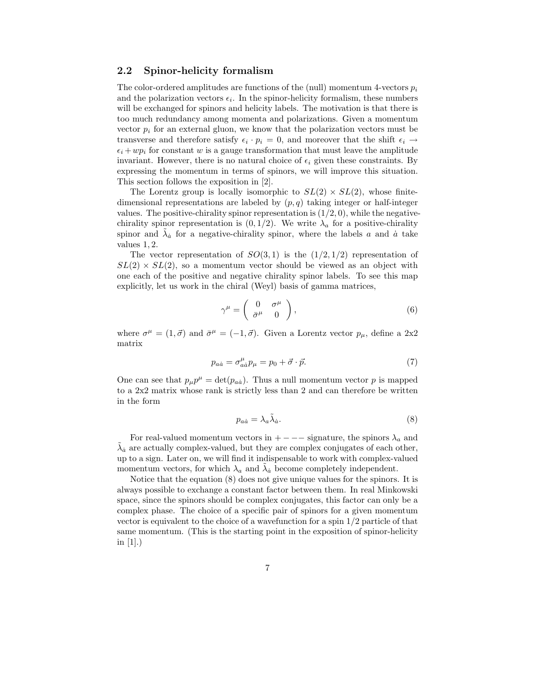#### 2.2 Spinor-helicity formalism

The color-ordered amplitudes are functions of the (null) momentum 4-vectors  $p_i$ and the polarization vectors  $\epsilon_i$ . In the spinor-helicity formalism, these numbers will be exchanged for spinors and helicity labels. The motivation is that there is too much redundancy among momenta and polarizations. Given a momentum vector  $p_i$  for an external gluon, we know that the polarization vectors must be transverse and therefore satisfy  $\epsilon_i \cdot p_i = 0$ , and moreover that the shift  $\epsilon_i \rightarrow$  $\epsilon_i +wp_i$  for constant w is a gauge transformation that must leave the amplitude invariant. However, there is no natural choice of  $\epsilon_i$  given these constraints. By expressing the momentum in terms of spinors, we will improve this situation. This section follows the exposition in [2].

The Lorentz group is locally isomorphic to  $SL(2) \times SL(2)$ , whose finitedimensional representations are labeled by  $(p, q)$  taking integer or half-integer values. The positive-chirality spinor representation is  $(1/2, 0)$ , while the negativechirality spinor representation is  $(0, 1/2)$ . We write  $\lambda_a$  for a positive-chirality spinor and  $\tilde{\lambda}_a$  for a negative-chirality spinor, where the labels a and  $\dot{a}$  take values 1, 2.

The vector representation of  $SO(3,1)$  is the  $(1/2,1/2)$  representation of  $SL(2) \times SL(2)$ , so a momentum vector should be viewed as an object with one each of the positive and negative chirality spinor labels. To see this map explicitly, let us work in the chiral (Weyl) basis of gamma matrices,

$$
\gamma^{\mu} = \begin{pmatrix} 0 & \sigma^{\mu} \\ \bar{\sigma}^{\mu} & 0 \end{pmatrix}, \tag{6}
$$

where  $\sigma^{\mu} = (1, \vec{\sigma})$  and  $\bar{\sigma}^{\mu} = (-1, \vec{\sigma})$ . Given a Lorentz vector  $p_{\mu}$ , define a 2x2 matrix

$$
p_{a\dot{a}} = \sigma_{a\dot{a}}^{\mu} p_{\mu} = p_0 + \vec{\sigma} \cdot \vec{p}.
$$
 (7)

One can see that  $p_\mu p^\mu = \det(p_{a\dot{a}})$ . Thus a null momentum vector p is mapped to a 2x2 matrix whose rank is strictly less than 2 and can therefore be written in the form

$$
p_{a\dot{a}} = \lambda_a \tilde{\lambda}_{\dot{a}}.\tag{8}
$$

For real-valued momentum vectors in  $+ - - -$  signature, the spinors  $\lambda_a$  and  $\tilde{\lambda}_a$  are actually complex-valued, but they are complex conjugates of each other, up to a sign. Later on, we will find it indispensable to work with complex-valued momentum vectors, for which  $\lambda_a$  and  $\tilde{\lambda}_a$  become completely independent.

Notice that the equation (8) does not give unique values for the spinors. It is always possible to exchange a constant factor between them. In real Minkowski space, since the spinors should be complex conjugates, this factor can only be a complex phase. The choice of a specific pair of spinors for a given momentum vector is equivalent to the choice of a wavefunction for a spin 1/2 particle of that same momentum. (This is the starting point in the exposition of spinor-helicity in  $[1]$ .)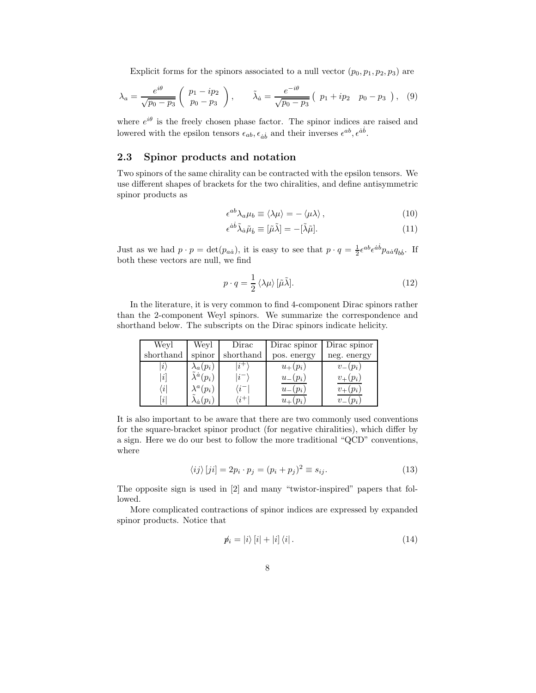Explicit forms for the spinors associated to a null vector  $(p_0, p_1, p_2, p_3)$  are

$$
\lambda_a = \frac{e^{i\theta}}{\sqrt{p_0 - p_3}} \left( \begin{array}{c} p_1 - ip_2 \\ p_0 - p_3 \end{array} \right), \qquad \tilde{\lambda}_{\dot{a}} = \frac{e^{-i\theta}}{\sqrt{p_0 - p_3}} \left( \begin{array}{cc} p_1 + ip_2 & p_0 - p_3 \end{array} \right), \quad (9)
$$

where  $e^{i\theta}$  is the freely chosen phase factor. The spinor indices are raised and lowered with the epsilon tensors  $\epsilon_{ab}$ ,  $\epsilon_{\dot{a}\dot{b}}$  and their inverses  $\epsilon^{ab}$ ,  $\epsilon^{\dot{a}\dot{b}}$ .

#### 2.3 Spinor products and notation

Two spinors of the same chirality can be contracted with the epsilon tensors. We use different shapes of brackets for the two chiralities, and define antisymmetric spinor products as

$$
\epsilon^{ab}\lambda_a\mu_b \equiv \langle \lambda \mu \rangle = -\langle \mu \lambda \rangle \,,\tag{10}
$$

$$
\epsilon^{\dot{a}\dot{b}}\tilde{\lambda}_{\dot{a}}\tilde{\mu}_{\dot{b}} \equiv [\tilde{\mu}\tilde{\lambda}] = -[\tilde{\lambda}\tilde{\mu}].\tag{11}
$$

Just as we had  $p \cdot p = \det(p_{a\dot{a}})$ , it is easy to see that  $p \cdot q = \frac{1}{2} \epsilon^{ab} \epsilon^{\dot{a}\dot{b}} p_{a\dot{a}} q_{b\dot{b}}$ . If both these vectors are null, we find

$$
p \cdot q = \frac{1}{2} \langle \lambda \mu \rangle \left[ \tilde{\mu} \tilde{\lambda} \right]. \tag{12}
$$

In the literature, it is very common to find 4-component Dirac spinors rather than the 2-component Weyl spinors. We summarize the correspondence and shorthand below. The subscripts on the Dirac spinors indicate helicity.

| Weyl                      | Weyl                             | Dirac           | Dirac spinor | Dirac spinor           |
|---------------------------|----------------------------------|-----------------|--------------|------------------------|
| shorthand                 | spinor                           | shorthand       | pos. energy  | neg. energy            |
| $\iota$                   | $\lambda_a(p_i)$                 | $i^+$           | $u_{+}(p_i)$ | $v_{-}(p_i)$           |
| [i]                       | $\tilde{\lambda}^{\dot{a}}(p_i)$ | $i^{-}$         | $u_{-}(p_i)$ | $v_{+}(p_i)$           |
| $\left\vert i\right\vert$ | $\lambda^a(p_i)$                 | $\langle i^{-}$ | $u_{-}(p_i)$ | $p_i$                  |
| i                         | $\lambda_{\dot{a}}(p_i)$         | $\cdot i^+$     | $u_{+}(p_i)$ | $v_{-}$<br>$\cdot p_i$ |

It is also important to be aware that there are two commonly used conventions for the square-bracket spinor product (for negative chiralities), which differ by a sign. Here we do our best to follow the more traditional "QCD" conventions, where

$$
\langle ij \rangle [ji] = 2p_i \cdot p_j = (p_i + p_j)^2 \equiv s_{ij}.
$$
 (13)

The opposite sign is used in [2] and many "twistor-inspired" papers that followed.

More complicated contractions of spinor indices are expressed by expanded spinor products. Notice that

$$
\hat{p}_i = |i\rangle \left[ i \right] + |i\rangle \left\langle i \right|.
$$
\n<sup>(14)</sup>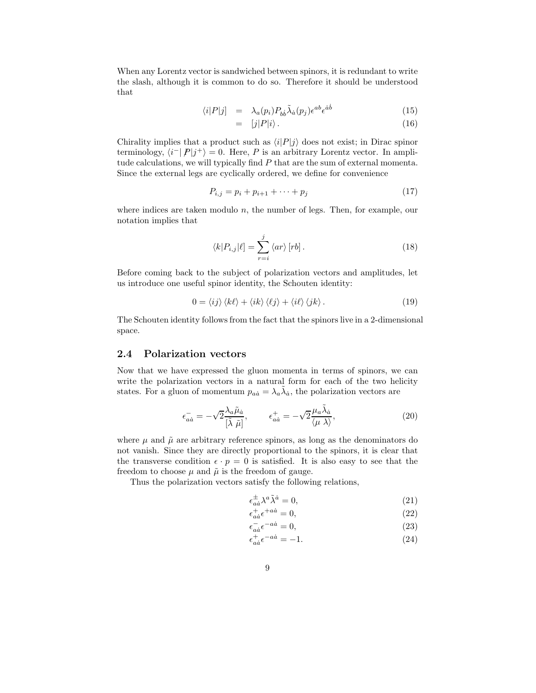When any Lorentz vector is sandwiched between spinors, it is redundant to write the slash, although it is common to do so. Therefore it should be understood that

$$
\langle i|P|j] = \lambda_a(p_i) P_{b\dot{b}} \tilde{\lambda}_{\dot{a}}(p_j) \epsilon^{ab} \epsilon^{\dot{a}\dot{b}} \tag{15}
$$

$$
= [j|P|i\rangle. \tag{16}
$$

Chirality implies that a product such as  $\langle i|P|j\rangle$  does not exist; in Dirac spinor terminology,  $\langle i^{-} | P | j^{+} \rangle = 0$ . Here, P is an arbitrary Lorentz vector. In amplitude calculations, we will typically find P that are the sum of external momenta. Since the external legs are cyclically ordered, we define for convenience

$$
P_{i,j} = p_i + p_{i+1} + \dots + p_j \tag{17}
$$

where indices are taken modulo  $n$ , the number of legs. Then, for example, our notation implies that

$$
\langle k|P_{i,j}|\ell] = \sum_{r=i}^{j} \langle ar \rangle [rb]. \qquad (18)
$$

Before coming back to the subject of polarization vectors and amplitudes, let us introduce one useful spinor identity, the Schouten identity:

$$
0 = \langle ij \rangle \langle k\ell \rangle + \langle ik \rangle \langle \ell j \rangle + \langle i\ell \rangle \langle jk \rangle. \tag{19}
$$

The Schouten identity follows from the fact that the spinors live in a 2-dimensional space.

#### 2.4 Polarization vectors

Now that we have expressed the gluon momenta in terms of spinors, we can write the polarization vectors in a natural form for each of the two helicity states. For a gluon of momentum  $p_{a\dot{a}} = \lambda_a \tilde{\lambda}_{\dot{a}}$ , the polarization vectors are

$$
\epsilon_{a\dot{a}}^{-} = -\sqrt{2} \frac{\lambda_{a} \tilde{\mu}_{\dot{a}}}{\left[\tilde{\lambda} \ \tilde{\mu}\right]}, \qquad \epsilon_{a\dot{a}}^{+} = -\sqrt{2} \frac{\mu_{a} \tilde{\lambda}_{\dot{a}}}{\langle \mu \ \lambda \rangle}, \tag{20}
$$

where  $\mu$  and  $\tilde{\mu}$  are arbitrary reference spinors, as long as the denominators do not vanish. Since they are directly proportional to the spinors, it is clear that the transverse condition  $\epsilon \cdot p = 0$  is satisfied. It is also easy to see that the freedom to choose  $\mu$  and  $\tilde{\mu}$  is the freedom of gauge.

Thus the polarization vectors satisfy the following relations,

$$
\epsilon_{\dot{a}\dot{a}}^{\pm} \lambda^a \tilde{\lambda}^{\dot{a}} = 0,\tag{21}
$$

$$
\epsilon_{a\dot{a}}^{+} \epsilon^{+a\dot{a}} = 0,\tag{22}
$$

$$
\epsilon_{a\dot{a}}^{-} \epsilon^{-a\dot{a}} = 0,\tag{23}
$$

$$
\epsilon_{a\dot{a}}^{+}\epsilon^{-a\dot{a}} = -1.\tag{24}
$$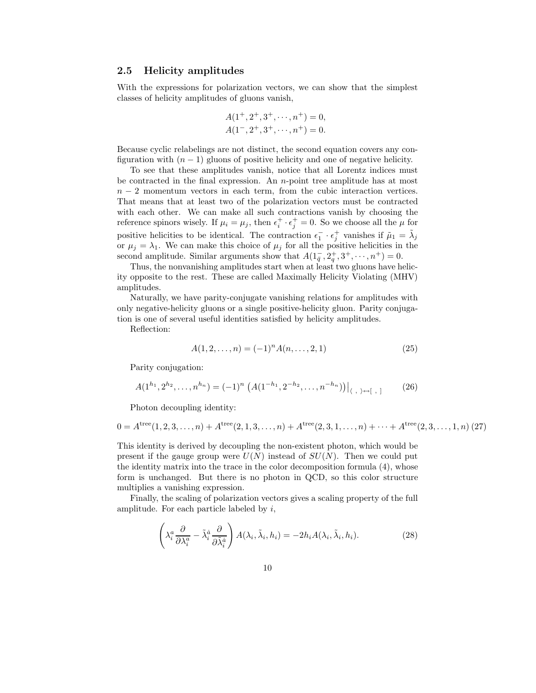#### 2.5 Helicity amplitudes

With the expressions for polarization vectors, we can show that the simplest classes of helicity amplitudes of gluons vanish,

$$
A(1^+, 2^+, 3^+, \cdots, n^+) = 0,
$$
  

$$
A(1^-, 2^+, 3^+, \cdots, n^+) = 0.
$$

Because cyclic relabelings are not distinct, the second equation covers any configuration with  $(n - 1)$  gluons of positive helicity and one of negative helicity.

To see that these amplitudes vanish, notice that all Lorentz indices must be contracted in the final expression. An  $n$ -point tree amplitude has at most  $n-2$  momentum vectors in each term, from the cubic interaction vertices. That means that at least two of the polarization vectors must be contracted with each other. We can make all such contractions vanish by choosing the reference spinors wisely. If  $\mu_i = \mu_j$ , then  $\epsilon_i^+ \cdot \epsilon_j^+ = 0$ . So we choose all the  $\mu$  for positive helicities to be identical. The contraction  $\epsilon_1^- \cdot \epsilon_j^+$  vanishes if  $\tilde{\mu}_1 = \tilde{\lambda}_j$ or  $\mu_j = \lambda_1$ . We can make this choice of  $\mu_j$  for all the positive helicities in the second amplitude. Similar arguments show that  $A(1\overline{q}, 2\overline{q}, 3^+, \dots, n^+) = 0$ .

Thus, the nonvanishing amplitudes start when at least two gluons have helicity opposite to the rest. These are called Maximally Helicity Violating (MHV) amplitudes.

Naturally, we have parity-conjugate vanishing relations for amplitudes with only negative-helicity gluons or a single positive-helicity gluon. Parity conjugation is one of several useful identities satisfied by helicity amplitudes.

Reflection:

$$
A(1, 2, \dots, n) = (-1)^n A(n, \dots, 2, 1)
$$
\n(25)

Parity conjugation:

$$
A(1^{h_1}, 2^{h_2}, \dots, n^{h_n}) = (-1)^n \left. \left( A(1^{-h_1}, 2^{-h_2}, \dots, n^{-h_n}) \right) \right|_{\langle , \rangle \leftrightarrow [ \ , \ ]}
$$
 (26)

Photon decoupling identity:

$$
0 = Atree(1, 2, 3, ..., n) + Atree(2, 1, 3, ..., n) + Atree(2, 3, 1, ..., n) + ... + Atree(2, 3, ..., 1, n) (27)
$$

This identity is derived by decoupling the non-existent photon, which would be present if the gauge group were  $U(N)$  instead of  $SU(N)$ . Then we could put the identity matrix into the trace in the color decomposition formula (4), whose form is unchanged. But there is no photon in QCD, so this color structure multiplies a vanishing expression.

Finally, the scaling of polarization vectors gives a scaling property of the full amplitude. For each particle labeled by i,

$$
\left(\lambda_i^a \frac{\partial}{\partial \lambda_i^a} - \tilde{\lambda}_i^{\dot{a}} \frac{\partial}{\partial \tilde{\lambda}_i^{\dot{a}}}\right) A(\lambda_i, \tilde{\lambda}_i, h_i) = -2h_i A(\lambda_i, \tilde{\lambda}_i, h_i). \tag{28}
$$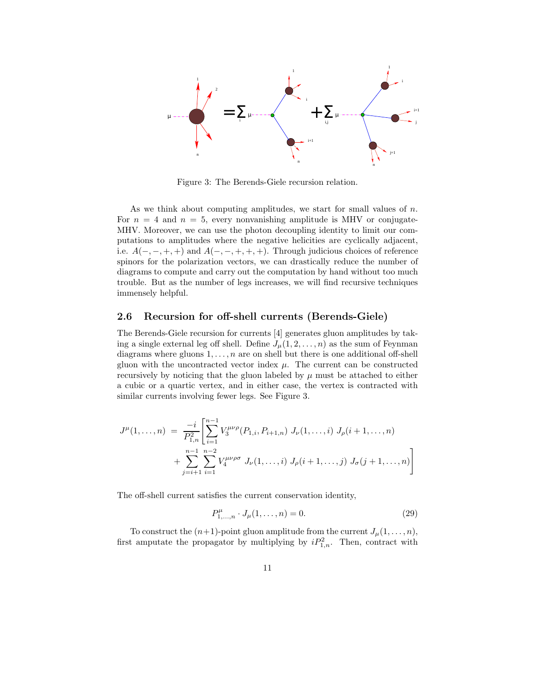

Figure 3: The Berends-Giele recursion relation.

As we think about computing amplitudes, we start for small values of  $n$ . For  $n = 4$  and  $n = 5$ , every nonvanishing amplitude is MHV or conjugate-MHV. Moreover, we can use the photon decoupling identity to limit our computations to amplitudes where the negative helicities are cyclically adjacent, i.e.  $A(-, -, +, +)$  and  $A(-, -, +, +, +)$ . Through judicious choices of reference spinors for the polarization vectors, we can drastically reduce the number of diagrams to compute and carry out the computation by hand without too much trouble. But as the number of legs increases, we will find recursive techniques immensely helpful.

### 2.6 Recursion for off-shell currents (Berends-Giele)

The Berends-Giele recursion for currents [4] generates gluon amplitudes by taking a single external leg off shell. Define  $J_\mu(1, 2, \ldots, n)$  as the sum of Feynman diagrams where gluons  $1, \ldots, n$  are on shell but there is one additional off-shell gluon with the uncontracted vector index  $\mu$ . The current can be constructed recursively by noticing that the gluon labeled by  $\mu$  must be attached to either a cubic or a quartic vertex, and in either case, the vertex is contracted with similar currents involving fewer legs. See Figure 3.

$$
J^{\mu}(1,\ldots,n) = \frac{-i}{P_{1,n}^2} \left[ \sum_{i=1}^{n-1} V_3^{\mu\nu\rho}(P_{1,i}, P_{i+1,n}) J_{\nu}(1,\ldots,i) J_{\rho}(i+1,\ldots,n) + \sum_{j=i+1}^{n-1} \sum_{i=1}^{n-2} V_4^{\mu\nu\rho\sigma} J_{\nu}(1,\ldots,i) J_{\rho}(i+1,\ldots,j) J_{\sigma}(j+1,\ldots,n) \right]
$$

The off-shell current satisfies the current conservation identity,

$$
P_{1,\dots,n}^{\mu} \cdot J_{\mu}(1,\dots,n) = 0. \tag{29}
$$

To construct the  $(n+1)$ -point gluon amplitude from the current  $J_\mu(1,\ldots,n)$ , first amputate the propagator by multiplying by  $iP_{1,n}^2$ . Then, contract with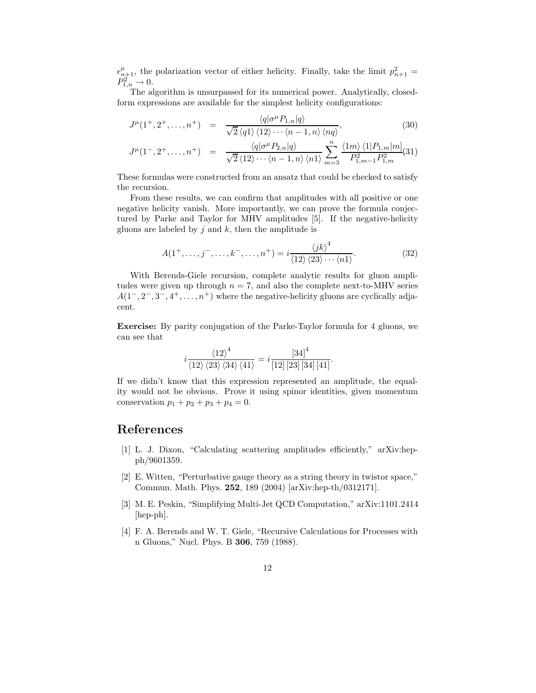$\epsilon_{n+1}^{\mu}$ , the polarization vector of either helicity. Finally, take the limit  $p_{n+1}^2 =$  $P_{1,n}^2 \to 0.$ 

The algorithm is unsurpassed for its numerical power. Analytically, closedform expressions are available for the simplest helicity configurations:

$$
J^{\mu}(1^{+}, 2^{+}, \dots, n^{+}) = \frac{\langle q | \sigma^{\mu} P_{1,n} | q \rangle}{\sqrt{2} \langle q1 \rangle \langle 12 \rangle \cdots \langle n-1, n \rangle \langle nq \rangle},
$$
\n
$$
\langle q | \sigma^{\mu} P_{1,n} | q \rangle
$$
\n
$$
\langle q | \sigma^{\mu} P_{2,n} | q \rangle
$$
\n
$$
\langle n | \sigma^{\mu} P_{2,n} | q \rangle
$$
\n
$$
(30)
$$

$$
J^{\mu}(1^-, 2^+, \dots, n^+) = \frac{\langle q | \sigma^{\mu} P_{2,n} | q \rangle}{\sqrt{2} \langle 12 \rangle \cdots \langle n-1, n \rangle \langle n1 \rangle} \sum_{m=3}^{n} \frac{\langle 1m \rangle \langle 1 | P_{1,m} | m]}{P_{1,m-1}^2 P_{1,m}^2} (31)
$$

These formulas were constructed from an ansatz that could be checked to satisfy the recursion.

From these results, we can confirm that amplitudes with all positive or one negative helicity vanish. More importantly, we can prove the formula conjectured by Parke and Taylor for MHV amplitudes [5]. If the negative-helicity gluons are labeled by  $j$  and  $k$ , then the amplitude is

$$
A(1^+,\ldots,j^-,\ldots,k^-,\ldots,n^+) = i\frac{\langle jk\rangle^4}{\langle 12\rangle\langle 23\rangle\cdots\langle n1\rangle}.\tag{32}
$$

With Berends-Giele recursion, complete analytic results for gluon amplitudes were given up through  $n = 7$ , and also the complete next-to-MHV series  $A(1^-, 2^-, 3^-, 4^+, \ldots, n^+)$  where the negative-helicity gluons are cyclically adjacent.

Exercise: By parity conjugation of the Parke-Taylor formula for 4 gluons, we can see that

$$
i \frac{\langle 12 \rangle^4}{\langle 12 \rangle \langle 23 \rangle \langle 34 \rangle \langle 41 \rangle} = i \frac{\left[ 34 \right]^4}{\left[ 12 \right] \left[ 23 \right] \left[ 34 \right] \left[ 41 \right]}.
$$

If we didn't know that this expression represented an amplitude, the equality would not be obvious. Prove it using spinor identities, given momentum conservation  $p_1 + p_2 + p_3 + p_4 = 0$ .

## References

- [1] L. J. Dixon, "Calculating scattering amplitudes efficiently," arXiv:hepph/9601359.
- [2] E. Witten, "Perturbative gauge theory as a string theory in twistor space," Commun. Math. Phys. 252, 189 (2004) [arXiv:hep-th/0312171].
- [3] M. E. Peskin, "Simplifying Multi-Jet QCD Computation," arXiv:1101.2414 [hep-ph].
- [4] F. A. Berends and W. T. Giele, "Recursive Calculations for Processes with n Gluons," Nucl. Phys. B 306, 759 (1988).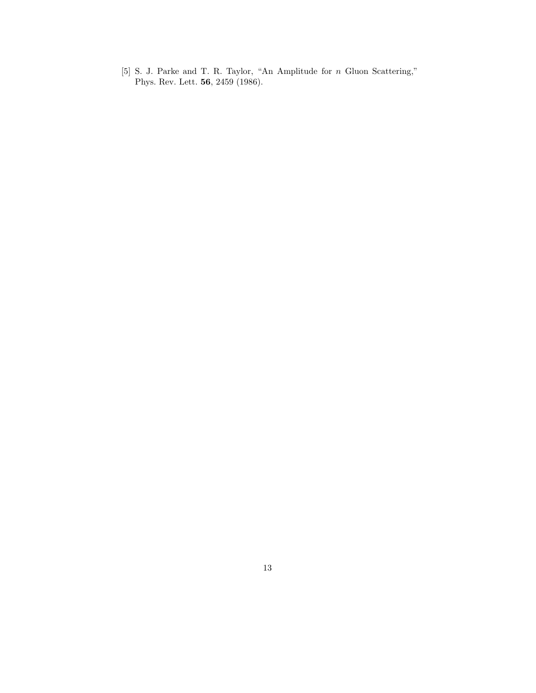[5] S. J. Parke and T. R. Taylor, "An Amplitude for n Gluon Scattering," Phys. Rev. Lett. 56, 2459 (1986).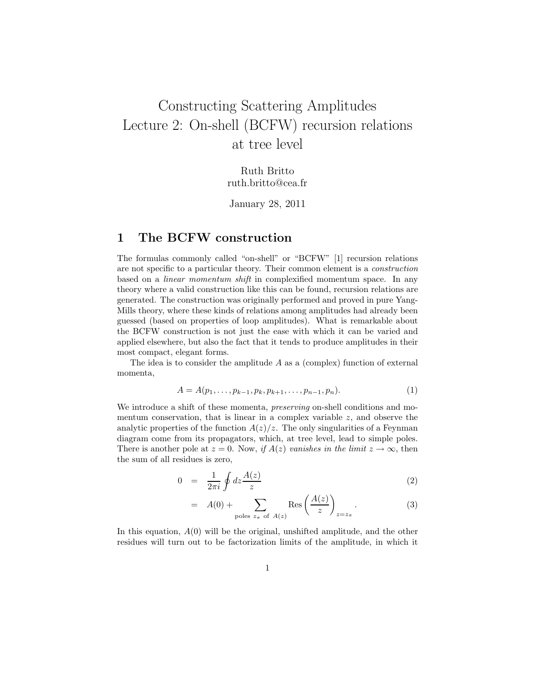# Constructing Scattering Amplitudes Lecture 2: On-shell (BCFW) recursion relations at tree level

Ruth Britto ruth.britto@cea.fr

January 28, 2011

## 1 The BCFW construction

The formulas commonly called "on-shell" or "BCFW" [1] recursion relations are not specific to a particular theory. Their common element is a construction based on a linear momentum shift in complexified momentum space. In any theory where a valid construction like this can be found, recursion relations are generated. The construction was originally performed and proved in pure Yang-Mills theory, where these kinds of relations among amplitudes had already been guessed (based on properties of loop amplitudes). What is remarkable about the BCFW construction is not just the ease with which it can be varied and applied elsewhere, but also the fact that it tends to produce amplitudes in their most compact, elegant forms.

The idea is to consider the amplitude  $A$  as a (complex) function of external momenta,

$$
A = A(p_1, \ldots, p_{k-1}, p_k, p_{k+1}, \ldots, p_{n-1}, p_n). \tag{1}
$$

We introduce a shift of these momenta, *preserving* on-shell conditions and momentum conservation, that is linear in a complex variable  $z$ , and observe the analytic properties of the function  $A(z)/z$ . The only singularities of a Feynman diagram come from its propagators, which, at tree level, lead to simple poles. There is another pole at  $z = 0$ . Now, if  $A(z)$  vanishes in the limit  $z \to \infty$ , then the sum of all residues is zero,

$$
0 = \frac{1}{2\pi i} \oint dz \frac{A(z)}{z} \tag{2}
$$

$$
= A(0) + \sum_{\text{poles } z_{\pi} \text{ of } A(z)} \text{Res}\left(\frac{A(z)}{z}\right)_{z=z_{\pi}}.
$$
 (3)

In this equation,  $A(0)$  will be the original, unshifted amplitude, and the other residues will turn out to be factorization limits of the amplitude, in which it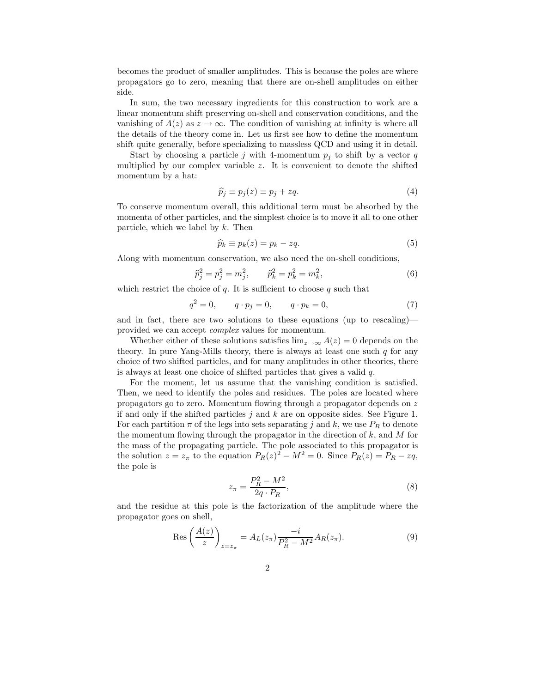becomes the product of smaller amplitudes. This is because the poles are where propagators go to zero, meaning that there are on-shell amplitudes on either side.

In sum, the two necessary ingredients for this construction to work are a linear momentum shift preserving on-shell and conservation conditions, and the vanishing of  $A(z)$  as  $z \to \infty$ . The condition of vanishing at infinity is where all the details of the theory come in. Let us first see how to define the momentum shift quite generally, before specializing to massless QCD and using it in detail.

Start by choosing a particle j with 4-momentum  $p_i$  to shift by a vector q multiplied by our complex variable  $z$ . It is convenient to denote the shifted momentum by a hat:

$$
\widehat{p}_j \equiv p_j(z) \equiv p_j + zq. \tag{4}
$$

To conserve momentum overall, this additional term must be absorbed by the momenta of other particles, and the simplest choice is to move it all to one other particle, which we label by  $k$ . Then

$$
\widehat{p}_k \equiv p_k(z) = p_k - zq. \tag{5}
$$

Along with momentum conservation, we also need the on-shell conditions,

$$
\widehat{p}_j^2 = p_j^2 = m_j^2, \qquad \widehat{p}_k^2 = p_k^2 = m_k^2,\tag{6}
$$

which restrict the choice of  $q$ . It is sufficient to choose  $q$  such that

$$
q^2 = 0, \qquad q \cdot p_j = 0, \qquad q \cdot p_k = 0,\tag{7}
$$

and in fact, there are two solutions to these equations (up to rescaling) provided we can accept complex values for momentum.

Whether either of these solutions satisfies  $\lim_{z\to\infty} A(z) = 0$  depends on the theory. In pure Yang-Mills theory, there is always at least one such  $q$  for any choice of two shifted particles, and for many amplitudes in other theories, there is always at least one choice of shifted particles that gives a valid  $q$ .

For the moment, let us assume that the vanishing condition is satisfied. Then, we need to identify the poles and residues. The poles are located where propagators go to zero. Momentum flowing through a propagator depends on z if and only if the shifted particles  $j$  and  $k$  are on opposite sides. See Figure 1. For each partition  $\pi$  of the legs into sets separating j and k, we use  $P_R$  to denote the momentum flowing through the propagator in the direction of  $k$ , and  $M$  for the mass of the propagating particle. The pole associated to this propagator is the solution  $z = z_{\pi}$  to the equation  $P_R(z)^2 - M^2 = 0$ . Since  $P_R(z) = P_R - zq$ , the pole is

$$
z_{\pi} = \frac{P_R^2 - M^2}{2q \cdot P_R},\tag{8}
$$

and the residue at this pole is the factorization of the amplitude where the propagator goes on shell,

$$
\operatorname{Res}\left(\frac{A(z)}{z}\right)_{z=z_{\pi}} = A_L(z_{\pi}) \frac{-i}{P_R^2 - M^2} A_R(z_{\pi}).\tag{9}
$$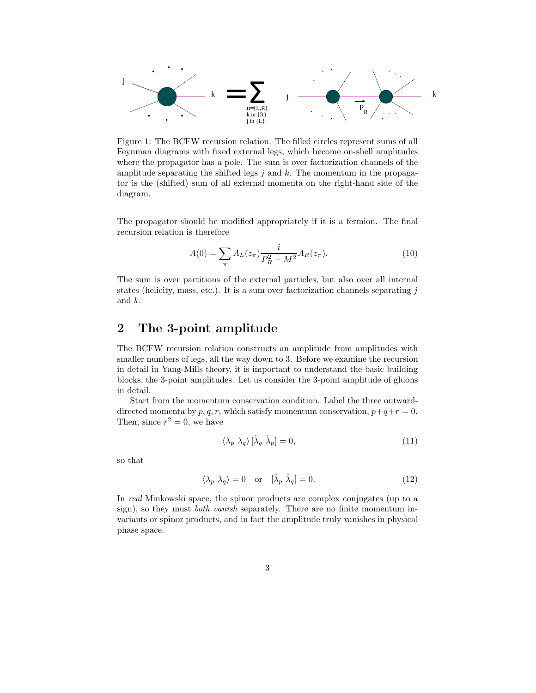

Figure 1: The BCFW recursion relation. The filled circles represent sums of all Feynman diagrams with fixed external legs, which become on-shell amplitudes where the propagator has a pole. The sum is over factorization channels of the amplitude separating the shifted legs  $j$  and  $k$ . The momentum in the propagator is the (shifted) sum of all external momenta on the right-hand side of the diagram.

The propagator should be modified appropriately if it is a fermion. The final recursion relation is therefore

$$
A(0) = \sum_{\pi} A_L(z_{\pi}) \frac{i}{P_R^2 - M^2} A_R(z_{\pi}).
$$
\n(10)

The sum is over partitions of the external particles, but also over all internal states (helicity, mass, etc.). It is a sum over factorization channels separating  $i$ and k.

## 2 The 3-point amplitude

The BCFW recursion relation constructs an amplitude from amplitudes with smaller numbers of legs, all the way down to 3. Before we examine the recursion in detail in Yang-Mills theory, it is important to understand the basic building blocks, the 3-point amplitudes. Let us consider the 3-point amplitude of gluons in detail.

Start from the momentum conservation condition. Label the three outwarddirected momenta by p, q, r, which satisfy momentum conservation,  $p+q+r=0$ . Then, since  $r^2 = 0$ , we have

$$
\langle \lambda_p \ \lambda_q \rangle \, [\tilde{\lambda}_q \ \tilde{\lambda}_p] = 0,\tag{11}
$$

so that

$$
\langle \lambda_p \ \lambda_q \rangle = 0 \quad \text{or} \quad [\tilde{\lambda}_p \ \tilde{\lambda}_q] = 0. \tag{12}
$$

In real Minkowski space, the spinor products are complex conjugates (up to a sign), so they must *both vanish* separately. There are no finite momentum invariants or spinor products, and in fact the amplitude truly vanishes in physical phase space.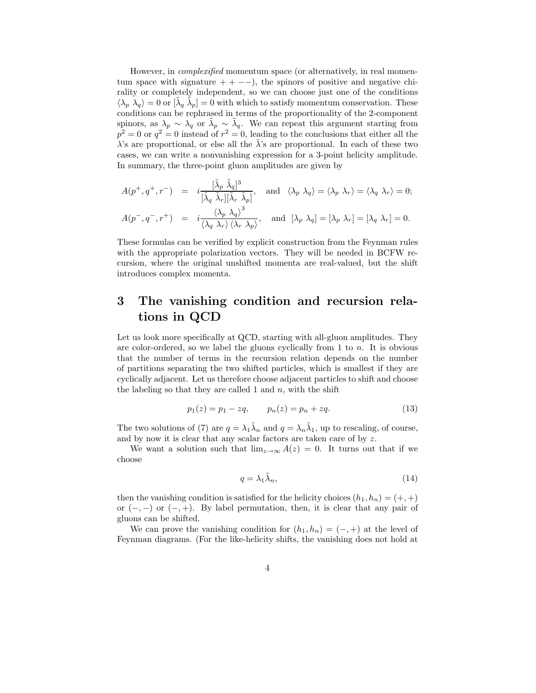However, in *complexified* momentum space (or alternatively, in real momentum space with signature  $++$  --), the spinors of positive and negative chirality or completely independent, so we can choose just one of the conditions  $\langle \lambda_p \rangle \lambda_q$  = 0 or  $[\tilde{\lambda}_q \tilde{\lambda}_p] = 0$  with which to satisfy momentum conservation. These conditions can be rephrased in terms of the proportionality of the 2-component spinors, as  $\lambda_p \sim \lambda_q$  or  $\tilde{\lambda}_p \sim \tilde{\lambda}_q$ . We can repeat this argument starting from  $p^2 = 0$  or  $q^2 = 0$  instead of  $r^2 = 0$ , leading to the conclusions that either all the  $\lambda$ 's are proportional, or else all the  $\lambda$ 's are proportional. In each of these two cases, we can write a nonvanishing expression for a 3-point helicity amplitude. In summary, the three-point gluon amplitudes are given by

$$
A(p^+, q^+, r^-) = i \frac{[\tilde{\lambda}_p \tilde{\lambda}_q]^3}{[\tilde{\lambda}_q \tilde{\lambda}_r][\tilde{\lambda}_r \tilde{\lambda}_p]}, \text{ and } \langle \lambda_p \lambda_q \rangle = \langle \lambda_p \lambda_r \rangle = \langle \lambda_q \lambda_r \rangle = 0;
$$
  

$$
A(p^-, q^-, r^+) = i \frac{\langle \lambda_p \lambda_q \rangle^3}{\langle \lambda_q \lambda_r \rangle \langle \lambda_r \lambda_p \rangle}, \text{ and } [\lambda_p \lambda_q] = [\lambda_p \lambda_r] = [\lambda_q \lambda_r] = 0.
$$

These formulas can be verified by explicit construction from the Feynman rules with the appropriate polarization vectors. They will be needed in BCFW recursion, where the original unshifted momenta are real-valued, but the shift introduces complex momenta.

# 3 The vanishing condition and recursion relations in QCD

Let us look more specifically at QCD, starting with all-gluon amplitudes. They are color-ordered, so we label the gluons cyclically from 1 to  $n$ . It is obvious that the number of terms in the recursion relation depends on the number of partitions separating the two shifted particles, which is smallest if they are cyclically adjacent. Let us therefore choose adjacent particles to shift and choose the labeling so that they are called 1 and  $n$ , with the shift

$$
p_1(z) = p_1 - zq, \qquad p_n(z) = p_n + zq. \tag{13}
$$

The two solutions of (7) are  $q = \lambda_1 \tilde{\lambda}_n$  and  $q = \lambda_n \tilde{\lambda}_1$ , up to rescaling, of course, and by now it is clear that any scalar factors are taken care of by z.

We want a solution such that  $\lim_{z\to\infty} A(z) = 0$ . It turns out that if we choose

$$
q = \lambda_1 \tilde{\lambda}_n,\tag{14}
$$

then the vanishing condition is satisfied for the helicity choices  $(h_1, h_n) = (+, +)$ or  $(-,-)$  or  $(-,+)$ . By label permutation, then, it is clear that any pair of gluons can be shifted.

We can prove the vanishing condition for  $(h_1, h_n) = (-, +)$  at the level of Feynman diagrams. (For the like-helicity shifts, the vanishing does not hold at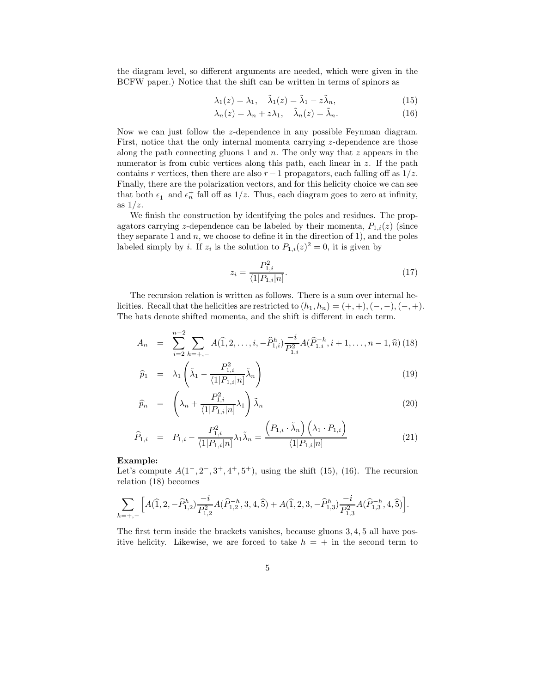the diagram level, so different arguments are needed, which were given in the BCFW paper.) Notice that the shift can be written in terms of spinors as

$$
\lambda_1(z) = \lambda_1, \quad \tilde{\lambda}_1(z) = \tilde{\lambda}_1 - z\tilde{\lambda}_n,\tag{15}
$$

$$
\lambda_n(z) = \lambda_n + z\lambda_1, \quad \tilde{\lambda}_n(z) = \tilde{\lambda}_n. \tag{16}
$$

Now we can just follow the z-dependence in any possible Feynman diagram. First, notice that the only internal momenta carrying z-dependence are those along the path connecting gluons 1 and  $n$ . The only way that  $z$  appears in the numerator is from cubic vertices along this path, each linear in z. If the path contains r vertices, then there are also  $r - 1$  propagators, each falling off as  $1/z$ . Finally, there are the polarization vectors, and for this helicity choice we can see that both  $\epsilon_1^-$  and  $\epsilon_n^+$  fall off as  $1/z$ . Thus, each diagram goes to zero at infinity, as  $1/z$ .

We finish the construction by identifying the poles and residues. The propagators carrying z-dependence can be labeled by their momenta,  $P_{1,i}(z)$  (since they separate 1 and  $n$ , we choose to define it in the direction of 1), and the poles labeled simply by *i*. If  $z_i$  is the solution to  $P_{1,i}(z)^2 = 0$ , it is given by

$$
z_i = \frac{P_{1,i}^2}{\langle 1|P_{1,i}|n\rangle}.
$$
\n(17)

The recursion relation is written as follows. There is a sum over internal helicities. Recall that the helicities are restricted to  $(h_1, h_n) = (+, +), (-, -), (-, +).$ The hats denote shifted momenta, and the shift is different in each term.

$$
A_n = \sum_{i=2}^{n-2} \sum_{h=+,-} A(\hat{1}, 2, \dots, i, -\hat{P}_{1,i}^h) \frac{-i}{P_{1,i}^2} A(\hat{P}_{1,i}^{-h}, i+1, \dots, n-1, \hat{n})
$$
(18)

$$
\widehat{p}_1 = \lambda_1 \left( \tilde{\lambda}_1 - \frac{P_{1,i}^2}{\langle 1 | P_{1,i} | n |} \tilde{\lambda}_n \right) \tag{19}
$$

$$
\widehat{p}_n = \left(\lambda_n + \frac{P_{1,i}^2}{\langle 1|P_{1,i}|n\rangle} \lambda_1\right) \widetilde{\lambda}_n \tag{20}
$$

$$
\widehat{P}_{1,i} = P_{1,i} - \frac{P_{1,i}^2}{\langle 1|P_{1,i}|n]} \lambda_1 \tilde{\lambda}_n = \frac{\left(P_{1,i} \cdot \tilde{\lambda}_n\right) \left(\lambda_1 \cdot P_{1,i}\right)}{\langle 1|P_{1,i}|n]}
$$
(21)

#### Example:

Let's compute  $A(1^-, 2^-, 3^+, 4^+, 5^+)$ , using the shift (15), (16). The recursion relation (18) becomes

$$
\sum_{h=+,-}{\Big[A(\widehat{1},2,-\widehat{P}_{1,2}^h)\frac{-i}{P_{1,2}^2}A(\widehat{P}_{1,2}^{-h},3,4,\widehat{5}) + A(\widehat{1},2,3,-\widehat{P}_{1,3}^h)\frac{-i}{P_{1,3}^2}A(\widehat{P}_{1,3}^{-h},4,\widehat{5})\Big]}.
$$

The first term inside the brackets vanishes, because gluons 3, 4, 5 all have positive helicity. Likewise, we are forced to take  $h = +$  in the second term to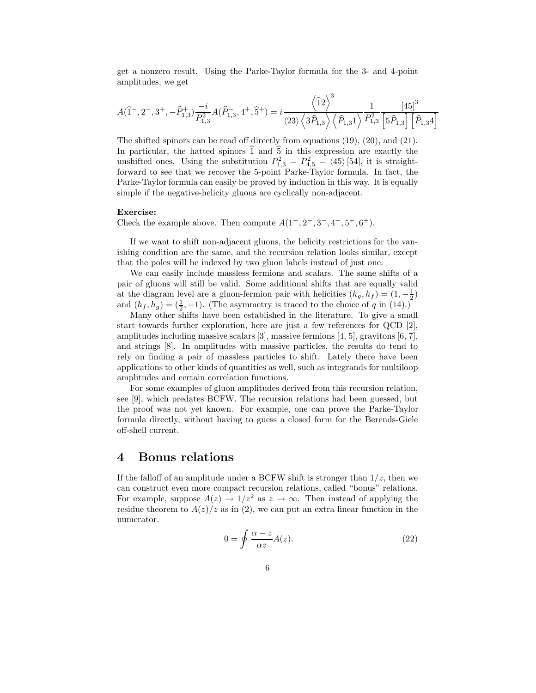get a nonzero result. Using the Parke-Taylor formula for the 3- and 4-point amplitudes, we get

$$
A(\hat{1}^{-}, 2^{-}, 3^{+}, -\hat{P}_{1,3}^{+}) \frac{-i}{P_{1,3}^{2}} A(\hat{P}_{1,3}^{-}, 4^{+}, \hat{5}^{+}) = i \frac{\left\langle \hat{1}2 \right\rangle^{3}}{\left\langle 23 \right\rangle \left\langle 3\hat{P}_{1,3} \right\rangle \left\langle \hat{P}_{1,31} \right\rangle} \frac{1}{P_{1,3}^{2}} \frac{\left[45\right]^{3}}{\left[5\hat{P}_{1,3}\right]\left[\hat{P}_{1,34}\right]}
$$

The shifted spinors can be read off directly from equations (19), (20), and (21). In particular, the hatted spinors  $\hat{1}$  and  $\hat{5}$  in this expression are exactly the unshifted ones. Using the substitution  $P_{1,3}^2 = P_{4,5}^2 = \langle 45 \rangle$  [54], it is straightforward to see that we recover the 5-point Parke-Taylor formula. In fact, the Parke-Taylor formula can easily be proved by induction in this way. It is equally simple if the negative-helicity gluons are cyclically non-adjacent.

#### Exercise:

Check the example above. Then compute  $A(1^-, 2^-, 3^-, 4^+, 5^+, 6^+).$ 

If we want to shift non-adjacent gluons, the helicity restrictions for the vanishing condition are the same, and the recursion relation looks similar, except that the poles will be indexed by two gluon labels instead of just one.

We can easily include massless fermions and scalars. The same shifts of a pair of gluons will still be valid. Some additional shifts that are equally valid at the diagram level are a gluon-fermion pair with helicities  $(h_g, h_f) = (1, -\frac{1}{2})$ and  $(h_f, h_g) = (\frac{1}{2}, -1)$ . (The asymmetry is traced to the choice of q in (14).)

Many other shifts have been established in the literature. To give a small start towards further exploration, here are just a few references for  $QCD$  [2], amplitudes including massive scalars [3], massive fermions [4, 5], gravitons [6, 7], and strings [8]. In amplitudes with massive particles, the results do tend to rely on finding a pair of massless particles to shift. Lately there have been applications to other kinds of quantities as well, such as integrands for multiloop amplitudes and certain correlation functions.

For some examples of gluon amplitudes derived from this recursion relation, see [9], which predates BCFW. The recursion relations had been guessed, but the proof was not yet known. For example, one can prove the Parke-Taylor formula directly, without having to guess a closed form for the Berends-Giele off-shell current.

## 4 Bonus relations

If the falloff of an amplitude under a BCFW shift is stronger than  $1/z$ , then we can construct even more compact recursion relations, called "bonus" relations. For example, suppose  $A(z) \to 1/z^2$  as  $z \to \infty$ . Then instead of applying the residue theorem to  $A(z)/z$  as in (2), we can put an extra linear function in the numerator.

$$
0 = \oint \frac{\alpha - z}{\alpha z} A(z).
$$
 (22)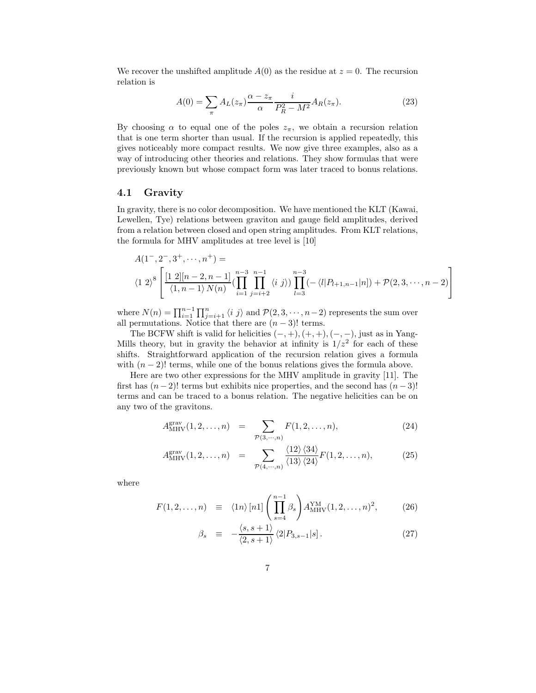We recover the unshifted amplitude  $A(0)$  as the residue at  $z = 0$ . The recursion relation is

$$
A(0) = \sum_{\pi} A_L(z_{\pi}) \frac{\alpha - z_{\pi}}{\alpha} \frac{i}{P_R^2 - M^2} A_R(z_{\pi}).
$$
\n(23)

By choosing  $\alpha$  to equal one of the poles  $z_{\pi}$ , we obtain a recursion relation that is one term shorter than usual. If the recursion is applied repeatedly, this gives noticeably more compact results. We now give three examples, also as a way of introducing other theories and relations. They show formulas that were previously known but whose compact form was later traced to bonus relations.

#### 4.1 Gravity

In gravity, there is no color decomposition. We have mentioned the KLT (Kawai, Lewellen, Tye) relations between graviton and gauge field amplitudes, derived from a relation between closed and open string amplitudes. From KLT relations, the formula for MHV amplitudes at tree level is [10]

$$
A(1^-, 2^-, 3^+, \cdots, n^+) =
$$
  
\n
$$
\langle 1 \ 2 \rangle^8 \left[ \frac{[1 \ 2][n-2, n-1]}{\langle 1, n-1 \rangle N(n)} \left( \prod_{i=1}^{n-3} \prod_{j=i+2}^{n-1} \langle i \ j \rangle \right) \prod_{l=3}^{n-3} \left( -\langle l | P_{l+1, n-1} | n \rangle \right) + \mathcal{P}(2, 3, \cdots, n-2) \right]
$$

where  $N(n) = \prod_{i=1}^{n-1} \prod_{j=i+1}^{n} \langle i \ j \rangle$  and  $\mathcal{P}(2, 3, \dots, n-2)$  represents the sum over all permutations. Notice that there are  $(n-3)!$  terms.

The BCFW shift is valid for helicities  $(-, +), (+, +), (-, -)$ , just as in Yang-Mills theory, but in gravity the behavior at infinity is  $1/z^2$  for each of these shifts. Straightforward application of the recursion relation gives a formula with  $(n-2)!$  terms, while one of the bonus relations gives the formula above.

Here are two other expressions for the MHV amplitude in gravity [11]. The first has  $(n-2)!$  terms but exhibits nice properties, and the second has  $(n-3)!$ terms and can be traced to a bonus relation. The negative helicities can be on any two of the gravitons.

$$
A_{\text{MHV}}^{\text{grav}}(1, 2, \dots, n) = \sum_{\mathcal{P}(3, \dots, n)} F(1, 2, \dots, n), \tag{24}
$$

$$
A_{\text{MHV}}^{\text{grav}}(1,2,\ldots,n) = \sum_{\mathcal{P}(4,\cdots,n)} \frac{\langle 12 \rangle \langle 34 \rangle}{\langle 13 \rangle \langle 24 \rangle} F(1,2,\ldots,n), \tag{25}
$$

where

$$
F(1,2,\ldots,n) \equiv \langle 1n \rangle [n] \left( \prod_{s=4}^{n-1} \beta_s \right) A_{\text{MHV}}^{\text{YM}}(1,2,\ldots,n)^2, \tag{26}
$$

$$
\beta_s \equiv -\frac{\langle s, s+1 \rangle}{\langle 2, s+1 \rangle} \langle 2|P_{3,s-1}|s]. \tag{27}
$$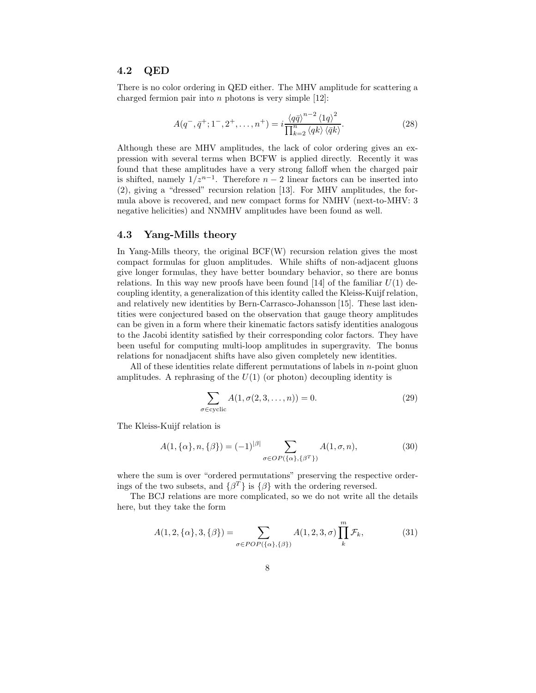#### 4.2 QED

There is no color ordering in QED either. The MHV amplitude for scattering a charged fermion pair into  $n$  photons is very simple [12]:

$$
A(q^-, \bar{q}^+; 1^-, 2^+, \dots, n^+) = i \frac{\langle q\bar{q}\rangle^{n-2} \langle 1q\rangle^2}{\prod_{k=2}^n \langle qk\rangle \langle \bar{q}k\rangle}.
$$
 (28)

Although these are MHV amplitudes, the lack of color ordering gives an expression with several terms when BCFW is applied directly. Recently it was found that these amplitudes have a very strong falloff when the charged pair is shifted, namely  $1/z^{n-1}$ . Therefore  $n-2$  linear factors can be inserted into (2), giving a "dressed" recursion relation [13]. For MHV amplitudes, the formula above is recovered, and new compact forms for NMHV (next-to-MHV: 3 negative helicities) and NNMHV amplitudes have been found as well.

#### 4.3 Yang-Mills theory

In Yang-Mills theory, the original BCF(W) recursion relation gives the most compact formulas for gluon amplitudes. While shifts of non-adjacent gluons give longer formulas, they have better boundary behavior, so there are bonus relations. In this way new proofs have been found [14] of the familiar  $U(1)$  decoupling identity, a generalization of this identity called the Kleiss-Kuijf relation, and relatively new identities by Bern-Carrasco-Johansson [15]. These last identities were conjectured based on the observation that gauge theory amplitudes can be given in a form where their kinematic factors satisfy identities analogous to the Jacobi identity satisfied by their corresponding color factors. They have been useful for computing multi-loop amplitudes in supergravity. The bonus relations for nonadjacent shifts have also given completely new identities.

All of these identities relate different permutations of labels in  $n$ -point gluon amplitudes. A rephrasing of the  $U(1)$  (or photon) decoupling identity is

$$
\sum_{\sigma \in \text{cyclic}} A(1, \sigma(2, 3, \dots, n)) = 0.
$$
 (29)

The Kleiss-Kuijf relation is

$$
A(1, \{\alpha\}, n, \{\beta\}) = (-1)^{|\beta|} \sum_{\sigma \in OP(\{\alpha\}, \{\beta^T\})} A(1, \sigma, n),
$$
 (30)

where the sum is over "ordered permutations" preserving the respective orderings of the two subsets, and  $\{\beta^T\}$  is  $\{\beta\}$  with the ordering reversed.

The BCJ relations are more complicated, so we do not write all the details here, but they take the form

$$
A(1,2,\{\alpha\},3,\{\beta\}) = \sum_{\sigma \in POP(\{\alpha\},\{\beta\})} A(1,2,3,\sigma) \prod_{k}^{m} \mathcal{F}_{k},
$$
(31)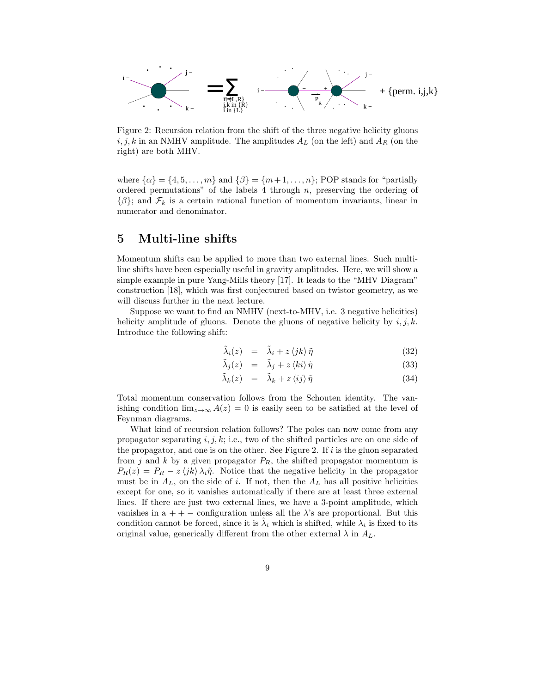

Figure 2: Recursion relation from the shift of the three negative helicity gluons  $i, j, k$  in an NMHV amplitude. The amplitudes  $A_L$  (on the left) and  $A_R$  (on the right) are both MHV.

where  $\{\alpha\} = \{4, 5, \ldots, m\}$  and  $\{\beta\} = \{m+1, \ldots, n\}$ ; POP stands for "partially ordered permutations" of the labels 4 through  $n$ , preserving the ordering of  $\{\beta\}$ ; and  $\mathcal{F}_k$  is a certain rational function of momentum invariants, linear in numerator and denominator.

## 5 Multi-line shifts

Momentum shifts can be applied to more than two external lines. Such multiline shifts have been especially useful in gravity amplitudes. Here, we will show a simple example in pure Yang-Mills theory [17]. It leads to the "MHV Diagram" construction [18], which was first conjectured based on twistor geometry, as we will discuss further in the next lecture.

Suppose we want to find an NMHV (next-to-MHV, i.e. 3 negative helicities) helicity amplitude of gluons. Denote the gluons of negative helicity by  $i, j, k$ . Introduce the following shift:

$$
\tilde{\lambda}_i(z) = \tilde{\lambda}_i + z \langle jk \rangle \tilde{\eta}
$$
\n(32)

$$
\tilde{\lambda}_j(z) = \tilde{\lambda}_j + z \langle ki \rangle \tilde{\eta}
$$
\n(33)

$$
\tilde{\lambda}_k(z) = \tilde{\lambda}_k + z \langle ij \rangle \tilde{\eta}
$$
\n(34)

Total momentum conservation follows from the Schouten identity. The vanishing condition  $\lim_{z\to\infty} A(z) = 0$  is easily seen to be satisfied at the level of Feynman diagrams.

What kind of recursion relation follows? The poles can now come from any propagator separating  $i, j, k$ ; i.e., two of the shifted particles are on one side of the propagator, and one is on the other. See Figure 2. If i is the gluon separated from j and k by a given propagator  $P_R$ , the shifted propagator momentum is  $P_R(z) = P_R - z \langle jk \rangle \lambda_i \tilde{\eta}$ . Notice that the negative helicity in the propagator must be in  $A_L$ , on the side of i. If not, then the  $A_L$  has all positive helicities except for one, so it vanishes automatically if there are at least three external lines. If there are just two external lines, we have a 3-point amplitude, which vanishes in  $a + -$  configuration unless all the  $\lambda$ 's are proportional. But this condition cannot be forced, since it is  $\tilde{\lambda}_i$  which is shifted, while  $\lambda_i$  is fixed to its original value, generically different from the other external  $\lambda$  in  $A_L$ .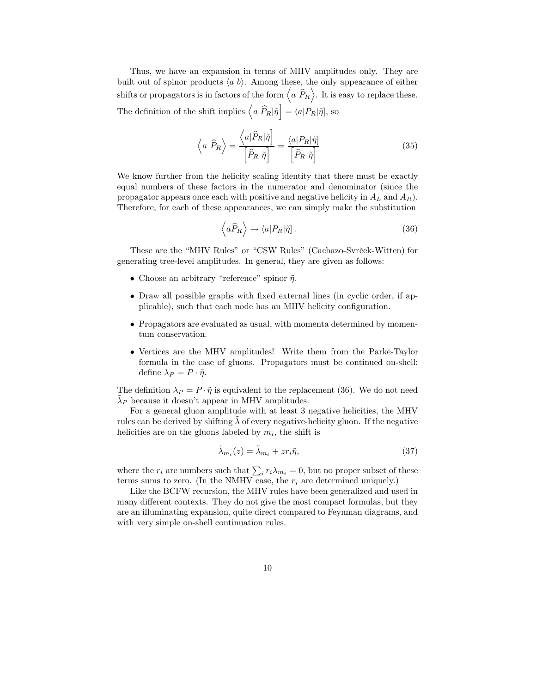Thus, we have an expansion in terms of MHV amplitudes only. They are built out of spinor products  $\langle a, b \rangle$ . Among these, the only appearance of either shifts or propagators is in factors of the form  $\left\langle a \,\,\widehat{P}_R\right\rangle$ . It is easy to replace these. The definition of the shift implies  $\left\langle a|\widehat{P}_R|\tilde{\eta}\right] = \langle a|P_R|\tilde{\eta}\right]$ , so

$$
\left\langle a \ \hat{P}_R \right\rangle = \frac{\left\langle a | \hat{P}_R | \tilde{\eta} \right]}{\left[ \hat{P}_R \ \tilde{\eta} \right]} = \frac{\left\langle a | P_R | \tilde{\eta} \right]}{\left[ \hat{P}_R \ \tilde{\eta} \right]}
$$
(35)

We know further from the helicity scaling identity that there must be exactly equal numbers of these factors in the numerator and denominator (since the propagator appears once each with positive and negative helicity in  $A_L$  and  $A_R$ ). Therefore, for each of these appearances, we can simply make the substitution

$$
\left\langle a\widehat{P}_R\right\rangle \to \langle a|P_R|\tilde{\eta}].\tag{36}
$$

These are the "MHV Rules" or "CSW Rules" (Cachazo-Svrček-Witten) for generating tree-level amplitudes. In general, they are given as follows:

- Choose an arbitrary "reference" spinor  $\tilde{\eta}$ .
- Draw all possible graphs with fixed external lines (in cyclic order, if applicable), such that each node has an MHV helicity configuration.
- Propagators are evaluated as usual, with momenta determined by momentum conservation.
- Vertices are the MHV amplitudes! Write them from the Parke-Taylor formula in the case of gluons. Propagators must be continued on-shell: define  $\lambda_P = P \cdot \tilde{\eta}$ .

The definition  $\lambda_P = P \cdot \tilde{\eta}$  is equivalent to the replacement (36). We do not need  $\tilde{\lambda}_P$  because it doesn't appear in MHV amplitudes.

For a general gluon amplitude with at least 3 negative helicities, the MHV rules can be derived by shifting  $\lambda$  of every negative-helicity gluon. If the negative helicities are on the gluons labeled by  $m_i$ , the shift is

$$
\tilde{\lambda}_{m_i}(z) = \tilde{\lambda}_{m_i} + z r_i \tilde{\eta},\tag{37}
$$

where the  $r_i$  are numbers such that  $\sum_i r_i \lambda_{m_i} = 0$ , but no proper subset of these terms sums to zero. (In the NMHV case, the  $r_i$  are determined uniquely.)

Like the BCFW recursion, the MHV rules have been generalized and used in many different contexts. They do not give the most compact formulas, but they are an illuminating expansion, quite direct compared to Feynman diagrams, and with very simple on-shell continuation rules.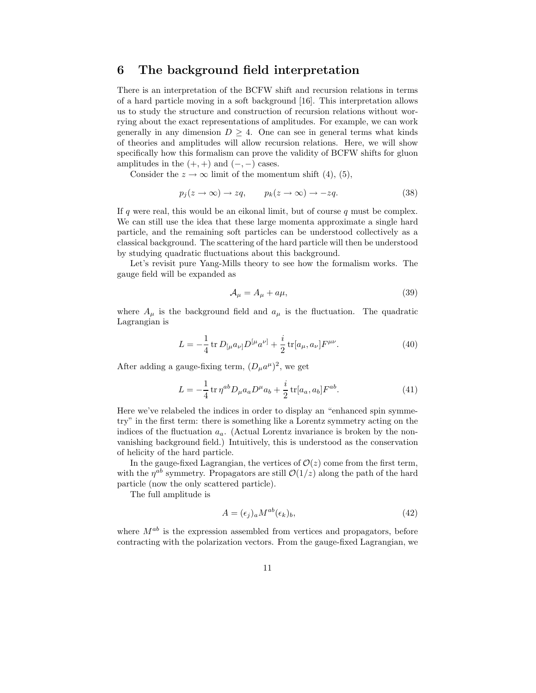## 6 The background field interpretation

There is an interpretation of the BCFW shift and recursion relations in terms of a hard particle moving in a soft background [16]. This interpretation allows us to study the structure and construction of recursion relations without worrying about the exact representations of amplitudes. For example, we can work generally in any dimension  $D \geq 4$ . One can see in general terms what kinds of theories and amplitudes will allow recursion relations. Here, we will show specifically how this formalism can prove the validity of BCFW shifts for gluon amplitudes in the  $(+, +)$  and  $(-, -)$  cases.

Consider the  $z \to \infty$  limit of the momentum shift (4), (5),

$$
p_j(z \to \infty) \to zq, \qquad p_k(z \to \infty) \to -zq. \tag{38}
$$

If q were real, this would be an eikonal limit, but of course  $q$  must be complex. We can still use the idea that these large momenta approximate a single hard particle, and the remaining soft particles can be understood collectively as a classical background. The scattering of the hard particle will then be understood by studying quadratic fluctuations about this background.

Let's revisit pure Yang-Mills theory to see how the formalism works. The gauge field will be expanded as

$$
\mathcal{A}_{\mu} = A_{\mu} + a\mu,\tag{39}
$$

where  $A_\mu$  is the background field and  $a_\mu$  is the fluctuation. The quadratic Lagrangian is

$$
L = -\frac{1}{4} \operatorname{tr} D_{\left[\mu a_{\nu\right]}} D^{\left[\mu a_{\nu\right]} \right] + \frac{i}{2} \operatorname{tr} [a_{\mu}, a_{\nu}] F^{\mu\nu}.
$$
 (40)

After adding a gauge-fixing term,  $(D_{\mu}a^{\mu})^2$ , we get

$$
L = -\frac{1}{4} \text{tr} \,\eta^{ab} D_{\mu} a_a D^{\mu} a_b + \frac{i}{2} \text{tr}[a_a, a_b] F^{ab}.
$$
 (41)

Here we've relabeled the indices in order to display an "enhanced spin symmetry" in the first term: there is something like a Lorentz symmetry acting on the indices of the fluctuation  $a_a$ . (Actual Lorentz invariance is broken by the nonvanishing background field.) Intuitively, this is understood as the conservation of helicity of the hard particle.

In the gauge-fixed Lagrangian, the vertices of  $\mathcal{O}(z)$  come from the first term, with the  $\eta^{ab}$  symmetry. Propagators are still  $\mathcal{O}(1/z)$  along the path of the hard particle (now the only scattered particle).

The full amplitude is

$$
A = (\epsilon_j)_a M^{ab} (\epsilon_k)_b,\tag{42}
$$

where  $M^{ab}$  is the expression assembled from vertices and propagators, before contracting with the polarization vectors. From the gauge-fixed Lagrangian, we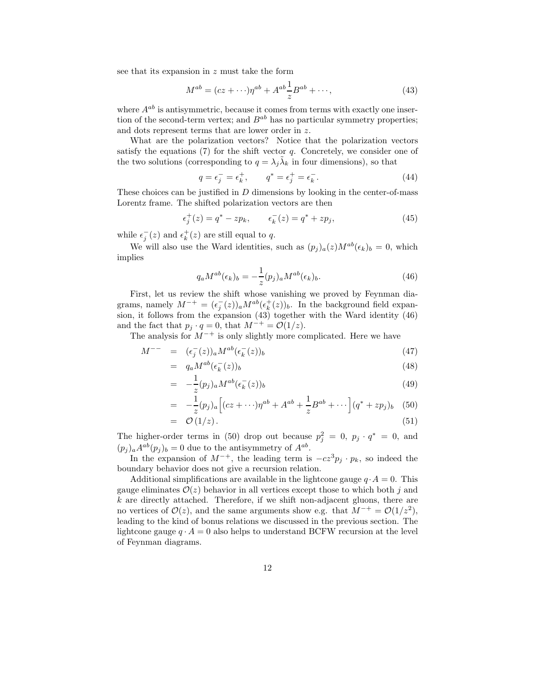see that its expansion in z must take the form

$$
M^{ab} = (cz + \cdots)\eta^{ab} + A^{ab}\frac{1}{z}B^{ab} + \cdots,
$$
\n(43)

where  $A^{ab}$  is antisymmetric, because it comes from terms with exactly one insertion of the second-term vertex; and  $B^{ab}$  has no particular symmetry properties; and dots represent terms that are lower order in z.

What are the polarization vectors? Notice that the polarization vectors satisfy the equations  $(7)$  for the shift vector q. Concretely, we consider one of the two solutions (corresponding to  $q = \lambda_j \tilde{\lambda}_k$  in four dimensions), so that

$$
q = \epsilon_j^- = \epsilon_k^+, \qquad q^* = \epsilon_j^+ = \epsilon_k^-.
$$
\n(44)

These choices can be justified in  $D$  dimensions by looking in the center-of-mass Lorentz frame. The shifted polarization vectors are then

$$
\epsilon_j^+(z) = q^* - z p_k, \qquad \epsilon_k^-(z) = q^* + z p_j,\tag{45}
$$

while  $\epsilon_j^-(z)$  and  $\epsilon_k^+(z)$  are still equal to q.

We will also use the Ward identities, such as  $(p_j)_a(z)M^{ab}(\epsilon_k)_b = 0$ , which implies

$$
q_a M^{ab}(\epsilon_k)_b = -\frac{1}{z}(p_j)_a M^{ab}(\epsilon_k)_b.
$$
\n(46)

First, let us review the shift whose vanishing we proved by Feynman diagrams, namely  $M^{-+} = (\epsilon_j^-(z))_a M^{ab} (\epsilon_k^+(z))_b$ . In the background field expansion, it follows from the expansion (43) together with the Ward identity (46) and the fact that  $p_i \cdot q = 0$ , that  $M^{-+} = \mathcal{O}(1/z)$ .

The analysis for  $M^{-+}$  is only slightly more complicated. Here we have

$$
M^{--} = (\epsilon_j^-(z))_a M^{ab} (\epsilon_k^-(z))_b \tag{47}
$$

$$
= q_a M^{ab} (\epsilon_k^-(z))_b \tag{48}
$$

$$
= -\frac{1}{z}(p_j)_a M^{ab}(\epsilon_k^-(z))_b \tag{49}
$$

$$
= -\frac{1}{z}(p_j)_a [(cz + \cdots)\eta^{ab} + A^{ab} + \frac{1}{z}B^{ab} + \cdots] (q^* + zp_j)_b
$$
 (50)

$$
= \mathcal{O}(1/z). \tag{51}
$$

The higher-order terms in (50) drop out because  $p_j^2 = 0$ ,  $p_j \cdot q^* = 0$ , and  $(p_j)_a A^{ab}(p_j)_b = 0$  due to the antisymmetry of  $A^{ab}$ .

In the expansion of  $M^{-+}$ , the leading term is  $-cz^3p_j \cdot p_k$ , so indeed the boundary behavior does not give a recursion relation.

Additional simplifications are available in the lightcone gauge  $q \cdot A = 0$ . This gauge eliminates  $\mathcal{O}(z)$  behavior in all vertices except those to which both j and  $k$  are directly attached. Therefore, if we shift non-adjacent gluons, there are no vertices of  $\mathcal{O}(z)$ , and the same arguments show e.g. that  $M^{-+} = \mathcal{O}(1/z^2)$ , leading to the kind of bonus relations we discussed in the previous section. The lightcone gauge  $q \cdot A = 0$  also helps to understand BCFW recursion at the level of Feynman diagrams.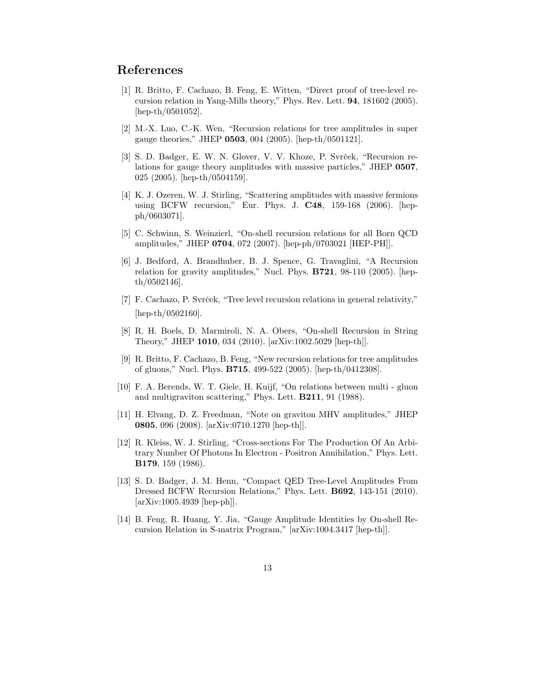# References

- [1] R. Britto, F. Cachazo, B. Feng, E. Witten, "Direct proof of tree-level recursion relation in Yang-Mills theory," Phys. Rev. Lett. 94, 181602 (2005). [hep-th/0501052].
- [2] M.-X. Luo, C.-K. Wen, "Recursion relations for tree amplitudes in super gauge theories," JHEP 0503, 004 (2005). [hep-th/0501121].
- [3] S. D. Badger, E. W. N. Glover, V. V. Khoze, P. Svrček, "Recursion relations for gauge theory amplitudes with massive particles," JHEP 0507, 025 (2005). [hep-th/0504159].
- [4] K. J. Ozeren, W. J. Stirling, "Scattering amplitudes with massive fermions using BCFW recursion," Eur. Phys. J. C48, 159-168 (2006). [hepph/0603071].
- [5] C. Schwinn, S. Weinzierl, "On-shell recursion relations for all Born QCD amplitudes," JHEP 0704, 072 (2007). [hep-ph/0703021 [HEP-PH]].
- [6] J. Bedford, A. Brandhuber, B. J. Spence, G. Travaglini, "A Recursion relation for gravity amplitudes," Nucl. Phys. B721, 98-110 (2005). [hepth/0502146].
- [7] F. Cachazo, P. Svrček, "Tree level recursion relations in general relativity," [hep-th/0502160].
- [8] R. H. Boels, D. Marmiroli, N. A. Obers, "On-shell Recursion in String Theory," JHEP 1010, 034 (2010). [arXiv:1002.5029 [hep-th]].
- [9] R. Britto, F. Cachazo, B. Feng, "New recursion relations for tree amplitudes of gluons," Nucl. Phys. B715, 499-522 (2005). [hep-th/0412308].
- [10] F. A. Berends, W. T. Giele, H. Kuijf, "On relations between multi gluon and multigraviton scattering," Phys. Lett. B211, 91 (1988).
- [11] H. Elvang, D. Z. Freedman, "Note on graviton MHV amplitudes," JHEP 0805, 096 (2008). [arXiv:0710.1270 [hep-th]].
- [12] R. Kleiss, W. J. Stirling, "Cross-sections For The Production Of An Arbitrary Number Of Photons In Electron - Positron Annihilation," Phys. Lett. B179, 159 (1986).
- [13] S. D. Badger, J. M. Henn, "Compact QED Tree-Level Amplitudes From Dressed BCFW Recursion Relations," Phys. Lett. B692, 143-151 (2010). [arXiv:1005.4939 [hep-ph]].
- [14] B. Feng, R. Huang, Y. Jia, "Gauge Amplitude Identities by On-shell Recursion Relation in S-matrix Program," [arXiv:1004.3417 [hep-th]].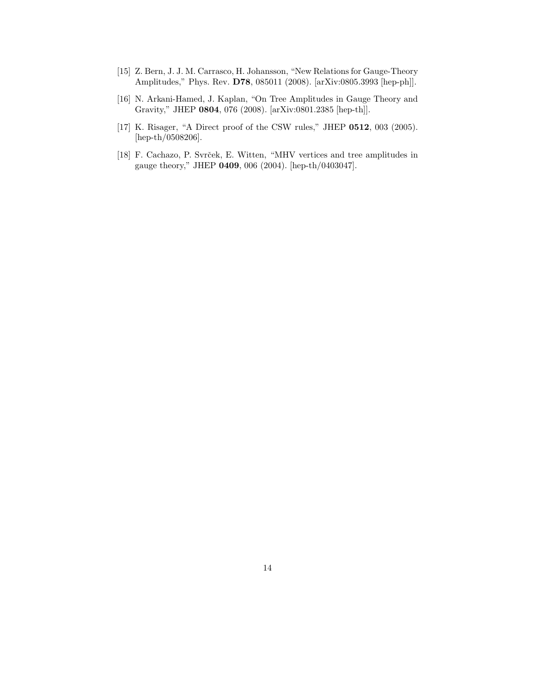- [15] Z. Bern, J. J. M. Carrasco, H. Johansson, "New Relations for Gauge-Theory Amplitudes," Phys. Rev. D78, 085011 (2008). [arXiv:0805.3993 [hep-ph]].
- [16] N. Arkani-Hamed, J. Kaplan, "On Tree Amplitudes in Gauge Theory and Gravity," JHEP 0804, 076 (2008). [arXiv:0801.2385 [hep-th]].
- [17] K. Risager, "A Direct proof of the CSW rules," JHEP **0512**, 003 (2005). [hep-th/0508206].
- [18] F. Cachazo, P. Svrček, E. Witten, "MHV vertices and tree amplitudes in gauge theory," JHEP 0409, 006 (2004). [hep-th/0403047].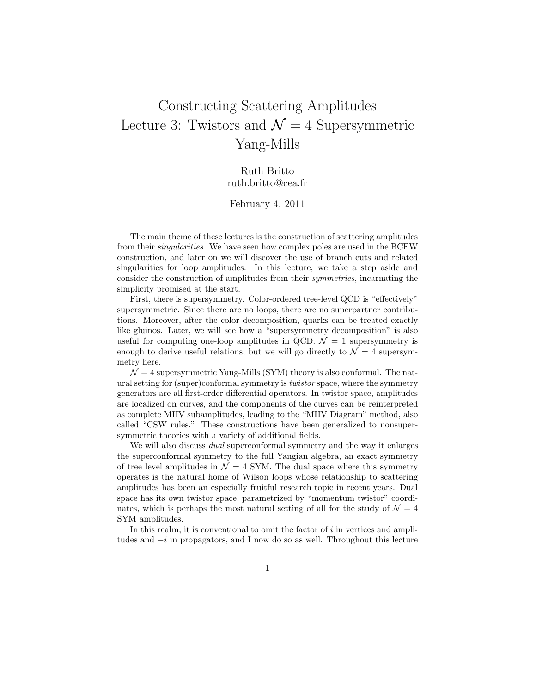# Constructing Scattering Amplitudes Lecture 3: Twistors and  $\mathcal{N}=4$  Supersymmetric Yang-Mills

Ruth Britto ruth.britto@cea.fr

February 4, 2011

The main theme of these lectures is the construction of scattering amplitudes from their singularities. We have seen how complex poles are used in the BCFW construction, and later on we will discover the use of branch cuts and related singularities for loop amplitudes. In this lecture, we take a step aside and consider the construction of amplitudes from their symmetries, incarnating the simplicity promised at the start.

First, there is supersymmetry. Color-ordered tree-level QCD is "effectively" supersymmetric. Since there are no loops, there are no superpartner contributions. Moreover, after the color decomposition, quarks can be treated exactly like gluinos. Later, we will see how a "supersymmetry decomposition" is also useful for computing one-loop amplitudes in QCD.  $\mathcal{N} = 1$  supersymmetry is enough to derive useful relations, but we will go directly to  $\mathcal{N}=4$  supersymmetry here.

 $\mathcal{N} = 4$  supersymmetric Yang-Mills (SYM) theory is also conformal. The natural setting for (super)conformal symmetry is twistor space, where the symmetry generators are all first-order differential operators. In twistor space, amplitudes are localized on curves, and the components of the curves can be reinterpreted as complete MHV subamplitudes, leading to the "MHV Diagram" method, also called "CSW rules." These constructions have been generalized to nonsupersymmetric theories with a variety of additional fields.

We will also discuss *dual* superconformal symmetry and the way it enlarges the superconformal symmetry to the full Yangian algebra, an exact symmetry of tree level amplitudes in  $\mathcal{N} = 4$  SYM. The dual space where this symmetry operates is the natural home of Wilson loops whose relationship to scattering amplitudes has been an especially fruitful research topic in recent years. Dual space has its own twistor space, parametrized by "momentum twistor" coordinates, which is perhaps the most natural setting of all for the study of  $\mathcal{N} = 4$ SYM amplitudes.

In this realm, it is conventional to omit the factor of  $i$  in vertices and amplitudes and  $-i$  in propagators, and I now do so as well. Throughout this lecture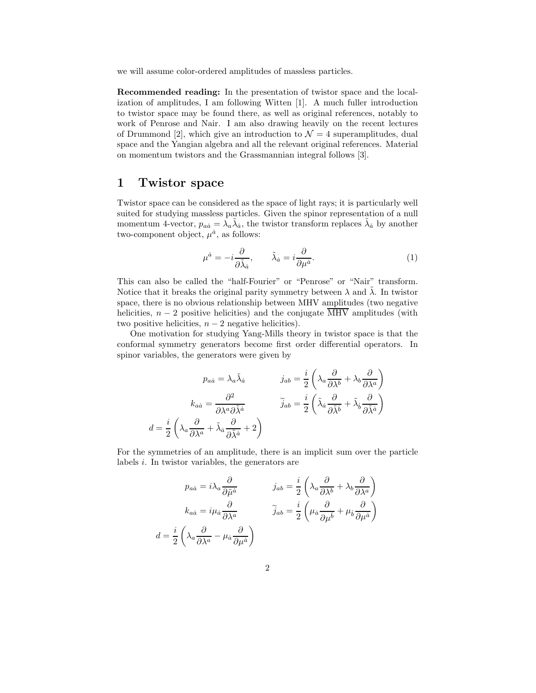we will assume color-ordered amplitudes of massless particles.

Recommended reading: In the presentation of twistor space and the localization of amplitudes, I am following Witten [1]. A much fuller introduction to twistor space may be found there, as well as original references, notably to work of Penrose and Nair. I am also drawing heavily on the recent lectures of Drummond [2], which give an introduction to  $\mathcal{N}=4$  superamplitudes, dual space and the Yangian algebra and all the relevant original references. Material on momentum twistors and the Grassmannian integral follows [3].

## 1 Twistor space

Twistor space can be considered as the space of light rays; it is particularly well suited for studying massless particles. Given the spinor representation of a null momentum 4-vector,  $p_{a\dot{a}} = \lambda_a \tilde{\lambda}_{\dot{a}}$ , the twistor transform replaces  $\tilde{\lambda}_{\dot{a}}$  by another two-component object,  $\mu^{\dot{a}}$ , as follows:

$$
\mu^{\dot{a}} = -i \frac{\partial}{\partial \tilde{\lambda}_{\dot{a}}}, \qquad \tilde{\lambda}_{\dot{a}} = i \frac{\partial}{\partial \mu^{\dot{a}}}.
$$
\n(1)

This can also be called the "half-Fourier" or "Penrose" or "Nair" transform. Notice that it breaks the original parity symmetry between  $\lambda$  and  $\lambda$ . In twistor space, there is no obvious relationship between MHV amplitudes (two negative helicities,  $n-2$  positive helicities) and the conjugate  $\overline{\text{MHV}}$  amplitudes (with two positive helicities,  $n - 2$  negative helicities).

One motivation for studying Yang-Mills theory in twistor space is that the conformal symmetry generators become first order differential operators. In spinor variables, the generators were given by

$$
p_{a\dot{a}} = \lambda_a \tilde{\lambda}_{\dot{a}} \qquad \qquad j_{ab} = \frac{i}{2} \left( \lambda_a \frac{\partial}{\partial \lambda^b} + \lambda_b \frac{\partial}{\partial \lambda^a} \right)
$$

$$
k_{a\dot{a}} = \frac{\partial^2}{\partial \lambda^a \partial \tilde{\lambda}^{\dot{a}}} \qquad \qquad \tilde{j}_{ab} = \frac{i}{2} \left( \tilde{\lambda}_{\dot{a}} \frac{\partial}{\partial \tilde{\lambda}^{\dot{b}}} + \tilde{\lambda}_{\dot{b}} \frac{\partial}{\partial \tilde{\lambda}^{\dot{a}}} \right)
$$

$$
d = \frac{i}{2} \left( \lambda_a \frac{\partial}{\partial \lambda^a} + \tilde{\lambda}_{\dot{a}} \frac{\partial}{\partial \tilde{\lambda}^{\dot{a}}} + 2 \right)
$$

For the symmetries of an amplitude, there is an implicit sum over the particle labels i. In twistor variables, the generators are

$$
p_{a\dot{a}} = i\lambda_a \frac{\partial}{\partial \tilde{\mu}^{\dot{a}}}
$$
\n
$$
j_{ab} = \frac{i}{2} \left( \lambda_a \frac{\partial}{\partial \lambda^b} + \lambda_b \frac{\partial}{\partial \lambda^a} \right)
$$
\n
$$
k_{a\dot{a}} = i\mu_{\dot{a}} \frac{\partial}{\partial \lambda^a}
$$
\n
$$
\tilde{j}_{ab} = \frac{i}{2} \left( \mu_{\dot{a}} \frac{\partial}{\partial \mu^{\dot{b}}} + \mu_{\dot{b}} \frac{\partial}{\partial \mu^{\dot{a}}} \right)
$$
\n
$$
d = \frac{i}{2} \left( \lambda_a \frac{\partial}{\partial \lambda^a} - \mu_{\dot{a}} \frac{\partial}{\partial \mu^{\dot{a}}} \right)
$$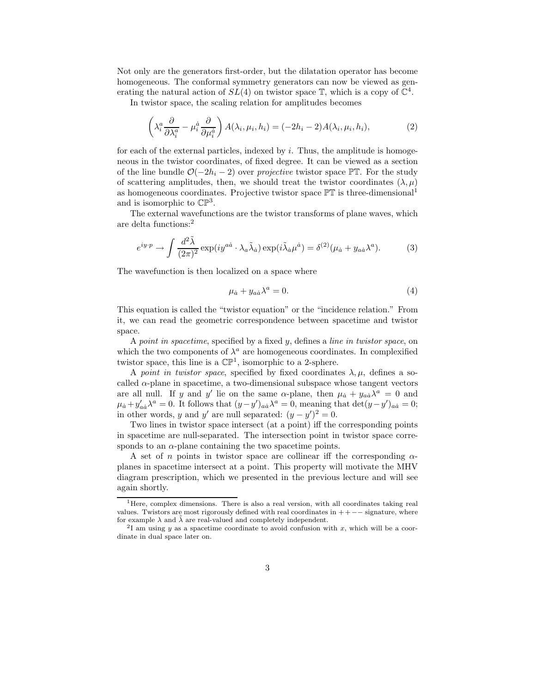Not only are the generators first-order, but the dilatation operator has become homogeneous. The conformal symmetry generators can now be viewed as generating the natural action of  $SL(4)$  on twistor space  $\mathbb{T}$ , which is a copy of  $\mathbb{C}^4$ .

In twistor space, the scaling relation for amplitudes becomes

$$
\left(\lambda_i^a \frac{\partial}{\partial \lambda_i^a} - \mu_i^{\dot{a}} \frac{\partial}{\partial \mu_i^{\dot{a}}}\right) A(\lambda_i, \mu_i, h_i) = (-2h_i - 2)A(\lambda_i, \mu_i, h_i),\tag{2}
$$

for each of the external particles, indexed by  $i$ . Thus, the amplitude is homogeneous in the twistor coordinates, of fixed degree. It can be viewed as a section of the line bundle  $\mathcal{O}(-2h_i-2)$  over projective twistor space PT. For the study of scattering amplitudes, then, we should treat the twistor coordinates  $(\lambda, \mu)$ as homogeneous coordinates. Projective twistor space  $\mathbb{PT}$  is three-dimensional<sup>1</sup> and is isomorphic to  $\mathbb{CP}^3$ .

The external wavefunctions are the twistor transforms of plane waves, which are delta functions:<sup>2</sup>

$$
e^{iy\cdot p} \to \int \frac{d^2\tilde{\lambda}}{(2\pi)^2} \exp(i y^{a\dot{a}} \cdot \lambda_a \tilde{\lambda}_{\dot{a}}) \exp(i \tilde{\lambda}_{\dot{a}} \mu^{\dot{a}}) = \delta^{(2)}(\mu_{\dot{a}} + y_{a\dot{a}} \lambda^a). \tag{3}
$$

The wavefunction is then localized on a space where

$$
\mu_{\dot{a}} + y_{a\dot{a}}\lambda^a = 0. \tag{4}
$$

This equation is called the "twistor equation" or the "incidence relation." From it, we can read the geometric correspondence between spacetime and twistor space.

A point in spacetime, specified by a fixed  $y$ , defines a line in twistor space, on which the two components of  $\lambda^a$  are homogeneous coordinates. In complexified twistor space, this line is a  $\mathbb{CP}^1$ , isomorphic to a 2-sphere.

A point in twistor space, specified by fixed coordinates  $\lambda, \mu$ , defines a socalled  $\alpha$ -plane in spacetime, a two-dimensional subspace whose tangent vectors are all null. If y and y' lie on the same  $\alpha$ -plane, then  $\mu_{\dot{a}} + y_{a\dot{a}}\lambda^a = 0$  and  $\mu_a + y'_{aa}\lambda^a = 0$ . It follows that  $(y-y')_{aa}\lambda^a = 0$ , meaning that  $\det(y-y')_{aa} = 0$ ; in other words, y and y' are null separated:  $(y - y')^2 = 0$ .

Two lines in twistor space intersect (at a point) iff the corresponding points in spacetime are null-separated. The intersection point in twistor space corresponds to an  $\alpha$ -plane containing the two spacetime points.

A set of n points in twistor space are collinear iff the corresponding  $\alpha$ planes in spacetime intersect at a point. This property will motivate the MHV diagram prescription, which we presented in the previous lecture and will see again shortly.

<sup>&</sup>lt;sup>1</sup>Here, complex dimensions. There is also a real version, with all coordinates taking real values. Twistors are most rigorously defined with real coordinates in  $++-$  signature, where for example  $\lambda$  and  $\tilde{\lambda}$  are real-valued and completely independent.

<sup>&</sup>lt;sup>2</sup>I am using y as a spacetime coordinate to avoid confusion with x, which will be a coordinate in dual space later on.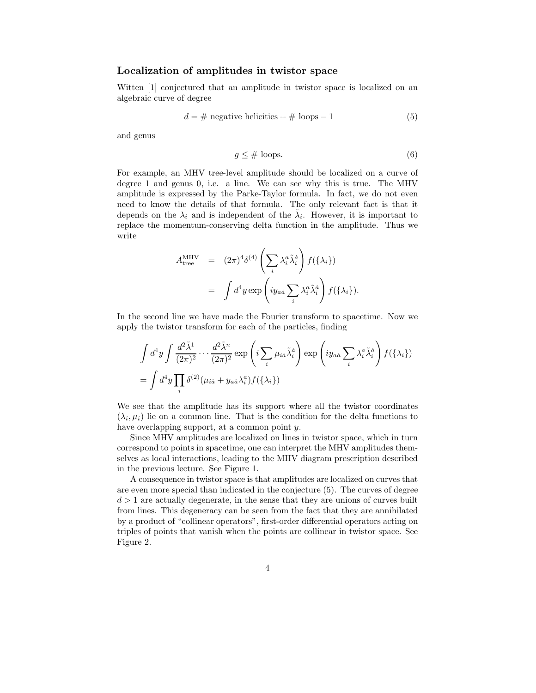#### Localization of amplitudes in twistor space

Witten [1] conjectured that an amplitude in twistor space is localized on an algebraic curve of degree

$$
d = # negative helicities + # loops - 1
$$
 (5)

and genus

$$
g \leq \# \text{ loops.} \tag{6}
$$

For example, an MHV tree-level amplitude should be localized on a curve of degree 1 and genus 0, i.e. a line. We can see why this is true. The MHV amplitude is expressed by the Parke-Taylor formula. In fact, we do not even need to know the details of that formula. The only relevant fact is that it depends on the  $\lambda_i$  and is independent of the  $\tilde{\lambda}_i$ . However, it is important to replace the momentum-conserving delta function in the amplitude. Thus we write

$$
A_{\text{tree}}^{\text{MHV}} = (2\pi)^4 \delta^{(4)} \left( \sum_i \lambda_i^a \tilde{\lambda}_i^{\dot{a}} \right) f(\{\lambda_i\})
$$
  

$$
= \int d^4 y \exp \left( i y_{a\dot{a}} \sum_i \lambda_i^a \tilde{\lambda}_i^{\dot{a}} \right) f(\{\lambda_i\}).
$$

In the second line we have made the Fourier transform to spacetime. Now we apply the twistor transform for each of the particles, finding

$$
\int d^4y \int \frac{d^2\tilde{\lambda}^1}{(2\pi)^2} \cdots \frac{d^2\tilde{\lambda}^n}{(2\pi)^2} \exp\left(i \sum_i \mu_{i\dot{a}} \tilde{\lambda}^{\dot{a}}_i\right) \exp\left(i y_{a\dot{a}} \sum_i \lambda_i^a \tilde{\lambda}^{\dot{a}}_i\right) f(\{\lambda_i\})
$$
  
= 
$$
\int d^4y \prod_i \delta^{(2)}(\mu_{i\dot{a}} + y_{a\dot{a}} \lambda_i^a) f(\{\lambda_i\})
$$

We see that the amplitude has its support where all the twistor coordinates  $(\lambda_i, \mu_i)$  lie on a common line. That is the condition for the delta functions to have overlapping support, at a common point y.

Since MHV amplitudes are localized on lines in twistor space, which in turn correspond to points in spacetime, one can interpret the MHV amplitudes themselves as local interactions, leading to the MHV diagram prescription described in the previous lecture. See Figure 1.

A consequence in twistor space is that amplitudes are localized on curves that are even more special than indicated in the conjecture (5). The curves of degree  $d > 1$  are actually degenerate, in the sense that they are unions of curves built from lines. This degeneracy can be seen from the fact that they are annihilated by a product of "collinear operators", first-order differential operators acting on triples of points that vanish when the points are collinear in twistor space. See Figure 2.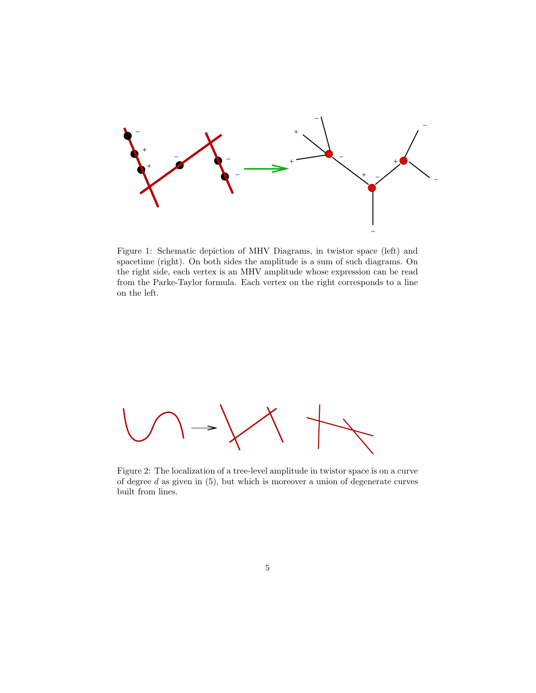

Figure 1: Schematic depiction of MHV Diagrams, in twistor space (left) and spacetime (right). On both sides the amplitude is a sum of such diagrams. On the right side, each vertex is an MHV amplitude whose expression can be read from the Parke-Taylor formula. Each vertex on the right corresponds to a line on the left.



Figure 2: The localization of a tree-level amplitude in twistor space is on a curve of degree  $d$  as given in  $(5)$ , but which is moreover a union of degenerate curves built from lines.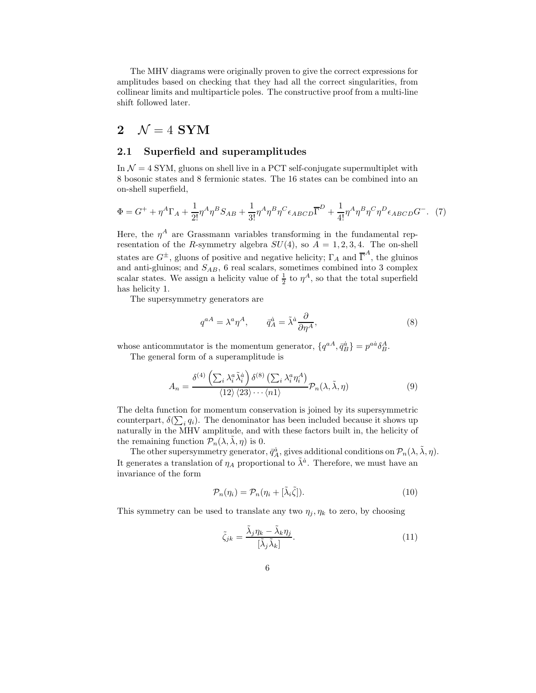The MHV diagrams were originally proven to give the correct expressions for amplitudes based on checking that they had all the correct singularities, from collinear limits and multiparticle poles. The constructive proof from a multi-line shift followed later.

## 2  $\mathcal{N}=4$  SYM

#### 2.1 Superfield and superamplitudes

In  $\mathcal{N} = 4$  SYM, gluons on shell live in a PCT self-conjugate supermultiplet with 8 bosonic states and 8 fermionic states. The 16 states can be combined into an on-shell superfield,

$$
\Phi = G^+ + \eta^A \Gamma_A + \frac{1}{2!} \eta^A \eta^B S_{AB} + \frac{1}{3!} \eta^A \eta^B \eta^C \epsilon_{ABCD} \overline{\Gamma}^D + \frac{1}{4!} \eta^A \eta^B \eta^C \eta^D \epsilon_{ABCD} G^- .
$$
 (7)

Here, the  $\eta^A$  are Grassmann variables transforming in the fundamental representation of the R-symmetry algebra  $SU(4)$ , so  $A = 1, 2, 3, 4$ . The on-shell states are  $G^{\pm}$ , gluons of positive and negative helicity;  $\Gamma_A$  and  $\overline{\Gamma}^A$ , the gluinos and anti-gluinos; and  $S_{AB}$ , 6 real scalars, sometimes combined into 3 complex scalar states. We assign a helicity value of  $\frac{1}{2}$  to  $\eta^A$ , so that the total superfield has helicity 1.

The supersymmetry generators are

$$
q^{aA} = \lambda^a \eta^A, \qquad \bar{q}_A^{\dot{a}} = \tilde{\lambda}^{\dot{a}} \frac{\partial}{\partial \eta^A},\tag{8}
$$

whose anticommutator is the momentum generator,  $\{q^{aA}, \bar{q}_B^{\dot{a}}\} = p^{a\dot{a}} \delta_B^A$ . The general form of a superamplitude is

$$
A_n = \frac{\delta^{(4)}\left(\sum_i \lambda_i^a \tilde{\lambda}_i^{\dot{a}}\right) \delta^{(8)}\left(\sum_i \lambda_i^a \eta_i^A\right)}{\langle 12 \rangle \langle 23 \rangle \cdots \langle n1 \rangle} \mathcal{P}_n(\lambda, \tilde{\lambda}, \eta) \tag{9}
$$

The delta function for momentum conservation is joined by its supersymmetric counterpart,  $\delta(\sum_i q_i)$ . The denominator has been included because it shows up naturally in the MHV amplitude, and with these factors built in, the helicity of the remaining function  $\mathcal{P}_n(\lambda, \lambda, \eta)$  is 0.

The other supersymmetry generator,  $\bar{q}_A^{\dot{a}}$ , gives additional conditions on  $\mathcal{P}_n(\lambda, \tilde{\lambda}, \eta)$ . It generates a translation of  $\eta_A$  proportional to  $\tilde{\lambda}^{\dot{a}}$ . Therefore, we must have an invariance of the form

$$
\mathcal{P}_n(\eta_i) = \mathcal{P}_n(\eta_i + [\tilde{\lambda}_i \tilde{\zeta}]). \tag{10}
$$

This symmetry can be used to translate any two  $\eta_j, \eta_k$  to zero, by choosing

$$
\tilde{\zeta}_{jk} = \frac{\tilde{\lambda}_j \eta_k - \tilde{\lambda}_k \eta_j}{[\tilde{\lambda}_j \tilde{\lambda}_k]}.
$$
\n(11)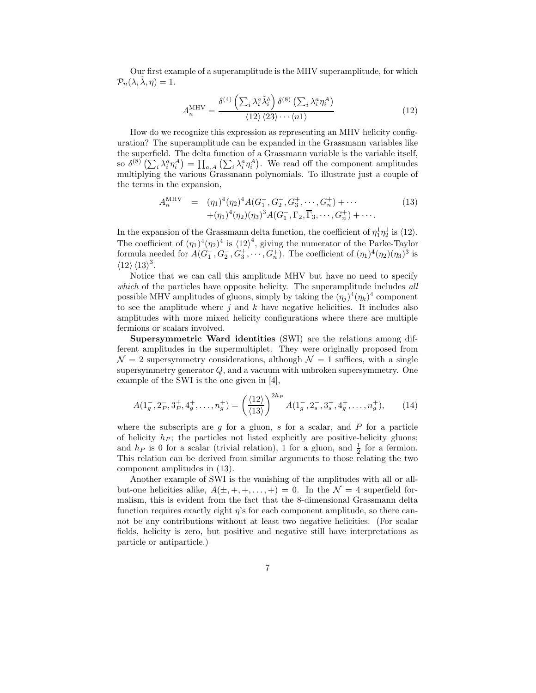Our first example of a superamplitude is the MHV superamplitude, for which  $\mathcal{P}_n(\lambda, \tilde{\lambda}, \eta) = 1.$ 

$$
A_n^{\text{MHV}} = \frac{\delta^{(4)}\left(\sum_i \lambda_i^a \tilde{\lambda}_i^a\right) \delta^{(8)}\left(\sum_i \lambda_i^a \eta_i^A\right)}{\langle 12 \rangle \langle 23 \rangle \cdots \langle n1 \rangle} \tag{12}
$$

How do we recognize this expression as representing an MHV helicity configuration? The superamplitude can be expanded in the Grassmann variables like the superfield. The delta function of a Grassmann variable is the variable itself, so  $\delta^{(8)}\left(\sum_i \lambda_i^a \eta_i^A\right) = \prod_{a,A} \left(\sum_i \lambda_i^a \eta_i^A\right)$ . We read off the component amplitudes multiplying the various Grassmann polynomials. To illustrate just a couple of the terms in the expansion,

$$
A_n^{\text{MHV}} = (\eta_1)^4 (\eta_2)^4 A(G_1^-, G_2^-, G_3^+, \cdots, G_n^+) + \cdots + (\eta_1)^4 (\eta_2) (\eta_3)^3 A(G_1^-, \Gamma_2, \overline{\Gamma}_3, \cdots, G_n^+) + \cdots.
$$
 (13)

In the expansion of the Grassmann delta function, the coefficient of  $\eta_1^1 \eta_2^1$  is  $\langle 12 \rangle$ . The coefficient of  $(\eta_1)^4(\eta_2)^4$  is  $\langle 12 \rangle^4$ , giving the numerator of the Parke-Taylor formula needed for  $A(G_1^-, G_2^-, G_3^+, \cdots, G_n^+ )$ . The coefficient of  $(\eta_1)^4(\eta_2)(\eta_3)^3$  is  $\langle 12 \rangle \langle 13 \rangle^3$ .

Notice that we can call this amplitude MHV but have no need to specify which of the particles have opposite helicity. The superamplitude includes all possible MHV amplitudes of gluons, simply by taking the  $(\eta_j)^4(\eta_k)^4$  component to see the amplitude where  $j$  and  $k$  have negative helicities. It includes also amplitudes with more mixed helicity configurations where there are multiple fermions or scalars involved.

Supersymmetric Ward identities (SWI) are the relations among different amplitudes in the supermultiplet. They were originally proposed from  $\mathcal{N}=2$  supersymmetry considerations, although  $\mathcal{N}=1$  suffices, with a single supersymmetry generator Q, and a vacuum with unbroken supersymmetry. One example of the SWI is the one given in [4],

$$
A(1_g^-, 2_p^-, 3_p^+, 4_g^+, \dots, n_g^+) = \left(\frac{\langle 12 \rangle}{\langle 13 \rangle}\right)^{2h_P} A(1_g^-, 2_s^-, 3_s^+, 4_g^+, \dots, n_g^+), \tag{14}
$$

where the subscripts are q for a gluon, s for a scalar, and  $P$  for a particle of helicity  $h_P$ ; the particles not listed explicitly are positive-helicity gluons; and  $h_P$  is 0 for a scalar (trivial relation), 1 for a gluon, and  $\frac{1}{2}$  for a fermion. This relation can be derived from similar arguments to those relating the two component amplitudes in (13).

Another example of SWI is the vanishing of the amplitudes with all or allbut-one helicities alike,  $A(\pm, +, +, \ldots, +) = 0$ . In the  $\mathcal{N} = 4$  superfield formalism, this is evident from the fact that the 8-dimensional Grassmann delta function requires exactly eight  $\eta$ 's for each component amplitude, so there cannot be any contributions without at least two negative helicities. (For scalar fields, helicity is zero, but positive and negative still have interpretations as particle or antiparticle.)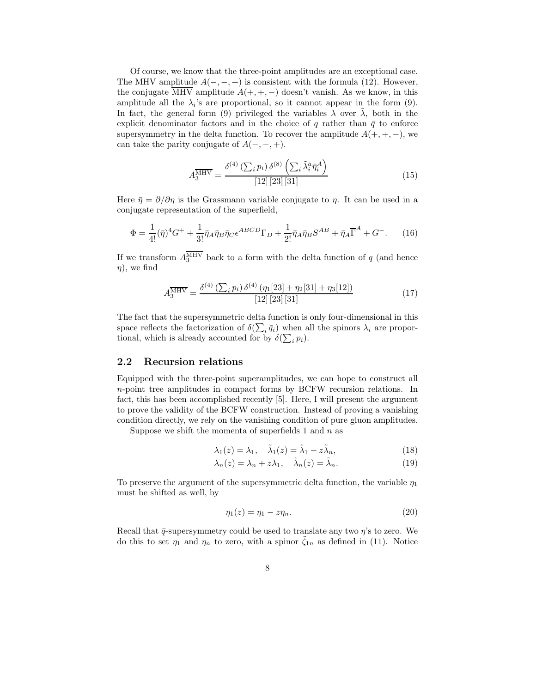Of course, we know that the three-point amplitudes are an exceptional case. The MHV amplitude  $A(-, -, +)$  is consistent with the formula (12). However, the conjugate  $\overline{\text{MHV}}$  amplitude  $A(+, +, -)$  doesn't vanish. As we know, in this amplitude all the  $\lambda_i$ 's are proportional, so it cannot appear in the form (9). In fact, the general form (9) privileged the variables  $\lambda$  over  $\lambda$ , both in the explicit denominator factors and in the choice of q rather than  $\bar{q}$  to enforce supersymmetry in the delta function. To recover the amplitude  $A(+, +, -)$ , we can take the parity conjugate of  $A(-, -, +)$ .

$$
A_3^{\overline{\text{MHV}}} = \frac{\delta^{(4)}\left(\sum_i p_i\right) \delta^{(8)}\left(\sum_i \tilde{\lambda}_i^{\dot{a}} \bar{\eta}_i^A\right)}{[12] [23] [31]}
$$
(15)

Here  $\bar{\eta} = \partial/\partial \eta$  is the Grassmann variable conjugate to  $\eta$ . It can be used in a conjugate representation of the superfield,

$$
\Phi = \frac{1}{4!}(\bar{\eta})^4 G^+ + \frac{1}{3!} \bar{\eta}_A \bar{\eta}_B \bar{\eta}_C \epsilon^{ABCD} \Gamma_D + \frac{1}{2!} \bar{\eta}_A \bar{\eta}_B S^{AB} + \bar{\eta}_A \overline{\Gamma}^A + G^-.
$$
 (16)

If we transform  $A_3^{\text{MHV}}$  back to a form with the delta function of  $q$  (and hence  $\eta$ , we find

$$
A_3^{\overline{\text{MHV}}} = \frac{\delta^{(4)}\left(\sum_i p_i\right) \delta^{(4)}\left(\eta_1[23] + \eta_2[31] + \eta_3[12]\right)}{[12][23][31]}
$$
(17)

The fact that the supersymmetric delta function is only four-dimensional in this space reflects the factorization of  $\delta(\sum_i \bar{q}_i)$  when all the spinors  $\lambda_i$  are proportional, which is already accounted for by  $\delta(\sum_i p_i)$ .

#### 2.2 Recursion relations

Equipped with the three-point superamplitudes, we can hope to construct all n-point tree amplitudes in compact forms by BCFW recursion relations. In fact, this has been accomplished recently [5]. Here, I will present the argument to prove the validity of the BCFW construction. Instead of proving a vanishing condition directly, we rely on the vanishing condition of pure gluon amplitudes.

Suppose we shift the momenta of superfields 1 and  $n$  as

$$
\lambda_1(z) = \lambda_1, \quad \tilde{\lambda}_1(z) = \tilde{\lambda}_1 - z\tilde{\lambda}_n,\tag{18}
$$

$$
\lambda_n(z) = \lambda_n + z\lambda_1, \quad \tilde{\lambda}_n(z) = \tilde{\lambda}_n. \tag{19}
$$

To preserve the argument of the supersymmetric delta function, the variable  $\eta_1$ must be shifted as well, by

$$
\eta_1(z) = \eta_1 - z\eta_n. \tag{20}
$$

Recall that  $\bar{q}$ -supersymmetry could be used to translate any two  $\eta$ 's to zero. We do this to set  $\eta_1$  and  $\eta_n$  to zero, with a spinor  $\zeta_{1n}$  as defined in (11). Notice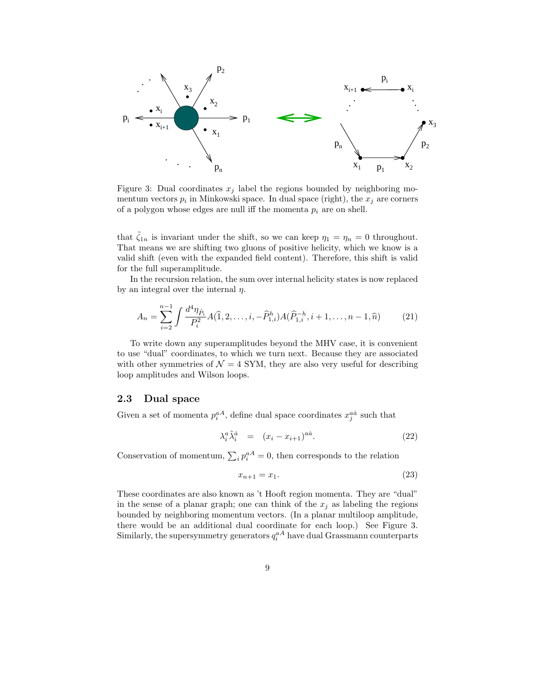

Figure 3: Dual coordinates  $x_i$  label the regions bounded by neighboring momentum vectors  $p_i$  in Minkowski space. In dual space (right), the  $x_j$  are corners of a polygon whose edges are null iff the momenta  $p_i$  are on shell.

that  $\zeta_{1n}$  is invariant under the shift, so we can keep  $\eta_1 = \eta_n = 0$  throughout. That means we are shifting two gluons of positive helicity, which we know is a valid shift (even with the expanded field content). Therefore, this shift is valid for the full superamplitude.

In the recursion relation, the sum over internal helicity states is now replaced by an integral over the internal  $\eta$ .

$$
A_n = \sum_{i=2}^{n-1} \int \frac{d^4 \eta_{\hat{P}_i}}{P_i^2} A(\hat{1}, 2, \dots, i, -\hat{P}_{1,i}^h) A(\hat{P}_{1,i}^{-h}, i+1, \dots, n-1, \hat{n}) \tag{21}
$$

To write down any superamplitudes beyond the MHV case, it is convenient to use "dual" coordinates, to which we turn next. Because they are associated with other symmetries of  $\mathcal{N} = 4$  SYM, they are also very useful for describing loop amplitudes and Wilson loops.

#### 2.3 Dual space

Given a set of momenta  $p_i^{aA}$ , define dual space coordinates  $x_j^{a\dot{a}}$  such that

$$
\lambda_i^a \tilde{\lambda}_i^{\dot{a}} = (x_i - x_{i+1})^{a\dot{a}}.
$$
\n(22)

Conservation of momentum,  $\sum_i p_i^{aA} = 0$ , then corresponds to the relation

$$
x_{n+1} = x_1. \t\t(23)
$$

These coordinates are also known as 't Hooft region momenta. They are "dual" in the sense of a planar graph; one can think of the  $x_j$  as labeling the regions bounded by neighboring momentum vectors. (In a planar multiloop amplitude, there would be an additional dual coordinate for each loop.) See Figure 3. Similarly, the supersymmetry generators  $q_i^{aA}$  have dual Grassmann counterparts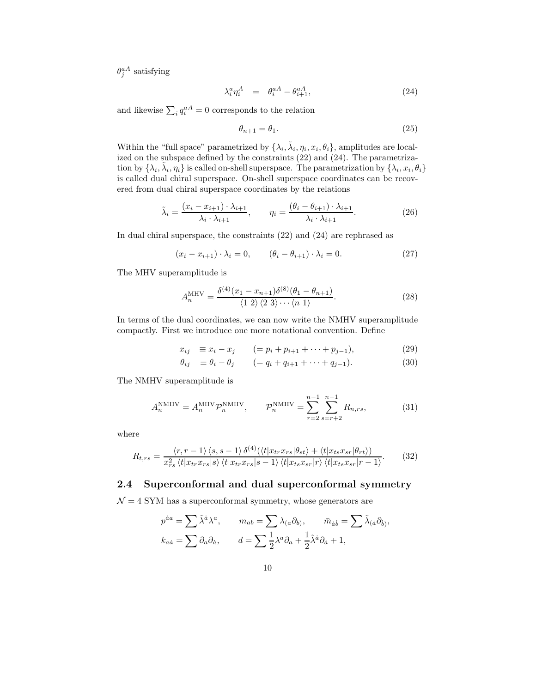$\theta_j^{aA}$  satisfying

$$
\lambda_i^a \eta_i^A = \theta_i^{aA} - \theta_{i+1}^{aA}, \qquad (24)
$$

and likewise  $\sum_i q_i^{aA} = 0$  corresponds to the relation

$$
\theta_{n+1} = \theta_1. \tag{25}
$$

Within the "full space" parametrized by  $\{\lambda_i, \tilde{\lambda}_i, \eta_i, x_i, \theta_i\}$ , amplitudes are localized on the subspace defined by the constraints (22) and (24). The parametrization by  $\{\lambda_i, \tilde{\lambda}_i, \eta_i\}$  is called on-shell superspace. The parametrization by  $\{\lambda_i, x_i, \theta_i\}$ is called dual chiral superspace. On-shell superspace coordinates can be recovered from dual chiral superspace coordinates by the relations

$$
\tilde{\lambda}_i = \frac{(x_i - x_{i+1}) \cdot \lambda_{i+1}}{\lambda_i \cdot \lambda_{i+1}}, \qquad \eta_i = \frac{(\theta_i - \theta_{i+1}) \cdot \lambda_{i+1}}{\lambda_i \cdot \lambda_{i+1}}.
$$
\n(26)

In dual chiral superspace, the constraints (22) and (24) are rephrased as

$$
(x_i - x_{i+1}) \cdot \lambda_i = 0, \qquad (\theta_i - \theta_{i+1}) \cdot \lambda_i = 0.
$$
 (27)

The MHV superamplitude is

$$
A_n^{\text{MHV}} = \frac{\delta^{(4)}(x_1 - x_{n+1})\delta^{(8)}(\theta_1 - \theta_{n+1})}{\langle 1 \ 2 \rangle \langle 2 \ 3 \rangle \cdots \langle n \ 1 \rangle}.
$$
 (28)

In terms of the dual coordinates, we can now write the NMHV superamplitude compactly. First we introduce one more notational convention. Define

$$
x_{ij} \equiv x_i - x_j \qquad (= p_i + p_{i+1} + \dots + p_{j-1}), \tag{29}
$$

$$
\theta_{ij} \equiv \theta_i - \theta_j \qquad (= q_i + q_{i+1} + \dots + q_{j-1}). \tag{30}
$$

The NMHV superamplitude is

$$
A_n^{\text{NMHV}} = A_n^{\text{MHV}} \mathcal{P}_n^{\text{NMHV}}, \qquad \mathcal{P}_n^{\text{NMHV}} = \sum_{r=2}^{n-1} \sum_{s=r+2}^{n-1} R_{n,rs}, \tag{31}
$$

where

$$
R_{t,rs} = \frac{\langle r, r-1 \rangle \langle s, s-1 \rangle \delta^{(4)}(\langle t | x_{tr} x_{rs} | \theta_{st} \rangle + \langle t | x_{ts} x_{sr} | \theta_{rt} \rangle)}{x_{rs}^2 \langle t | x_{tr} x_{rs} | s \rangle \langle t | x_{tr} x_{rs} | s-1 \rangle \langle t | x_{ts} x_{sr} | r \rangle \langle t | x_{ts} x_{sr} | r-1 \rangle}.
$$
(32)

#### 2.4 Superconformal and dual superconformal symmetry

 $\mathcal{N} = 4$  SYM has a superconformal symmetry, whose generators are

$$
p^{\dot{a}a} = \sum \tilde{\lambda}^{\dot{a}} \lambda^{a}, \qquad m_{ab} = \sum \lambda_{(a} \partial_{b)}, \qquad \bar{m}_{\dot{a}\dot{b}} = \sum \tilde{\lambda}_{(\dot{a}} \partial_{\dot{b}}),
$$

$$
k_{a\dot{a}} = \sum \partial_{a} \partial_{\dot{a}}, \qquad d = \sum \frac{1}{2} \lambda^{a} \partial_{a} + \frac{1}{2} \tilde{\lambda}^{\dot{a}} \partial_{\dot{a}} + 1,
$$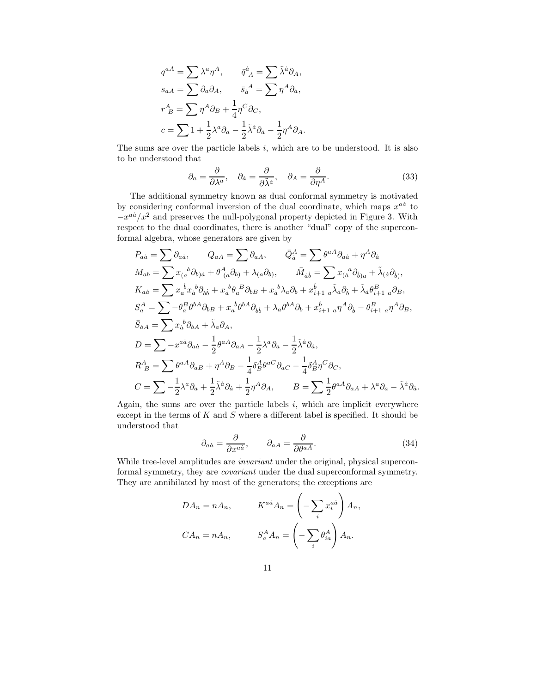$$
q^{aA} = \sum \lambda^a \eta^A, \qquad \bar{q}^{\dot{a}}_A = \sum \tilde{\lambda}^{\dot{a}} \partial_A,
$$
  
\n
$$
s_{aA} = \sum \partial_a \partial_A, \qquad \bar{s}_{\dot{a}}^A = \sum \eta^A \partial_{\dot{a}},
$$
  
\n
$$
r^A_B = \sum \eta^A \partial_B + \frac{1}{4} \eta^C \partial_C,
$$
  
\n
$$
c = \sum 1 + \frac{1}{2} \lambda^a \partial_a - \frac{1}{2} \tilde{\lambda}^{\dot{a}} \partial_{\dot{a}} - \frac{1}{2} \eta^A \partial_A.
$$

The sums are over the particle labels  $i$ , which are to be understood. It is also to be understood that

$$
\partial_a = \frac{\partial}{\partial \lambda^a}, \quad \partial_{\dot{a}} = \frac{\partial}{\partial \tilde{\lambda}^{\dot{a}}}, \quad \partial_A = \frac{\partial}{\partial \eta^A}.
$$
 (33)

The additional symmetry known as dual conformal symmetry is motivated by considering conformal inversion of the dual coordinate, which maps  $x^{a\dot{a}}$  to  $-x^{a\dot{a}}/x^2$  and preserves the null-polygonal property depicted in Figure 3. With respect to the dual coordinates, there is another "dual" copy of the superconformal algebra, whose generators are given by

$$
P_{a\dot{a}} = \sum \partial_{a\dot{a}}, \qquad Q_{aA} = \sum \partial_{aA}, \qquad \bar{Q}_{\dot{a}}^{A} = \sum \theta^{aA} \partial_{a\dot{a}} + \eta^{A} \partial_{\dot{a}}
$$
  
\n
$$
M_{ab} = \sum x_{(a}{}^{\dot{a}} \partial_{b)\dot{a}} + \theta^{A}_{(a} \partial_{b)} + \lambda_{(a} \partial_{b)}, \qquad \bar{M}_{\dot{a}\dot{b}} = \sum x_{(a}{}^{\dot{a}} \partial_{\dot{b})a} + \tilde{\lambda}_{(\dot{a}} \partial_{\dot{b})},
$$
  
\n
$$
K_{a\dot{a}} = \sum x_{a}{}^{\dot{b}} x_{\dot{a}}{}^{\dot{b}} \partial_{b\dot{b}} + x_{\dot{a}}{}^{\dot{b}} \theta_{a}{}^B \partial_{bB} + x_{\dot{a}}{}^{\dot{b}} \lambda_{a} \partial_{b} + x_{\dot{b}+1}{}^{\dot{b}} a_{\dot{a}} \partial_{\dot{b}} + \tilde{\lambda}_{\dot{a}} \theta_{\dot{b}+1}^B a_{\dot{b}},
$$
  
\n
$$
S_{a}^{A} = \sum -\theta_{a}^{B} \theta^{bA} \partial_{bB} + x_{a}{}^{\dot{b}} \theta^{bA} \partial_{b\dot{b}} + \lambda_{a} \theta^{bA} \partial_{b} + x_{\dot{b}+1}{}^{\dot{b}} a_{\dot{b}} \partial_{\dot{b}} - \theta_{\dot{b}+1}{}^{\dot{a}} a_{\dot{b}} \partial_{\dot{b}},
$$
  
\n
$$
\bar{S}_{\dot{a}A} = \sum x_{\dot{a}}{}^{\dot{b}} \partial_{bA} + \tilde{\lambda}_{a} \partial_{A},
$$
  
\n
$$
D = \sum -x^{a\dot{a}} \partial_{a\dot{a}} - \frac{1}{2} \theta^{aA} \partial_{aA} - \frac{1}{2} \lambda^{a} \partial_{a} - \frac{1}{2} \tilde{\lambda}^{\dot{a}} \partial_{\dot{a}},
$$
  
\n
$$
R_{B}^{A} = \sum \theta^{aA} \partial_{aB} + \eta^{A} \partial_{B} - \frac{1}{4} \delta_{
$$

Again, the sums are over the particle labels  $i$ , which are implicit everywhere except in the terms of  $K$  and  $S$  where a different label is specified. It should be understood that

$$
\partial_{a\dot{a}} = \frac{\partial}{\partial x^{a\dot{a}}}, \qquad \partial_{aA} = \frac{\partial}{\partial \theta^{aA}}.
$$
\n(34)

.

While tree-level amplitudes are *invariant* under the original, physical superconformal symmetry, they are covariant under the dual superconformal symmetry. They are annihilated by most of the generators; the exceptions are

$$
DA_n = nA_n, \t K^{a\dot{a}}A_n = \left(-\sum_i x_i^{a\dot{a}}\right)A_n,
$$
  

$$
CA_n = nA_n, \t S_a^A A_n = \left(-\sum_i \theta_{ia}^A\right)A_n.
$$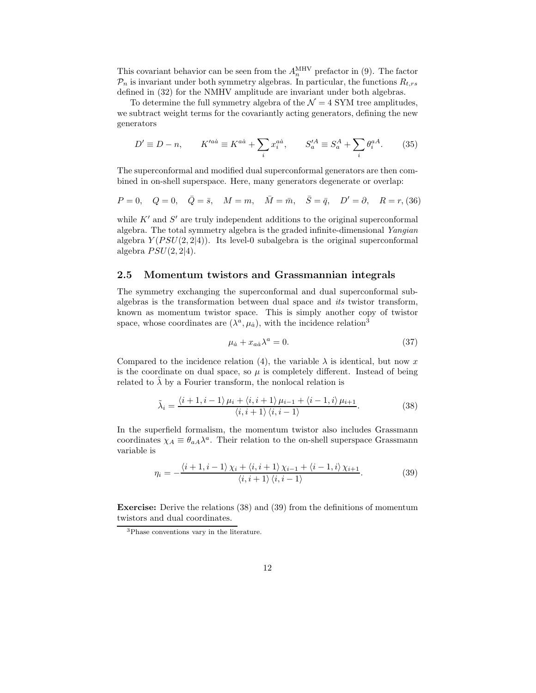This covariant behavior can be seen from the  $A_n^{\text{MHV}}$  prefactor in (9). The factor  $\mathcal{P}_n$  is invariant under both symmetry algebras. In particular, the functions  $R_{t,rs}$ defined in (32) for the NMHV amplitude are invariant under both algebras.

To determine the full symmetry algebra of the  $\mathcal{N}=4$  SYM tree amplitudes, we subtract weight terms for the covariantly acting generators, defining the new generators

$$
D' \equiv D - n, \qquad K'^{a\dot{a}} \equiv K^{a\dot{a}} + \sum_i x_i^{a\dot{a}}, \qquad S'^{A}_{a} \equiv S^A_{a} + \sum_i \theta_i^{aA}.
$$
 (35)

The superconformal and modified dual superconformal generators are then combined in on-shell superspace. Here, many generators degenerate or overlap:

$$
P = 0
$$
,  $Q = 0$ ,  $\bar{Q} = \bar{s}$ ,  $M = m$ ,  $\bar{M} = \bar{m}$ ,  $\bar{S} = \bar{q}$ ,  $D' = \partial$ ,  $R = r$ , (36)

while  $K'$  and  $S'$  are truly independent additions to the original superconformal algebra. The total symmetry algebra is the graded infinite-dimensional Yangian algebra  $Y(PSU(2, 2|4))$ . Its level-0 subalgebra is the original superconformal algebra  $PSU(2, 2|4)$ .

#### 2.5 Momentum twistors and Grassmannian integrals

The symmetry exchanging the superconformal and dual superconformal subalgebras is the transformation between dual space and its twistor transform, known as momentum twistor space. This is simply another copy of twistor space, whose coordinates are  $(\lambda^a, \mu_a)$ , with the incidence relation<sup>3</sup>

$$
\mu_{\dot{a}} + x_{a\dot{a}}\lambda^a = 0. \tag{37}
$$

Compared to the incidence relation (4), the variable  $\lambda$  is identical, but now x is the coordinate on dual space, so  $\mu$  is completely different. Instead of being related to  $\lambda$  by a Fourier transform, the nonlocal relation is

$$
\tilde{\lambda}_{i} = \frac{\langle i+1, i-1 \rangle \mu_{i} + \langle i, i+1 \rangle \mu_{i-1} + \langle i-1, i \rangle \mu_{i+1}}{\langle i, i+1 \rangle \langle i, i-1 \rangle}.
$$
\n(38)

In the superfield formalism, the momentum twistor also includes Grassmann coordinates  $\chi_A \equiv \theta_{aA} \lambda^a$ . Their relation to the on-shell superspace Grassmann variable is

$$
\eta_i = -\frac{\langle i+1, i-1 \rangle \chi_i + \langle i, i+1 \rangle \chi_{i-1} + \langle i-1, i \rangle \chi_{i+1}}{\langle i, i+1 \rangle \langle i, i-1 \rangle}.
$$
\n(39)

Exercise: Derive the relations (38) and (39) from the definitions of momentum twistors and dual coordinates.

<sup>3</sup>Phase conventions vary in the literature.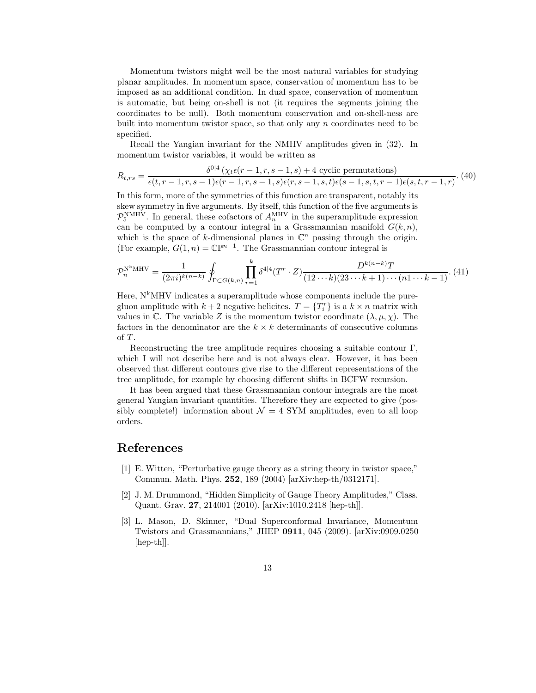Momentum twistors might well be the most natural variables for studying planar amplitudes. In momentum space, conservation of momentum has to be imposed as an additional condition. In dual space, conservation of momentum is automatic, but being on-shell is not (it requires the segments joining the coordinates to be null). Both momentum conservation and on-shell-ness are built into momentum twistor space, so that only any  $n$  coordinates need to be specified.

Recall the Yangian invariant for the NMHV amplitudes given in (32). In momentum twistor variables, it would be written as

$$
R_{t,rs} = \frac{\delta^{0|4} (\chi_t \epsilon(r-1,r,s-1,s) + 4 \text{ cyclic permutations})}{\epsilon(t,r-1,r,s-1)\epsilon(r-1,r,s-1,s)\epsilon(r,s-1,s,t)\epsilon(s-1,s,t,r-1)\epsilon(s,t,r-1,r)}.
$$
(40)

In this form, more of the symmetries of this function are transparent, notably its skew symmetry in five arguments. By itself, this function of the five arguments is  $\mathcal{P}_5^{\text{NMHV}}$ . In general, these cofactors of  $A_n^{\text{MHV}}$  in the superamplitude expression can be computed by a contour integral in a Grassmannian manifold  $G(k, n)$ , which is the space of k-dimensional planes in  $\mathbb{C}^n$  passing through the origin. (For example,  $G(1, n) = \mathbb{CP}^{n-1}$ . The Grassmannian contour integral is

$$
\mathcal{P}_n^{N^k \text{MHV}} = \frac{1}{(2\pi i)^{k(n-k)}} \oint_{\Gamma \subset G(k,n)} \prod_{r=1}^k \delta^{4|4} (T^r \cdot Z) \frac{D^{k(n-k)}T}{(12 \cdots k)(23 \cdots k+1) \cdots (n1 \cdots k-1)}.
$$
(41)

Here,  $N^k$ MHV indicates a superamplitude whose components include the puregluon amplitude with  $k+2$  negative helicites.  $T = \{T_i^r\}$  is a  $k \times n$  matrix with values in C. The variable Z is the momentum twistor coordinate  $(\lambda, \mu, \chi)$ . The factors in the denominator are the  $k \times k$  determinants of consecutive columns of  $T$ .

Reconstructing the tree amplitude requires choosing a suitable contour Γ, which I will not describe here and is not always clear. However, it has been observed that different contours give rise to the different representations of the tree amplitude, for example by choosing different shifts in BCFW recursion.

It has been argued that these Grassmannian contour integrals are the most general Yangian invariant quantities. Therefore they are expected to give (possibly complete!) information about  $\mathcal{N} = 4$  SYM amplitudes, even to all loop orders.

## References

- [1] E. Witten, "Perturbative gauge theory as a string theory in twistor space," Commun. Math. Phys. 252, 189 (2004) [arXiv:hep-th/0312171].
- [2] J. M. Drummond, "Hidden Simplicity of Gauge Theory Amplitudes," Class. Quant. Grav. 27, 214001 (2010). [arXiv:1010.2418 [hep-th]].
- [3] L. Mason, D. Skinner, "Dual Superconformal Invariance, Momentum Twistors and Grassmannians," JHEP 0911, 045 (2009). [arXiv:0909.0250 [hep-th]].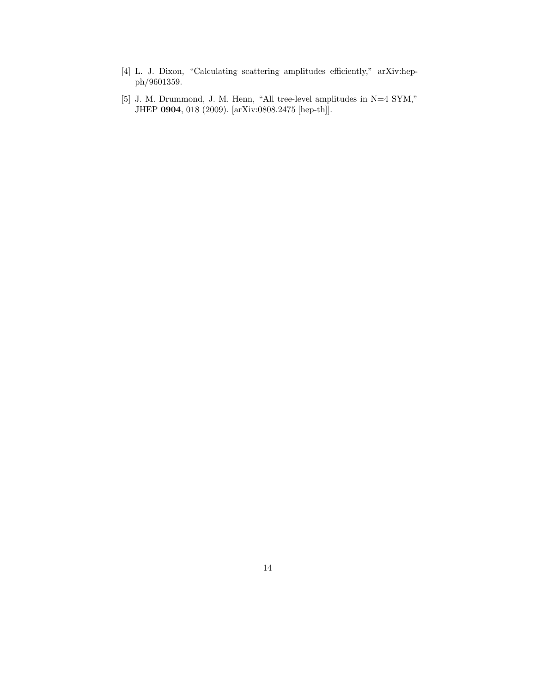- [4] L. J. Dixon, "Calculating scattering amplitudes efficiently," arXiv:hepph/9601359.
- [5] J. M. Drummond, J. M. Henn, "All tree-level amplitudes in N=4 SYM," JHEP 0904, 018 (2009). [arXiv:0808.2475 [hep-th]].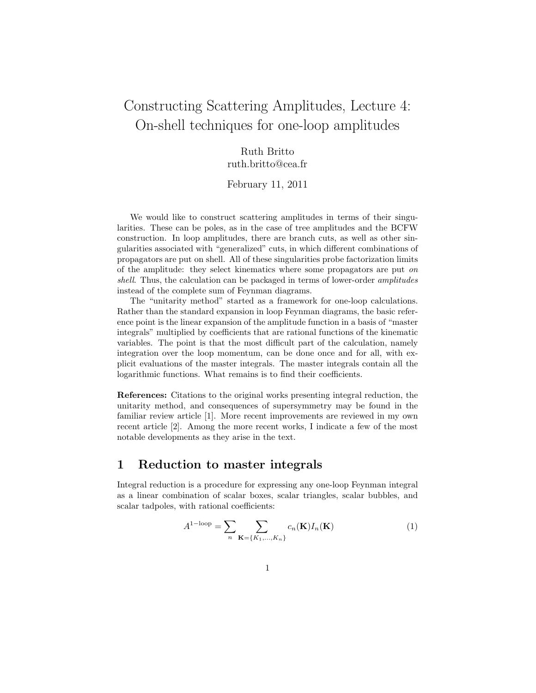# Constructing Scattering Amplitudes, Lecture 4: On-shell techniques for one-loop amplitudes

## Ruth Britto ruth.britto@cea.fr

#### February 11, 2011

We would like to construct scattering amplitudes in terms of their singularities. These can be poles, as in the case of tree amplitudes and the BCFW construction. In loop amplitudes, there are branch cuts, as well as other singularities associated with "generalized" cuts, in which different combinations of propagators are put on shell. All of these singularities probe factorization limits of the amplitude: they select kinematics where some propagators are put on shell. Thus, the calculation can be packaged in terms of lower-order *amplitudes* instead of the complete sum of Feynman diagrams.

The "unitarity method" started as a framework for one-loop calculations. Rather than the standard expansion in loop Feynman diagrams, the basic reference point is the linear expansion of the amplitude function in a basis of "master integrals" multiplied by coefficients that are rational functions of the kinematic variables. The point is that the most difficult part of the calculation, namely integration over the loop momentum, can be done once and for all, with explicit evaluations of the master integrals. The master integrals contain all the logarithmic functions. What remains is to find their coefficients.

References: Citations to the original works presenting integral reduction, the unitarity method, and consequences of supersymmetry may be found in the familiar review article [1]. More recent improvements are reviewed in my own recent article [2]. Among the more recent works, I indicate a few of the most notable developments as they arise in the text.

### 1 Reduction to master integrals

Integral reduction is a procedure for expressing any one-loop Feynman integral as a linear combination of scalar boxes, scalar triangles, scalar bubbles, and scalar tadpoles, with rational coefficients:

$$
A^{1-\text{loop}} = \sum_{n} \sum_{\mathbf{K} = \{K_1, \dots, K_n\}} c_n(\mathbf{K}) I_n(\mathbf{K})
$$
(1)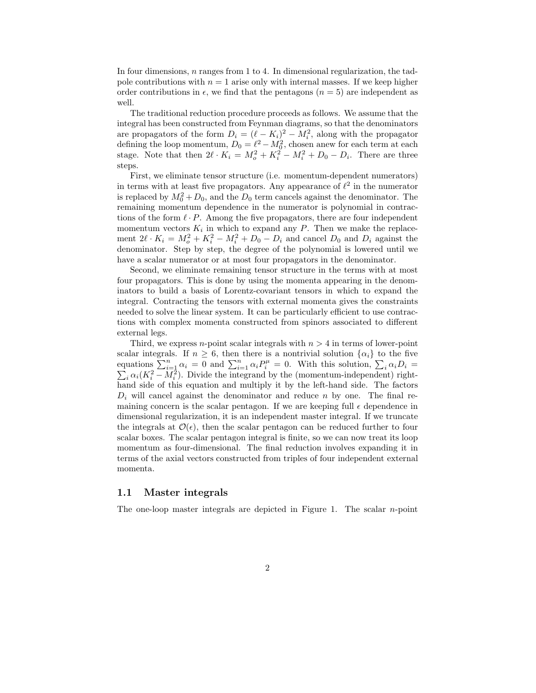In four dimensions, n ranges from 1 to 4. In dimensional regularization, the tadpole contributions with  $n = 1$  arise only with internal masses. If we keep higher order contributions in  $\epsilon$ , we find that the pentagons ( $n = 5$ ) are independent as well.

The traditional reduction procedure proceeds as follows. We assume that the integral has been constructed from Feynman diagrams, so that the denominators are propagators of the form  $D_i = (\ell - K_i)^2 - M_i^2$ , along with the propagator defining the loop momentum,  $D_0 = \ell^2 - M_0^2$ , chosen anew for each term at each stage. Note that then  $2\ell \cdot K_i = M_o^2 + K_i^2 - M_i^2 + D_0 - D_i$ . There are three steps.

First, we eliminate tensor structure (i.e. momentum-dependent numerators) in terms with at least five propagators. Any appearance of  $\ell^2$  in the numerator is replaced by  $M_0^2 + D_0$ , and the  $D_0$  term cancels against the denominator. The remaining momentum dependence in the numerator is polynomial in contractions of the form  $\ell \cdot P$ . Among the five propagators, there are four independent momentum vectors  $K_i$  in which to expand any P. Then we make the replacement  $2\ell \cdot K_i = M_o^2 + K_i^2 - M_i^2 + D_0 - D_i$  and cancel  $D_0$  and  $D_i$  against the denominator. Step by step, the degree of the polynomial is lowered until we have a scalar numerator or at most four propagators in the denominator.

Second, we eliminate remaining tensor structure in the terms with at most four propagators. This is done by using the momenta appearing in the denominators to build a basis of Lorentz-covariant tensors in which to expand the integral. Contracting the tensors with external momenta gives the constraints needed to solve the linear system. It can be particularly efficient to use contractions with complex momenta constructed from spinors associated to different external legs.

Third, we express *n*-point scalar integrals with  $n > 4$  in terms of lower-point scalar integrals. If  $n \geq 6$ , then there is a nontrivial solution  $\{\alpha_i\}$  to the five equations  $\sum_{i=1}^{n} \alpha_i = 0$  and  $\sum_{i=1}^{n} \alpha_i P_i^{\mu} = 0$ . With this solution,  $\sum$  $\sum$  $i \alpha_i D_i =$  $i_i \alpha_i (K_i^2 - M_i^2)$ . Divide the integrand by the (momentum-independent) righthand side of this equation and multiply it by the left-hand side. The factors  $D_i$  will cancel against the denominator and reduce n by one. The final remaining concern is the scalar pentagon. If we are keeping full  $\epsilon$  dependence in dimensional regularization, it is an independent master integral. If we truncate the integrals at  $\mathcal{O}(\epsilon)$ , then the scalar pentagon can be reduced further to four scalar boxes. The scalar pentagon integral is finite, so we can now treat its loop momentum as four-dimensional. The final reduction involves expanding it in terms of the axial vectors constructed from triples of four independent external momenta.

#### 1.1 Master integrals

The one-loop master integrals are depicted in Figure 1. The scalar  $n$ -point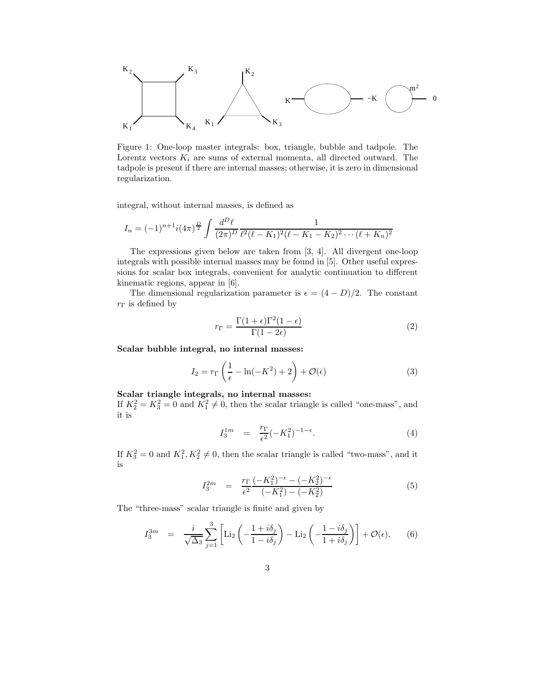

Figure 1: One-loop master integrals: box, triangle, bubble and tadpole. The Lorentz vectors  $K_i$  are sums of external momenta, all directed outward. The tadpole is present if there are internal masses; otherwise, it is zero in dimensional regularization.

integral, without internal masses, is defined as

$$
I_n = (-1)^{n+1} i (4\pi)^{\frac{D}{2}} \int \frac{d^D \ell}{(2\pi)^D} \frac{1}{\ell^2 (\ell - K_1)^2 (\ell - K_1 - K_2)^2 \cdots (\ell + K_n)^2}
$$

The expressions given below are taken from [3, 4]. All divergent one-loop integrals with possible internal masses may be found in [5]. Other useful expressions for scalar box integrals, convenient for analytic continuation to different kinematic regions, appear in [6].

The dimensional regularization parameter is  $\epsilon = (4 - D)/2$ . The constant  $r_{\Gamma}$  is defined by

$$
r_{\Gamma} = \frac{\Gamma(1+\epsilon)\Gamma^2(1-\epsilon)}{\Gamma(1-2\epsilon)}\tag{2}
$$

Scalar bubble integral, no internal masses:

$$
I_2 = r_\Gamma \left(\frac{1}{\epsilon} - \ln(-K^2) + 2\right) + \mathcal{O}(\epsilon)
$$
\n(3)

#### Scalar triangle integrals, no internal masses:

If  $K_2^2 = K_3^2 = 0$  and  $K_1^2 \neq 0$ , then the scalar triangle is called "one-mass", and it is

$$
I_3^{1m} = \frac{r_{\Gamma}}{\epsilon^2} (-K_1^2)^{-1-\epsilon}.
$$
 (4)

If  $K_3^2 = 0$  and  $K_1^2, K_2^2 \neq 0$ , then the scalar triangle is called "two-mass", and it is

$$
I_3^{2m} = \frac{r_{\Gamma}}{\epsilon^2} \frac{(-K_1^2)^{-\epsilon} - (-K_2^2)^{-\epsilon}}{(-K_1^2) - (-K_2^2)}
$$
(5)

The "three-mass" scalar triangle is finite and given by

$$
I_3^{3m} = \frac{i}{\sqrt{\Delta_3}} \sum_{j=1}^3 \left[ \text{Li}_2\left( -\frac{1+i\delta_j}{1-i\delta_j} \right) - \text{Li}_2\left( -\frac{1-i\delta_j}{1+i\delta_j} \right) \right] + \mathcal{O}(\epsilon), \qquad (6)
$$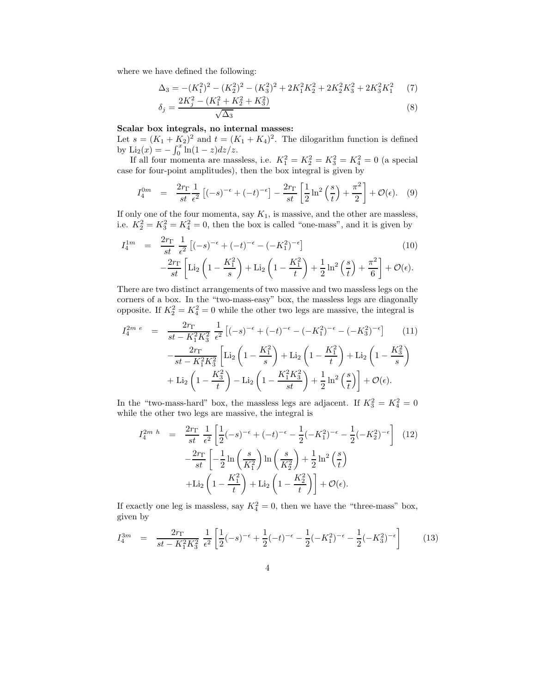where we have defined the following:

$$
\Delta_3 = -(K_1^2)^2 - (K_2^2)^2 - (K_3^2)^2 + 2K_1^2K_2^2 + 2K_2^2K_3^2 + 2K_3^2K_1^2 \tag{7}
$$

$$
\delta_j = \frac{2K_j^2 - (K_1^2 + K_2^2 + K_3^2)}{\sqrt{\Delta_3}}\tag{8}
$$

#### Scalar box integrals, no internal masses:

Let  $s = (K_1 + K_2)^2$  and  $t = (K_1 + K_4)^2$ . The dilogarithm function is defined by  $\text{Li}_2(x) = -\int_0^x \ln(1-z) dz/z$ .

If all four momenta are massless, i.e.  $K_1^2 = K_2^2 = K_3^2 = K_4^2 = 0$  (a special case for four-point amplitudes), then the box integral is given by

$$
I_4^{0m} = \frac{2r_{\Gamma}}{st} \frac{1}{\epsilon^2} \left[ (-s)^{-\epsilon} + (-t)^{-\epsilon} \right] - \frac{2r_{\Gamma}}{st} \left[ \frac{1}{2} \ln^2 \left( \frac{s}{t} \right) + \frac{\pi^2}{2} \right] + \mathcal{O}(\epsilon). \tag{9}
$$

If only one of the four momenta, say  $K_1$ , is massive, and the other are massless, i.e.  $K_2^2 = K_3^2 = K_4^2 = 0$ , then the box is called "one-mass", and it is given by

$$
I_4^{1m} = \frac{2r_{\Gamma}}{st} \frac{1}{\epsilon^2} \left[ (-s)^{-\epsilon} + (-t)^{-\epsilon} - (-K_1^2)^{-\epsilon} \right]
$$
(10)  

$$
-\frac{2r_{\Gamma}}{st} \left[ \text{Li}_2 \left( 1 - \frac{K_1^2}{s} \right) + \text{Li}_2 \left( 1 - \frac{K_1^2}{t} \right) + \frac{1}{2} \ln^2 \left( \frac{s}{t} \right) + \frac{\pi^2}{6} \right] + \mathcal{O}(\epsilon).
$$

There are two distinct arrangements of two massive and two massless legs on the corners of a box. In the "two-mass-easy" box, the massless legs are diagonally opposite. If  $K_2^2 = K_4^2 = 0$  while the other two legs are massive, the integral is

$$
I_4^{2m e} = \frac{2r_{\Gamma}}{st - K_1^2 K_3^2} \frac{1}{\epsilon^2} \left[ (-s)^{-\epsilon} + (-t)^{-\epsilon} - (-K_1^2)^{-\epsilon} - (-K_3^2)^{-\epsilon} \right] \tag{11}
$$

$$
- \frac{2r_{\Gamma}}{st - K_1^2 K_3^2} \left[ \text{Li}_2 \left( 1 - \frac{K_1^2}{s} \right) + \text{Li}_2 \left( 1 - \frac{K_1^2}{t} \right) + \text{Li}_2 \left( 1 - \frac{K_3^2}{s} \right) + \text{Li}_2 \left( 1 - \frac{K_3^2}{t} \right) - \text{Li}_2 \left( 1 - \frac{K_1^2 K_3^2}{st} \right) + \frac{1}{2} \ln^2 \left( \frac{s}{t} \right) \right] + \mathcal{O}(\epsilon).
$$

In the "two-mass-hard" box, the massless legs are adjacent. If  $K_3^2 = K_4^2 = 0$ while the other two legs are massive, the integral is

$$
I_4^{2m h} = \frac{2r_{\Gamma}}{st} \frac{1}{\epsilon^2} \left[ \frac{1}{2} (-s)^{-\epsilon} + (-t)^{-\epsilon} - \frac{1}{2} (-K_1^2)^{-\epsilon} - \frac{1}{2} (-K_2^2)^{-\epsilon} \right] (12)
$$

$$
- \frac{2r_{\Gamma}}{st} \left[ -\frac{1}{2} \ln \left( \frac{s}{K_1^2} \right) \ln \left( \frac{s}{K_2^2} \right) + \frac{1}{2} \ln^2 \left( \frac{s}{t} \right)
$$

$$
+ \text{Li}_2 \left( 1 - \frac{K_1^2}{t} \right) + \text{Li}_2 \left( 1 - \frac{K_2^2}{t} \right) \right] + \mathcal{O}(\epsilon).
$$

If exactly one leg is massless, say  $K_4^2 = 0$ , then we have the "three-mass" box, given by

$$
I_4^{3m} = \frac{2r_{\Gamma}}{st - K_1^2 K_3^2} \frac{1}{\epsilon^2} \left[ \frac{1}{2} (-s)^{-\epsilon} + \frac{1}{2} (-t)^{-\epsilon} - \frac{1}{2} (-K_1^2)^{-\epsilon} - \frac{1}{2} (-K_3^2)^{-\epsilon} \right] \tag{13}
$$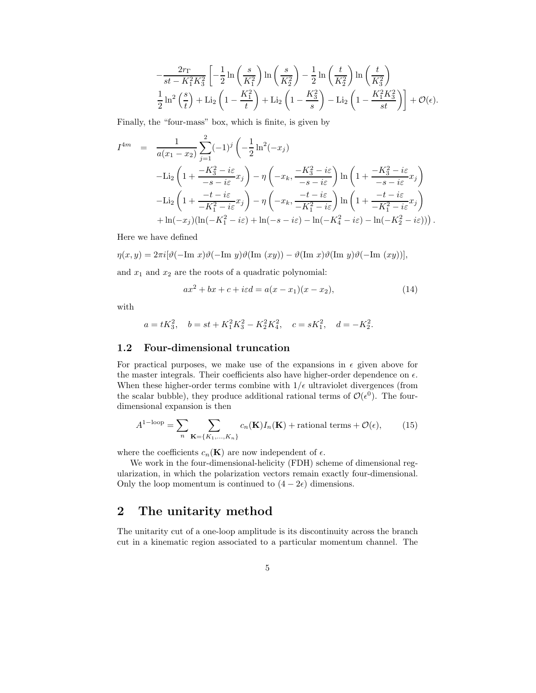$$
-\frac{2r_{\Gamma}}{st - K_1^2 K_3^2} \left[ -\frac{1}{2} \ln \left( \frac{s}{K_1^2} \right) \ln \left( \frac{s}{K_2^2} \right) - \frac{1}{2} \ln \left( \frac{t}{K_2^2} \right) \ln \left( \frac{t}{K_3^2} \right) \right]
$$
  

$$
\frac{1}{2} \ln^2 \left( \frac{s}{t} \right) + \text{Li}_2 \left( 1 - \frac{K_1^2}{t} \right) + \text{Li}_2 \left( 1 - \frac{K_3^2}{s} \right) - \text{Li}_2 \left( 1 - \frac{K_1^2 K_3^2}{st} \right) \right] + \mathcal{O}(\epsilon).
$$

Finally, the "four-mass" box, which is finite, is given by

$$
I^{4m} = \frac{1}{a(x_1 - x_2)} \sum_{j=1}^{2} (-1)^j \left( -\frac{1}{2} \ln^2(-x_j) \right)
$$
  
\n
$$
- \text{Li}_2 \left( 1 + \frac{-K_3^2 - i\varepsilon}{-s - i\varepsilon} x_j \right) - \eta \left( -x_k, \frac{-K_3^2 - i\varepsilon}{-s - i\varepsilon} \right) \ln \left( 1 + \frac{-K_3^2 - i\varepsilon}{-s - i\varepsilon} x_j \right)
$$
  
\n
$$
- \text{Li}_2 \left( 1 + \frac{-t - i\varepsilon}{-K_1^2 - i\varepsilon} x_j \right) - \eta \left( -x_k, \frac{-t - i\varepsilon}{-K_1^2 - i\varepsilon} \right) \ln \left( 1 + \frac{-t - i\varepsilon}{-K_1^2 - i\varepsilon} x_j \right)
$$
  
\n
$$
+ \ln(-x_j) (\ln(-K_1^2 - i\varepsilon) + \ln(-s - i\varepsilon) - \ln(-K_4^2 - i\varepsilon) - \ln(-K_2^2 - i\varepsilon)))
$$

Here we have defined

 $\eta(x, y) = 2\pi i \left[\vartheta(-\text{Im } x)\vartheta(-\text{Im } y)\vartheta(\text{Im } (xy)) - \vartheta(\text{Im } x)\vartheta(\text{Im } y)\vartheta(-\text{Im } (xy))\right],$ 

and  $x_1$  and  $x_2$  are the roots of a quadratic polynomial:

$$
ax^{2} + bx + c + i\varepsilon d = a(x - x_{1})(x - x_{2}),
$$
\n(14)

with

$$
a = tK_3^2
$$
,  $b = st + K_1^2 K_3^2 - K_2^2 K_4^2$ ,  $c = sK_1^2$ ,  $d = -K_2^2$ .

#### 1.2 Four-dimensional truncation

For practical purposes, we make use of the expansions in  $\epsilon$  given above for the master integrals. Their coefficients also have higher-order dependence on  $\epsilon.$ When these higher-order terms combine with  $1/\epsilon$  ultraviolet divergences (from the scalar bubble), they produce additional rational terms of  $\mathcal{O}(\epsilon^0)$ . The fourdimensional expansion is then

$$
A^{1-\text{loop}} = \sum_{n} \sum_{\mathbf{K} = \{K_1, \dots, K_n\}} c_n(\mathbf{K}) I_n(\mathbf{K}) + \text{rational terms} + \mathcal{O}(\epsilon),\tag{15}
$$

where the coefficients  $c_n(\mathbf{K})$  are now independent of  $\epsilon$ .

We work in the four-dimensional-helicity (FDH) scheme of dimensional regularization, in which the polarization vectors remain exactly four-dimensional. Only the loop momentum is continued to  $(4-2\epsilon)$  dimensions.

## 2 The unitarity method

The unitarity cut of a one-loop amplitude is its discontinuity across the branch cut in a kinematic region associated to a particular momentum channel. The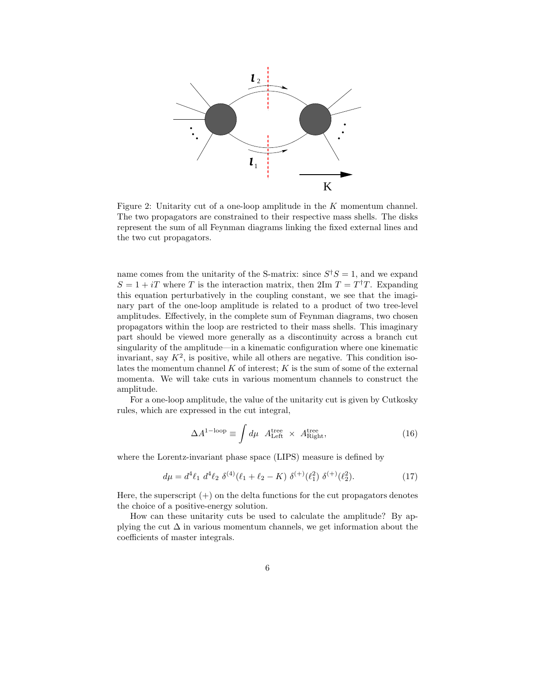

Figure 2: Unitarity cut of a one-loop amplitude in the K momentum channel. The two propagators are constrained to their respective mass shells. The disks represent the sum of all Feynman diagrams linking the fixed external lines and the two cut propagators.

name comes from the unitarity of the S-matrix: since  $S^{\dagger}S = 1$ , and we expand  $S = 1 + iT$  where T is the interaction matrix, then  $2\text{Im } T = T^{\dagger}T$ . Expanding this equation perturbatively in the coupling constant, we see that the imaginary part of the one-loop amplitude is related to a product of two tree-level amplitudes. Effectively, in the complete sum of Feynman diagrams, two chosen propagators within the loop are restricted to their mass shells. This imaginary part should be viewed more generally as a discontinuity across a branch cut singularity of the amplitude—in a kinematic configuration where one kinematic invariant, say  $K^2$ , is positive, while all others are negative. This condition isolates the momentum channel  $K$  of interest;  $K$  is the sum of some of the external momenta. We will take cuts in various momentum channels to construct the amplitude.

For a one-loop amplitude, the value of the unitarity cut is given by Cutkosky rules, which are expressed in the cut integral,

$$
\Delta A^{1-\text{loop}} \equiv \int d\mu \ A_{\text{Left}}^{\text{tree}} \times A_{\text{Right}}^{\text{tree}}, \tag{16}
$$

where the Lorentz-invariant phase space (LIPS) measure is defined by

$$
d\mu = d^4 \ell_1 \ d^4 \ell_2 \ \delta^{(4)}(\ell_1 + \ell_2 - K) \ \delta^{(+)}(\ell_1^2) \ \delta^{(+)}(\ell_2^2). \tag{17}
$$

Here, the superscript  $(+)$  on the delta functions for the cut propagators denotes the choice of a positive-energy solution.

How can these unitarity cuts be used to calculate the amplitude? By applying the cut  $\Delta$  in various momentum channels, we get information about the coefficients of master integrals.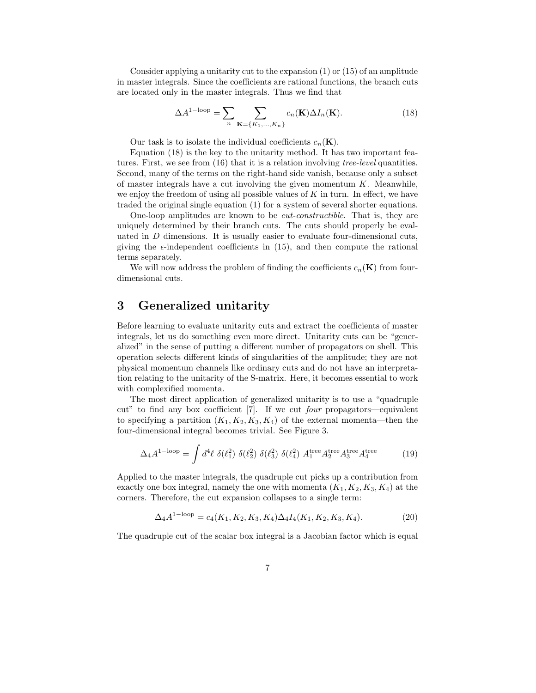Consider applying a unitarity cut to the expansion (1) or (15) of an amplitude in master integrals. Since the coefficients are rational functions, the branch cuts are located only in the master integrals. Thus we find that

$$
\Delta A^{1-\text{loop}} = \sum_{n} \sum_{\mathbf{K} = \{K_1, \dots, K_n\}} c_n(\mathbf{K}) \Delta I_n(\mathbf{K}).
$$
\n(18)

Our task is to isolate the individual coefficients  $c_n(\mathbf{K})$ .

Equation (18) is the key to the unitarity method. It has two important features. First, we see from (16) that it is a relation involving tree-level quantities. Second, many of the terms on the right-hand side vanish, because only a subset of master integrals have a cut involving the given momentum  $K$ . Meanwhile, we enjoy the freedom of using all possible values of  $K$  in turn. In effect, we have traded the original single equation (1) for a system of several shorter equations.

One-loop amplitudes are known to be cut-constructible. That is, they are uniquely determined by their branch cuts. The cuts should properly be evaluated in  $D$  dimensions. It is usually easier to evaluate four-dimensional cuts, giving the  $\epsilon$ -independent coefficients in (15), and then compute the rational terms separately.

We will now address the problem of finding the coefficients  $c_n(\mathbf{K})$  from fourdimensional cuts.

## 3 Generalized unitarity

Before learning to evaluate unitarity cuts and extract the coefficients of master integrals, let us do something even more direct. Unitarity cuts can be "generalized" in the sense of putting a different number of propagators on shell. This operation selects different kinds of singularities of the amplitude; they are not physical momentum channels like ordinary cuts and do not have an interpretation relating to the unitarity of the S-matrix. Here, it becomes essential to work with complexified momenta.

The most direct application of generalized unitarity is to use a "quadruple cut" to find any box coefficient [7]. If we cut four propagators—equivalent to specifying a partition  $(K_1, K_2, K_3, K_4)$  of the external momenta—then the four-dimensional integral becomes trivial. See Figure 3.

$$
\Delta_4 A^{1-\text{loop}} = \int d^4\ell \ \delta(\ell_1^2) \ \delta(\ell_2^2) \ \delta(\ell_3^2) \ \delta(\ell_4^2) \ A_1^{\text{tree}} A_2^{\text{tree}} A_3^{\text{tree}} A_4^{\text{tree}} \tag{19}
$$

Applied to the master integrals, the quadruple cut picks up a contribution from exactly one box integral, namely the one with momenta  $(K_1, K_2, K_3, K_4)$  at the corners. Therefore, the cut expansion collapses to a single term:

$$
\Delta_4 A^{1-\text{loop}} = c_4(K_1, K_2, K_3, K_4) \Delta_4 I_4(K_1, K_2, K_3, K_4). \tag{20}
$$

The quadruple cut of the scalar box integral is a Jacobian factor which is equal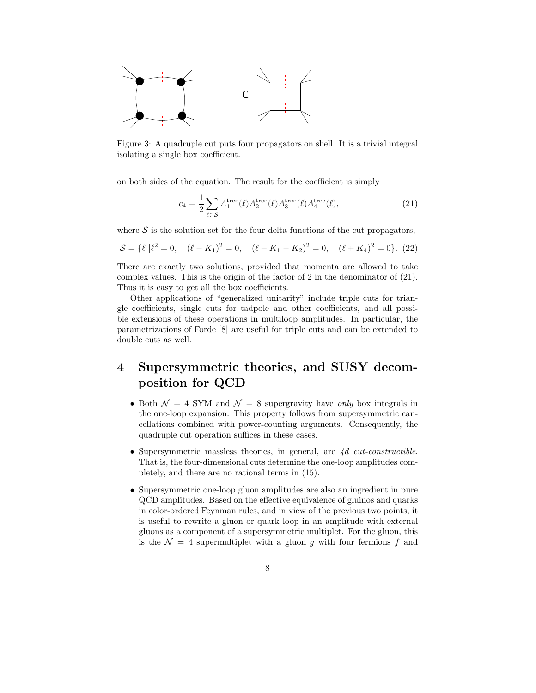

Figure 3: A quadruple cut puts four propagators on shell. It is a trivial integral isolating a single box coefficient.

on both sides of the equation. The result for the coefficient is simply

$$
c_4 = \frac{1}{2} \sum_{\ell \in \mathcal{S}} A_1^{\text{tree}}(\ell) A_2^{\text{tree}}(\ell) A_3^{\text{tree}}(\ell) A_4^{\text{tree}}(\ell), \tag{21}
$$

where  $S$  is the solution set for the four delta functions of the cut propagators,

$$
S = \{ \ell \mid \ell^2 = 0, \quad (\ell - K_1)^2 = 0, \quad (\ell - K_1 - K_2)^2 = 0, \quad (\ell + K_4)^2 = 0 \}. \tag{22}
$$

There are exactly two solutions, provided that momenta are allowed to take complex values. This is the origin of the factor of 2 in the denominator of (21). Thus it is easy to get all the box coefficients.

Other applications of "generalized unitarity" include triple cuts for triangle coefficients, single cuts for tadpole and other coefficients, and all possible extensions of these operations in multiloop amplitudes. In particular, the parametrizations of Forde [8] are useful for triple cuts and can be extended to double cuts as well.

# 4 Supersymmetric theories, and SUSY decomposition for QCD

- Both  $\mathcal{N} = 4$  SYM and  $\mathcal{N} = 8$  supergravity have only box integrals in the one-loop expansion. This property follows from supersymmetric cancellations combined with power-counting arguments. Consequently, the quadruple cut operation suffices in these cases.
- Supersymmetric massless theories, in general, are 4d cut-constructible. That is, the four-dimensional cuts determine the one-loop amplitudes completely, and there are no rational terms in (15).
- Supersymmetric one-loop gluon amplitudes are also an ingredient in pure QCD amplitudes. Based on the effective equivalence of gluinos and quarks in color-ordered Feynman rules, and in view of the previous two points, it is useful to rewrite a gluon or quark loop in an amplitude with external gluons as a component of a supersymmetric multiplet. For the gluon, this is the  $\mathcal{N} = 4$  supermultiplet with a gluon g with four fermions f and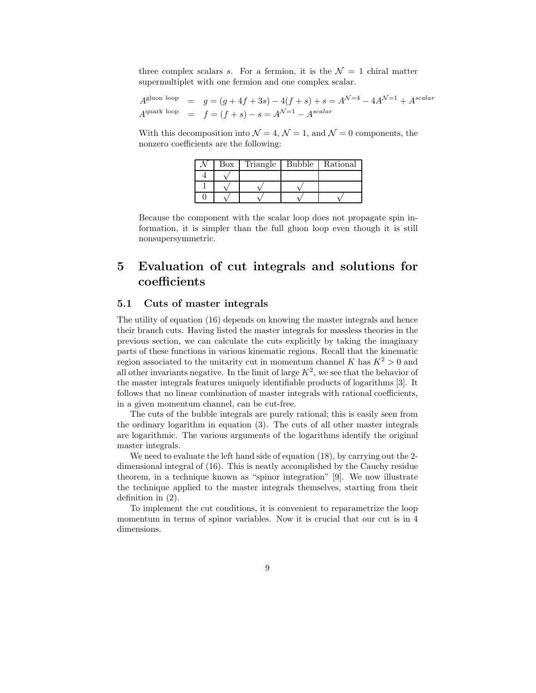three complex scalars s. For a fermion, it is the  $\mathcal{N}=1$  chiral matter supermultiplet with one fermion and one complex scalar.

 $A^{\text{gluon loop}} = g = (g + 4f + 3s) - 4(f + s) + s = A^{\mathcal{N}=4} - 4A^{\mathcal{N}=1} + A^{\text{scalar}}$  $A^{\text{quark loop}} = f = (f + s) - s = A^{\mathcal{N}=1} - A^{\text{scalar}}$ 

With this decomposition into  $\mathcal{N} = 4$ ,  $\mathcal{N} = 1$ , and  $\mathcal{N} = 0$  components, the nonzero coefficients are the following:

| Вох | Triangle Bubble | Rational |
|-----|-----------------|----------|
|     |                 |          |
|     |                 |          |
|     |                 |          |

Because the component with the scalar loop does not propagate spin information, it is simpler than the full gluon loop even though it is still nonsupersymmetric.

# 5 Evaluation of cut integrals and solutions for coefficients

### 5.1 Cuts of master integrals

The utility of equation (16) depends on knowing the master integrals and hence their branch cuts. Having listed the master integrals for massless theories in the previous section, we can calculate the cuts explicitly by taking the imaginary parts of these functions in various kinematic regions. Recall that the kinematic region associated to the unitarity cut in momentum channel K has  $K^2 > 0$  and all other invariants negative. In the limit of large  $K^2$ , we see that the behavior of the master integrals features uniquely identifiable products of logarithms [3]. It follows that no linear combination of master integrals with rational coefficients, in a given momentum channel, can be cut-free.

The cuts of the bubble integrals are purely rational; this is easily seen from the ordinary logarithm in equation (3). The cuts of all other master integrals are logarithmic. The various arguments of the logarithms identify the original master integrals.

We need to evaluate the left hand side of equation (18), by carrying out the 2 dimensional integral of (16). This is neatly accomplished by the Cauchy residue theorem, in a technique known as "spinor integration" [9]. We now illustrate the technique applied to the master integrals themselves, starting from their definition in (2).

To implement the cut conditions, it is convenient to reparametrize the loop momentum in terms of spinor variables. Now it is crucial that our cut is in 4 dimensions.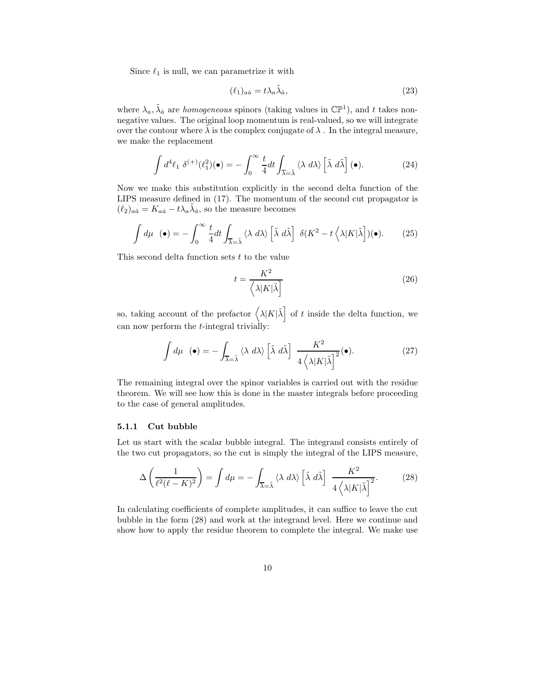Since  $\ell_1$  is null, we can parametrize it with

$$
(\ell_1)_{a\dot{a}} = t\lambda_a \tilde{\lambda}_{\dot{a}},\tag{23}
$$

where  $\lambda_a$ ,  $\tilde{\lambda}_a$  are *homogeneous* spinors (taking values in  $\mathbb{CP}^1$ ), and t takes nonnegative values. The original loop momentum is real-valued, so we will integrate over the contour where  $\tilde{\lambda}$  is the complex conjugate of  $\lambda$ . In the integral measure, we make the replacement

$$
\int d^4 \ell_1 \, \delta^{(+)}(\ell_1^2)(\bullet) = -\int_0^\infty \frac{t}{4} dt \int_{\overline{\lambda} = \tilde{\lambda}} \langle \lambda \, d\lambda \rangle \left[ \tilde{\lambda} \, d\tilde{\lambda} \right](\bullet). \tag{24}
$$

Now we make this substitution explicitly in the second delta function of the LIPS measure defined in (17). The momentum of the second cut propagator is  $(\ell_2)_{a\dot{a}} = K_{a\dot{a}} - t\lambda_a \tilde{\lambda}_{\dot{a}}$ , so the measure becomes

$$
\int d\mu \quad (\bullet) = -\int_0^\infty \frac{t}{4} dt \int_{\overline{\lambda} = \tilde{\lambda}} \langle \lambda \, d\lambda \rangle \left[ \tilde{\lambda} \, d\tilde{\lambda} \right] \, \delta(K^2 - t \left\langle \lambda |K| \tilde{\lambda} \right])(\bullet). \tag{25}
$$

This second delta function sets  $t$  to the value

$$
t = \frac{K^2}{\left\langle \lambda | K | \tilde{\lambda} \right\rangle} \tag{26}
$$

so, taking account of the prefactor  $\left(\lambda |K|\tilde{\lambda}\right)$  of t inside the delta function, we can now perform the t-integral trivially:

$$
\int d\mu \quad (\bullet) = -\int_{\overline{\lambda} = \tilde{\lambda}} \langle \lambda \, d\lambda \rangle \left[ \tilde{\lambda} \, d\tilde{\lambda} \right] \frac{K^2}{4 \left\langle \lambda |K| \tilde{\lambda} \right]^2} (\bullet). \tag{27}
$$

The remaining integral over the spinor variables is carried out with the residue theorem. We will see how this is done in the master integrals before proceeding to the case of general amplitudes.

#### 5.1.1 Cut bubble

Let us start with the scalar bubble integral. The integrand consists entirely of the two cut propagators, so the cut is simply the integral of the LIPS measure,

$$
\Delta\left(\frac{1}{\ell^2(\ell-K)^2}\right) = \int d\mu = -\int_{\overline{\lambda}=\tilde{\lambda}} \langle \lambda \, d\lambda \rangle \left[\tilde{\lambda} \, d\tilde{\lambda}\right] \, \frac{K^2}{4\left\langle \lambda |K|\tilde{\lambda}\right]^2}.\tag{28}
$$

In calculating coefficients of complete amplitudes, it can suffice to leave the cut bubble in the form (28) and work at the integrand level. Here we continue and show how to apply the residue theorem to complete the integral. We make use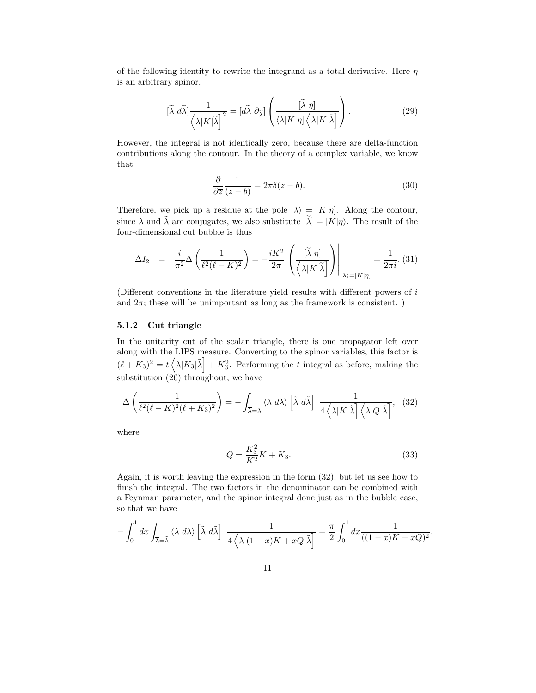of the following identity to rewrite the integrand as a total derivative. Here  $\eta$ is an arbitrary spinor.

$$
[\widetilde{\lambda} \ d\widetilde{\lambda}] \frac{1}{\langle \lambda | K | \widetilde{\lambda} \rangle^2} = [d\widetilde{\lambda} \ \partial_{\widetilde{\lambda}}] \left( \frac{[\widetilde{\lambda} \ \eta]}{\langle \lambda | K | \eta \rangle \langle \lambda | K | \widetilde{\lambda} \rangle} \right). \tag{29}
$$

However, the integral is not identically zero, because there are delta-function contributions along the contour. In the theory of a complex variable, we know that

$$
\frac{\partial}{\partial \overline{z}} \frac{1}{(z-b)} = 2\pi \delta(z-b). \tag{30}
$$

Therefore, we pick up a residue at the pole  $|\lambda\rangle = |K|\eta|$ . Along the contour, since  $\lambda$  and  $\tilde{\lambda}$  are conjugates, we also substitute  $|\tilde{\lambda}| = |K|\eta$ . The result of the four-dimensional cut bubble is thus

$$
\Delta I_2 = \frac{i}{\pi^2} \Delta \left( \frac{1}{\ell^2 (\ell - K)^2} \right) = -\frac{iK^2}{2\pi} \left( \frac{\left[ \tilde{\lambda} \eta \right]}{\left\langle \lambda | K | \tilde{\lambda} \right] } \right) \Bigg|_{\left| \lambda \right\rangle = \left| K | \eta \right|} = \frac{1}{2\pi i} .
$$
 (31)

(Different conventions in the literature yield results with different powers of i and  $2\pi$ ; these will be unimportant as long as the framework is consistent. )

#### 5.1.2 Cut triangle

In the unitarity cut of the scalar triangle, there is one propagator left over along with the LIPS measure. Converting to the spinor variables, this factor is  $(\ell + K_3)^2 = t \left\langle \lambda | K_3 | \tilde{\lambda} \right| + K_3^2$ . Performing the t integral as before, making the substitution (26) throughout, we have

$$
\Delta\left(\frac{1}{\ell^2(\ell-K)^2(\ell+K_3)^2}\right) = -\int_{\overline{\lambda}=\tilde{\lambda}} \langle \lambda \, d\lambda \rangle \left[\tilde{\lambda} \, d\tilde{\lambda}\right] \frac{1}{4\left\langle \lambda |K|\tilde{\lambda}\right] \left\langle \lambda |Q|\tilde{\lambda}\right]}, \tag{32}
$$

where

$$
Q = \frac{K_3^2}{K^2}K + K_3.
$$
\n(33)

Again, it is worth leaving the expression in the form (32), but let us see how to finish the integral. The two factors in the denominator can be combined with a Feynman parameter, and the spinor integral done just as in the bubble case, so that we have

$$
-\int_0^1 dx \int_{\overline{\lambda}=\overline{\lambda}} \langle \lambda \ d\lambda \rangle \left[ \tilde{\lambda} \ d\tilde{\lambda} \right] \ \frac{1}{4 \langle \lambda | (1-x)K + xQ | \tilde{\lambda} \right]} = \frac{\pi}{2} \int_0^1 dx \frac{1}{((1-x)K + xQ)^2}.
$$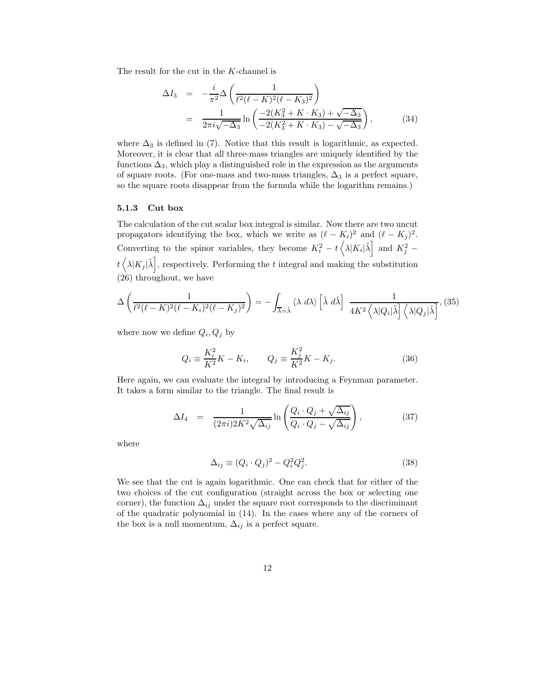The result for the cut in the K-channel is

$$
\Delta I_3 = -\frac{i}{\pi^2} \Delta \left( \frac{1}{\ell^2 (\ell - K)^2 (\ell - K_3)^2} \right)
$$
  
= 
$$
\frac{1}{2\pi i \sqrt{-\Delta_3}} \ln \left( \frac{-2(K_3^2 + K \cdot K_3) + \sqrt{-\Delta_3}}{-2(K_3^2 + K \cdot K_3) - \sqrt{-\Delta_3}} \right),
$$
(34)

where  $\Delta_3$  is defined in (7). Notice that this result is logarithmic, as expected. Moreover, it is clear that all three-mass triangles are uniquely identified by the functions  $\Delta_3$ , which play a distinguished role in the expression as the arguments of square roots. (For one-mass and two-mass triangles,  $\Delta_3$  is a perfect square, so the square roots disappear from the formula while the logarithm remains.)

#### 5.1.3 Cut box

The calculation of the cut scalar box integral is similar. Now there are two uncut propagators identifying the box, which we write as  $(\ell - K_i)^2$  and  $(\ell - K_j)^2$ . Converting to the spinor variables, they become  $K_i^2 - t \left(\lambda |K_i|\tilde{\lambda}\right]$  and  $K_j^2$  –  $t\left\langle \lambda|K_{j}|\tilde{\lambda}\right]$ , respectively. Performing the t integral and making the substitution (26) throughout, we have

$$
\Delta\left(\frac{1}{\ell^2(\ell-K)^2(\ell-K_i)^2(\ell-K_j)^2}\right) = -\int_{\overline{\lambda}=\tilde{\lambda}}\langle\lambda\ d\lambda\rangle\left[\tilde{\lambda}\ d\tilde{\lambda}\right]\ \frac{1}{4K^2\left\langle\lambda|Q_i|\tilde{\lambda}\right]\left\langle\lambda|Q_j|\tilde{\lambda}\right]},\ (35)
$$

where now we define  $Q_i, Q_j$  by

$$
Q_i \equiv \frac{K_i^2}{K^2} K - K_i, \qquad Q_j \equiv \frac{K_j^2}{K^2} K - K_j.
$$
 (36)

Here again, we can evaluate the integral by introducing a Feynman parameter. It takes a form similar to the triangle. The final result is

$$
\Delta I_4 = \frac{1}{(2\pi i)2K^2\sqrt{\Delta_{ij}}} \ln \left( \frac{Q_i \cdot Q_j + \sqrt{\Delta_{ij}}}{Q_i \cdot Q_j - \sqrt{\Delta_{ij}}} \right), \tag{37}
$$

where

$$
\Delta_{ij} \equiv (Q_i \cdot Q_j)^2 - Q_i^2 Q_j^2. \tag{38}
$$

We see that the cut is again logarithmic. One can check that for either of the two choices of the cut configuration (straight across the box or selecting one corner), the function  $\Delta_{ij}$  under the square root corresponds to the discriminant of the quadratic polynomial in (14). In the cases where any of the corners of the box is a null momentum,  $\Delta_{ij}$  is a perfect square.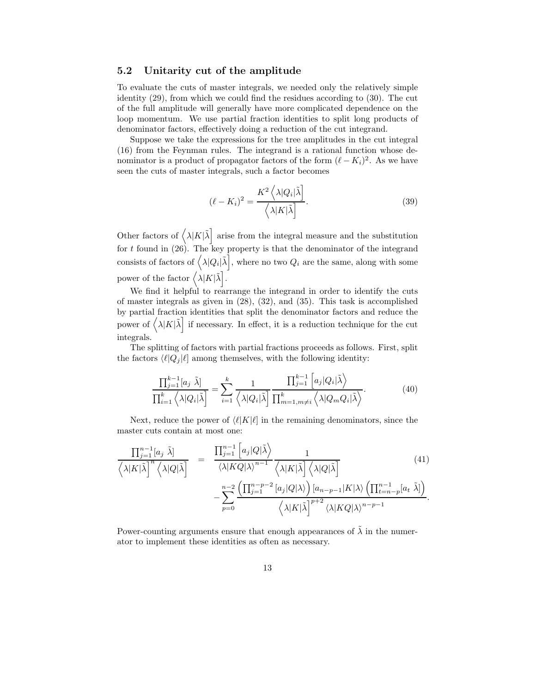#### 5.2 Unitarity cut of the amplitude

To evaluate the cuts of master integrals, we needed only the relatively simple identity (29), from which we could find the residues according to (30). The cut of the full amplitude will generally have more complicated dependence on the loop momentum. We use partial fraction identities to split long products of denominator factors, effectively doing a reduction of the cut integrand.

Suppose we take the expressions for the tree amplitudes in the cut integral (16) from the Feynman rules. The integrand is a rational function whose denominator is a product of propagator factors of the form  $(\ell - K_i)^2$ . As we have seen the cuts of master integrals, such a factor becomes

$$
(\ell - K_i)^2 = \frac{K^2 \left\langle \lambda | Q_i | \tilde{\lambda} \right]}{\left\langle \lambda | K | \tilde{\lambda} \right|}.
$$
\n(39)

Other factors of  $\left(\lambda |K|\tilde{\lambda}\right)$  arise from the integral measure and the substitution for t found in (26). The key property is that the denominator of the integrand consists of factors of  $\left(\lambda |Q_i|\tilde{\lambda}\right]$ , where no two  $Q_i$  are the same, along with some power of the factor  $\left\langle \lambda |K|\tilde{\lambda}\right\rangle$ .

We find it helpful to rearrange the integrand in order to identify the cuts of master integrals as given in (28), (32), and (35). This task is accomplished by partial fraction identities that split the denominator factors and reduce the power of  $\langle \lambda | K | \tilde{\lambda} \rangle$  if necessary. In effect, it is a reduction technique for the cut integrals.

The splitting of factors with partial fractions proceeds as follows. First, split the factors  $\langle \ell | Q_i | \ell \rangle$  among themselves, with the following identity:

$$
\frac{\prod_{j=1}^{k-1} [a_j \tilde{\lambda}]}{\prod_{i=1}^k \left\langle \lambda |Q_i | \tilde{\lambda} \right]} = \sum_{i=1}^k \frac{1}{\left\langle \lambda |Q_i | \tilde{\lambda} \right]} \frac{\prod_{j=1}^{k-1} \left[ a_j |Q_i | \tilde{\lambda} \right]}{\prod_{m=1, m \neq i}^k \left\langle \lambda |Q_m Q_i | \tilde{\lambda} \right\rangle}.
$$
\n(40)

Next, reduce the power of  $\langle \ell |K|\ell \rangle$  in the remaining denominators, since the master cuts contain at most one:

$$
\frac{\prod_{j=1}^{n-1} [a_j \tilde{\lambda}]}{\langle \lambda | K | \tilde{\lambda} \rangle^n \langle \lambda | Q | \tilde{\lambda} \rangle} = \frac{\prod_{j=1}^{n-1} \left[ a_j | Q | \tilde{\lambda} \rangle \right]}{\langle \lambda | K Q | \lambda \rangle^{n-1} \langle \lambda | K | \tilde{\lambda} \rangle \langle \lambda | Q | \tilde{\lambda} \rangle} \frac{1}{\langle \lambda | K | \tilde{\lambda} \rangle \langle \lambda | Q | \tilde{\lambda} \rangle} \frac{(41)}{\langle \lambda | K | \tilde{\lambda} \rangle \langle \lambda | Q | \tilde{\lambda} \rangle} \frac{1}{\langle \lambda | K | \tilde{\lambda} \rangle \langle \lambda | Q | \tilde{\lambda} \rangle} \frac{1}{\langle \lambda | K | \tilde{\lambda} \rangle \langle \lambda | Q | \tilde{\lambda} \rangle} \frac{1}{\langle \lambda | K | \tilde{\lambda} \rangle^n \langle \lambda | K Q | \lambda \rangle^{n-1}} \frac{1}{\langle \lambda | K | \tilde{\lambda} \rangle^n \langle \lambda | K Q | \lambda \rangle^{n-p-1}}.
$$

Power-counting arguments ensure that enough appearances of  $\tilde{\lambda}$  in the numerator to implement these identities as often as necessary.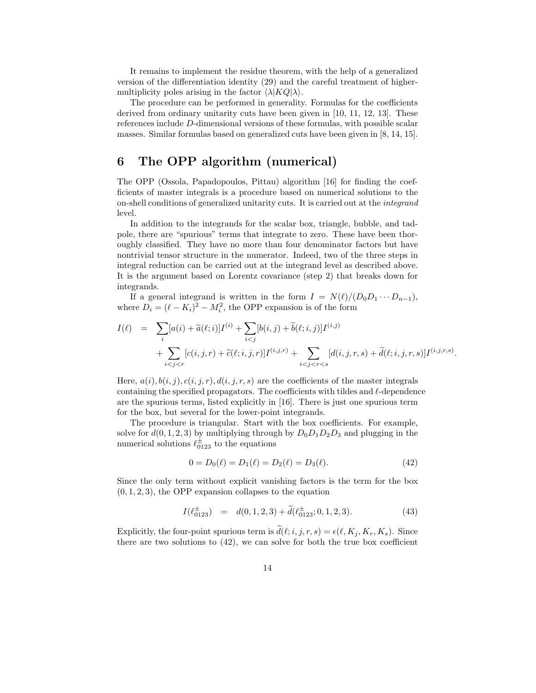It remains to implement the residue theorem, with the help of a generalized version of the differentiation identity (29) and the careful treatment of highermultiplicity poles arising in the factor  $\langle \lambda | KQ | \lambda \rangle$ .

The procedure can be performed in generality. Formulas for the coefficients derived from ordinary unitarity cuts have been given in [10, 11, 12, 13]. These references include D-dimensional versions of these formulas, with possible scalar masses. Similar formulas based on generalized cuts have been given in [8, 14, 15].

# 6 The OPP algorithm (numerical)

The OPP (Ossola, Papadopoulos, Pittau) algorithm [16] for finding the coefficients of master integrals is a procedure based on numerical solutions to the on-shell conditions of generalized unitarity cuts. It is carried out at the integrand level.

In addition to the integrands for the scalar box, triangle, bubble, and tadpole, there are "spurious" terms that integrate to zero. These have been thoroughly classified. They have no more than four denominator factors but have nontrivial tensor structure in the numerator. Indeed, two of the three steps in integral reduction can be carried out at the integrand level as described above. It is the argument based on Lorentz covariance (step 2) that breaks down for integrands.

If a general integrand is written in the form  $I = N(\ell)/(D_0D_1 \cdots D_{n-1}),$ where  $D_i = (\ell - K_i)^2 - M_i^2$ , the OPP expansion is of the form

$$
I(\ell) = \sum_{i} [a(i) + \tilde{a}(\ell; i)] I^{(i)} + \sum_{i < j} [b(i, j) + \tilde{b}(\ell; i, j)] I^{(i, j)} + \sum_{i < j < r} [c(i, j, r) + \tilde{c}(\ell; i, j, r)] I^{(i, j, r)} + \sum_{i < j < r < s} [d(i, j, r, s) + \tilde{d}(\ell; i, j, r, s)] I^{(i, j, r, s)}
$$

.

Here,  $a(i)$ ,  $b(i, j)$ ,  $c(i, j, r)$ ,  $d(i, j, r, s)$  are the coefficients of the master integrals containing the specified propagators. The coefficients with tildes and  $\ell$ -dependence are the spurious terms, listed explicitly in [16]. There is just one spurious term for the box, but several for the lower-point integrands.

The procedure is triangular. Start with the box coefficients. For example, solve for  $d(0, 1, 2, 3)$  by multiplying through by  $D_0D_1D_2D_3$  and plugging in the numerical solutions  $\ell_{0123}^{\pm}$  to the equations

$$
0 = D_0(\ell) = D_1(\ell) = D_2(\ell) = D_3(\ell). \tag{42}
$$

Since the only term without explicit vanishing factors is the term for the box  $(0, 1, 2, 3)$ , the OPP expansion collapses to the equation

$$
I(\ell_{0123}^{\pm}) = d(0,1,2,3) + d(\ell_{0123}^{\pm};0,1,2,3). \tag{43}
$$

Explicitly, the four-point spurious term is  $\tilde{d}(\ell; i, j, r, s) = \epsilon(\ell, K_i, K_r, K_s)$ . Since there are two solutions to (42), we can solve for both the true box coefficient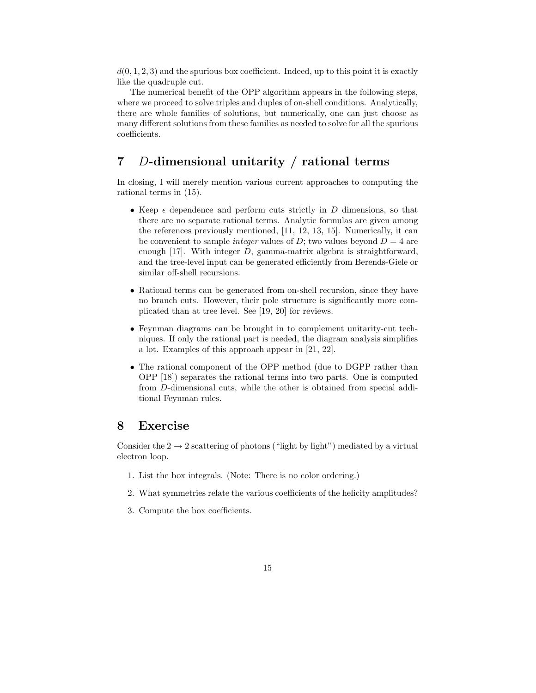$d(0, 1, 2, 3)$  and the spurious box coefficient. Indeed, up to this point it is exactly like the quadruple cut.

The numerical benefit of the OPP algorithm appears in the following steps, where we proceed to solve triples and duples of on-shell conditions. Analytically, there are whole families of solutions, but numerically, one can just choose as many different solutions from these families as needed to solve for all the spurious coefficients.

## 7 D-dimensional unitarity / rational terms

In closing, I will merely mention various current approaches to computing the rational terms in (15).

- Keep  $\epsilon$  dependence and perform cuts strictly in D dimensions, so that there are no separate rational terms. Analytic formulas are given among the references previously mentioned, [11, 12, 13, 15]. Numerically, it can be convenient to sample *integer* values of D; two values beyond  $D = 4$  are enough  $[17]$ . With integer D, gamma-matrix algebra is straightforward, and the tree-level input can be generated efficiently from Berends-Giele or similar off-shell recursions.
- Rational terms can be generated from on-shell recursion, since they have no branch cuts. However, their pole structure is significantly more complicated than at tree level. See [19, 20] for reviews.
- Feynman diagrams can be brought in to complement unitarity-cut techniques. If only the rational part is needed, the diagram analysis simplifies a lot. Examples of this approach appear in [21, 22].
- The rational component of the OPP method (due to DGPP rather than OPP [18]) separates the rational terms into two parts. One is computed from D-dimensional cuts, while the other is obtained from special additional Feynman rules.

## 8 Exercise

Consider the  $2 \rightarrow 2$  scattering of photons ("light by light") mediated by a virtual electron loop.

- 1. List the box integrals. (Note: There is no color ordering.)
- 2. What symmetries relate the various coefficients of the helicity amplitudes?
- 3. Compute the box coefficients.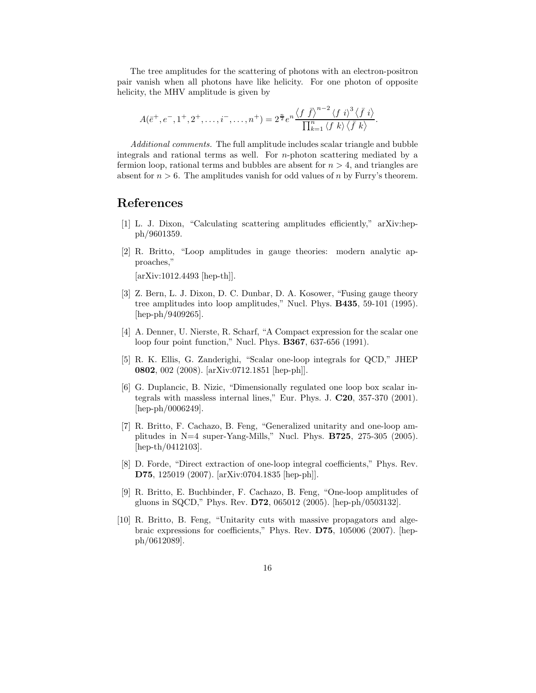The tree amplitudes for the scattering of photons with an electron-positron pair vanish when all photons have like helicity. For one photon of opposite helicity, the MHV amplitude is given by

$$
A(\bar{e}^+,e^-,1^+,2^+,\ldots,i^-,\ldots,n^+) = 2^{\frac{n}{2}}e^n\frac{\langle f\ \bar{f}\rangle^{n-2}\langle f\ i\rangle^3\langle \bar{f}\ i\rangle}{\prod_{k=1}^n\langle f\ k\rangle\langle \bar{f}\ k\rangle}.
$$

Additional comments. The full amplitude includes scalar triangle and bubble integrals and rational terms as well. For n-photon scattering mediated by a fermion loop, rational terms and bubbles are absent for  $n > 4$ , and triangles are absent for  $n > 6$ . The amplitudes vanish for odd values of n by Furry's theorem.

## References

- [1] L. J. Dixon, "Calculating scattering amplitudes efficiently," arXiv:hepph/9601359.
- [2] R. Britto, "Loop amplitudes in gauge theories: modern analytic approaches,"

[arXiv:1012.4493 [hep-th]].

- [3] Z. Bern, L. J. Dixon, D. C. Dunbar, D. A. Kosower, "Fusing gauge theory tree amplitudes into loop amplitudes," Nucl. Phys. B435, 59-101 (1995). [hep-ph/9409265].
- [4] A. Denner, U. Nierste, R. Scharf, "A Compact expression for the scalar one loop four point function," Nucl. Phys. B367, 637-656 (1991).
- [5] R. K. Ellis, G. Zanderighi, "Scalar one-loop integrals for QCD," JHEP 0802, 002 (2008). [arXiv:0712.1851 [hep-ph]].
- [6] G. Duplancic, B. Nizic, "Dimensionally regulated one loop box scalar integrals with massless internal lines," Eur. Phys. J. C20, 357-370 (2001). [hep-ph/0006249].
- [7] R. Britto, F. Cachazo, B. Feng, "Generalized unitarity and one-loop amplitudes in  $N=4$  super-Yang-Mills," Nucl. Phys. **B725**, 275-305 (2005). [hep-th/0412103].
- [8] D. Forde, "Direct extraction of one-loop integral coefficients," Phys. Rev. D75, 125019 (2007). [arXiv:0704.1835 [hep-ph]].
- [9] R. Britto, E. Buchbinder, F. Cachazo, B. Feng, "One-loop amplitudes of gluons in SQCD," Phys. Rev. D72, 065012 (2005). [hep-ph/0503132].
- [10] R. Britto, B. Feng, "Unitarity cuts with massive propagators and algebraic expressions for coefficients," Phys. Rev. D75, 105006 (2007). [hepph/0612089].